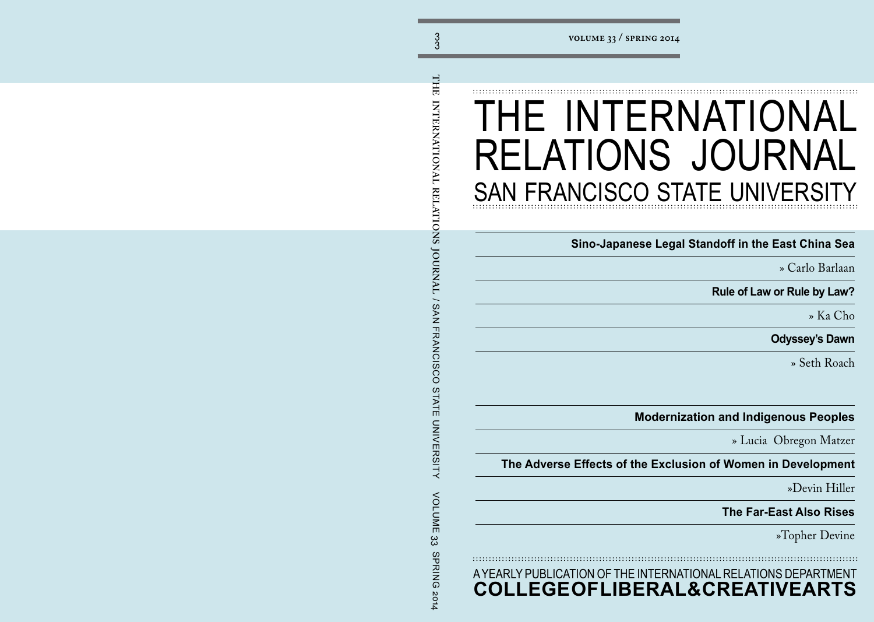## THE INTERNATIONAL RELATIONS JOURNAL SAN FRANCISCO STATE UNIVERSITY

**Sino-Japanese Legal Standoff in the East China Sea**

» Carlo Barlaan

**Rule of Law or Rule by Law?** 

» Ka Cho

**Odyssey's Dawn**

» Seth Roach

**Modernization and Indigenous Peoples**

» Lucia Obregon Matzer

**The Adverse Effects of the Exclusion of Women in Development**

»Devin Hiller

**The Far-East Also Rises**

»Topher Devine

A YEARLY PUBLICATION OF THE INTERNATIONAL RELATIONS DEPARTMENT **COLLEGE OF LIBERAL & CREATIVE ARTS**

<span id="page-0-0"></span>THE INTERNATIONAL RELATIONS JOURNAL / SAN FRANCISCO STATE UNIVERSITY **THE INTERNATIONAL RELATIONS JOURNAL** / SAN FRANCISCO STATE UNIVERSITY VOLUME 33 SPRING 2014**VOLUME** ယ္လ SPRING 2014

3 3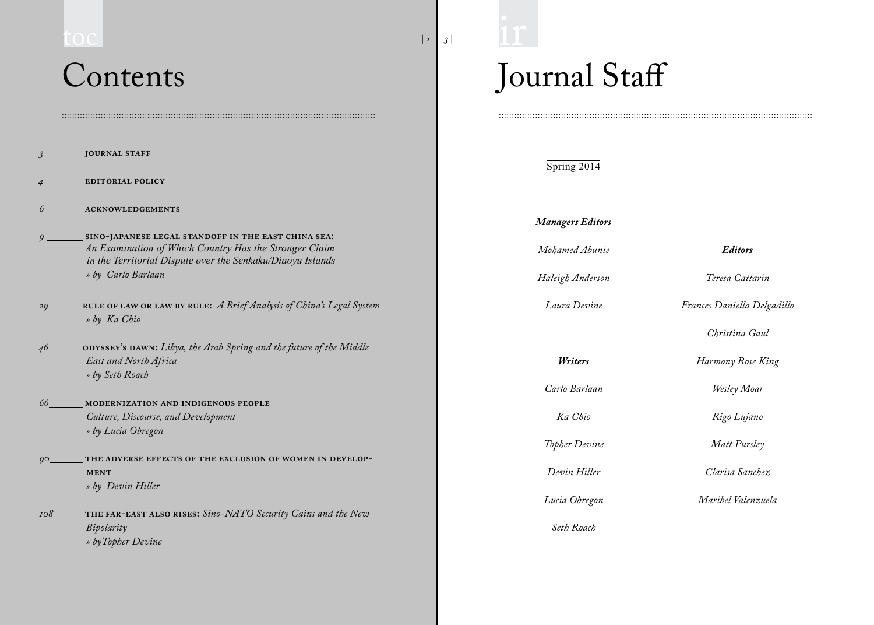# **Contents** toc **3 a**  $\frac{11}{3}$

| EDITORIAL POLICY<br>$\overline{4}$<br>ACKNOWLEDGEMENTS<br>6<br>9 SINO-JAPANESE LEGAL STANDOFF IN THE EAST CHINA SEA:<br>An Examination of Which Country Has the Stronger Claim<br>in the Territorial Dispute over the Senkaku/Diaoyu Islands<br>» by Carlo Barlaan<br>29_____RULE OF LAW OR LAW BY RULE: A Brief Analysis of China's Legal System<br>» by Ka Chio<br>46____________ODYSSEY's DAWN: Libya, the Arab Spring and the future of the Middle<br>East and North Africa<br>» by Seth Roach<br>66 MODERNIZATION AND INDIGENOUS PEOPLE<br>Culture, Discourse, and Development<br>» by Lucia Obregon<br>90_________ THE ADVERSE EFFECTS OF THE EXCLUSION OF WOMEN IN DEVELOP-<br><b>MENT</b> |  |
|---------------------------------------------------------------------------------------------------------------------------------------------------------------------------------------------------------------------------------------------------------------------------------------------------------------------------------------------------------------------------------------------------------------------------------------------------------------------------------------------------------------------------------------------------------------------------------------------------------------------------------------------------------------------------------------------------|--|
|                                                                                                                                                                                                                                                                                                                                                                                                                                                                                                                                                                                                                                                                                                   |  |
|                                                                                                                                                                                                                                                                                                                                                                                                                                                                                                                                                                                                                                                                                                   |  |
|                                                                                                                                                                                                                                                                                                                                                                                                                                                                                                                                                                                                                                                                                                   |  |
|                                                                                                                                                                                                                                                                                                                                                                                                                                                                                                                                                                                                                                                                                                   |  |
|                                                                                                                                                                                                                                                                                                                                                                                                                                                                                                                                                                                                                                                                                                   |  |
|                                                                                                                                                                                                                                                                                                                                                                                                                                                                                                                                                                                                                                                                                                   |  |
| » by Devin Hiller                                                                                                                                                                                                                                                                                                                                                                                                                                                                                                                                                                                                                                                                                 |  |
| 108________ THE FAR-EAST ALSO RISES: Sino-NATO Security Gains and the New<br>Bipolarity<br>» byTopher Devine                                                                                                                                                                                                                                                                                                                                                                                                                                                                                                                                                                                      |  |

 $\label{prop:main} The maximum minimum minimum minimum minimum number of the two different values are given by the following inequality.$ 

# Journal Staff

| Spring 2014             |                             |
|-------------------------|-----------------------------|
| <b>Managers Editors</b> |                             |
| Mohamed Abunie          | <b>Editors</b>              |
| Haleigh Anderson        | Teresa Cattarin             |
| Laura Devine            | Frances Daniella Delgadillo |
|                         | Christina Gaul              |
| Writers                 | Harmony Rose King           |
| Carlo Barlaan           | Wesley Moar                 |
| Ka Chio                 | Rigo Lujano                 |
| Topher Devine           | Matt Pursley                |
| Devin Hiller            | Clarisa Sanchez             |
| Lucia Obregon           | Maribel Valenzuela          |
| Seth Roach              |                             |

*| 2*

 $\frac{1}{1}$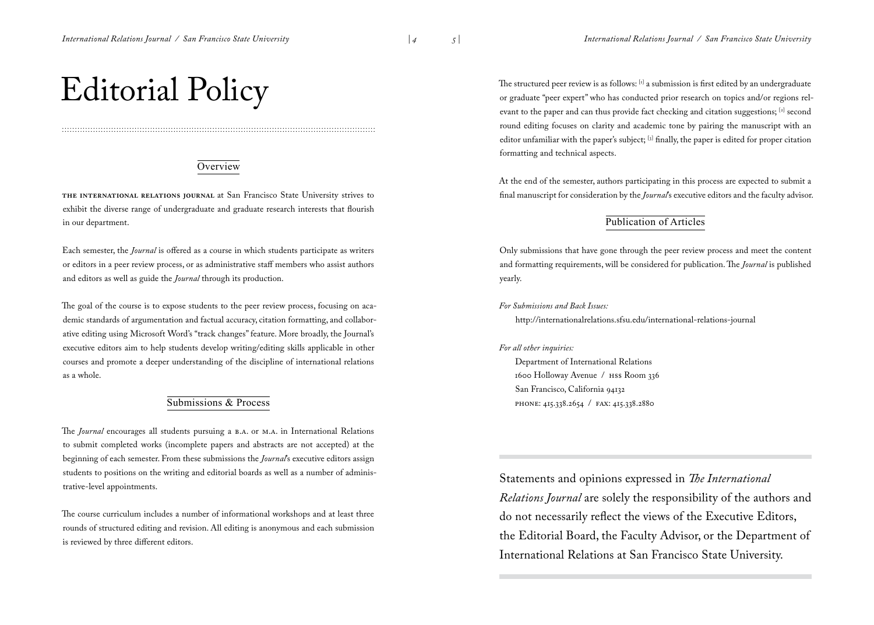*| 4*

## <span id="page-2-0"></span>Editorial Policy

#### **Overview**

**The International Relations Journal** at San Francisco State University strives to exhibit the diverse range of undergraduate and graduate research interests that flourish in our department.

Each semester, the *Journal* is offered as a course in which students participate as writers or editors in a peer review process, or as administrative staff members who assist authors and editors as well as guide the *Journal* through its production.

The goal of the course is to expose students to the peer review process, focusing on academic standards of argumentation and factual accuracy, citation formatting, and collaborative editing using Microsoft Word's "track changes" feature. More broadly, the Journal's executive editors aim to help students develop writing/editing skills applicable in other courses and promote a deeper understanding of the discipline of international relations as a whole.

#### Submissions & Process

The *Journal* encourages all students pursuing a B.A. or M.A. in International Relations to submit completed works (incomplete papers and abstracts are not accepted) at the beginning of each semester. From these submissions the *Journal*'s executive editors assign students to positions on the writing and editorial boards as well as a number of administrative-level appointments.

The course curriculum includes a number of informational workshops and at least three rounds of structured editing and revision. All editing is anonymous and each submission is reviewed by three different editors.

The structured peer review is as follows: [1] a submission is first edited by an undergraduate or graduate "peer expert" who has conducted prior research on topics and/or regions relevant to the paper and can thus provide fact checking and citation suggestions; [2] second round editing focuses on clarity and academic tone by pairing the manuscript with an editor unfamiliar with the paper's subject; [3] finally, the paper is edited for proper citation formatting and technical aspects.

At the end of the semester, authors participating in this process are expected to submit a final manuscript for consideration by the *Journal*'s executive editors and the faculty advisor.

#### Publication of Articles

Only submissions that have gone through the peer review process and meet the content and formatting requirements, will be considered for publication. The *Journal* is published yearly.

*For Submissions and Back Issues:*

http://internationalrelations.sfsu.edu/international-relations-journal

#### *For all other inquiries:*

Department of International Relations 1600 Holloway Avenue / HSS Room 336 San Francisco, California 94132 phone: 415.338.2654 / fax: 415.338.2880

Statements and opinions expressed in *The International Relations Journal* are solely the responsibility of the authors and do not necessarily reflect the views of the Executive Editors, the Editorial Board, the Faculty Advisor, or the Department of International Relations at San Francisco State University.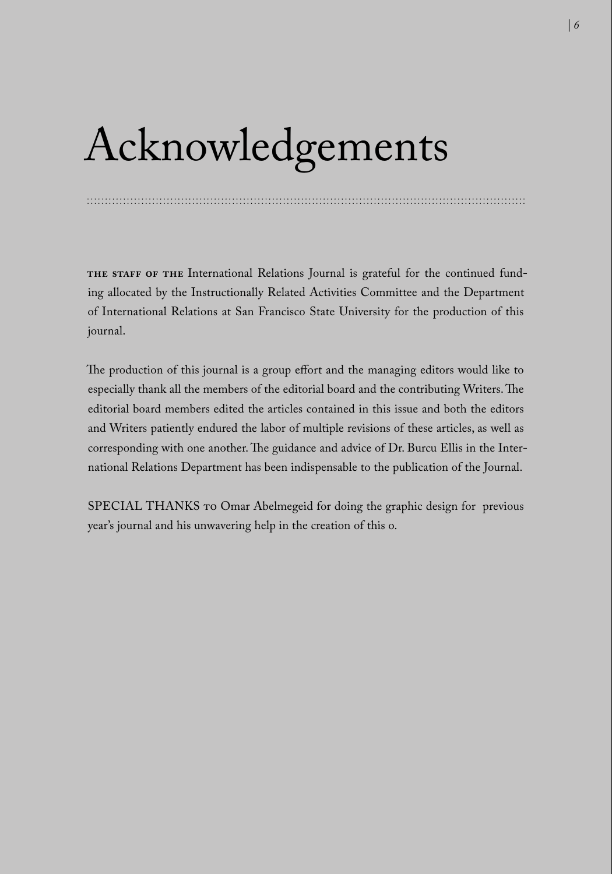## Acknowledgements

**The staff of the** International Relations Journal is grateful for the continued funding allocated by the Instructionally Related Activities Committee and the Department of International Relations at San Francisco State University for the production of this journal.

The production of this journal is a group effort and the managing editors would like to especially thank all the members of the editorial board and the contributing Writers. The editorial board members edited the articles contained in this issue and both the editors and Writers patiently endured the labor of multiple revisions of these articles, as well as corresponding with one another. The guidance and advice of Dr. Burcu Ellis in the International Relations Department has been indispensable to the publication of the Journal.

SPECIAL THANKS TO Omar Abelmegeid for doing the graphic design for previous year's journal and his unwavering help in the creation of this o.

<span id="page-3-0"></span>*6 | | PB*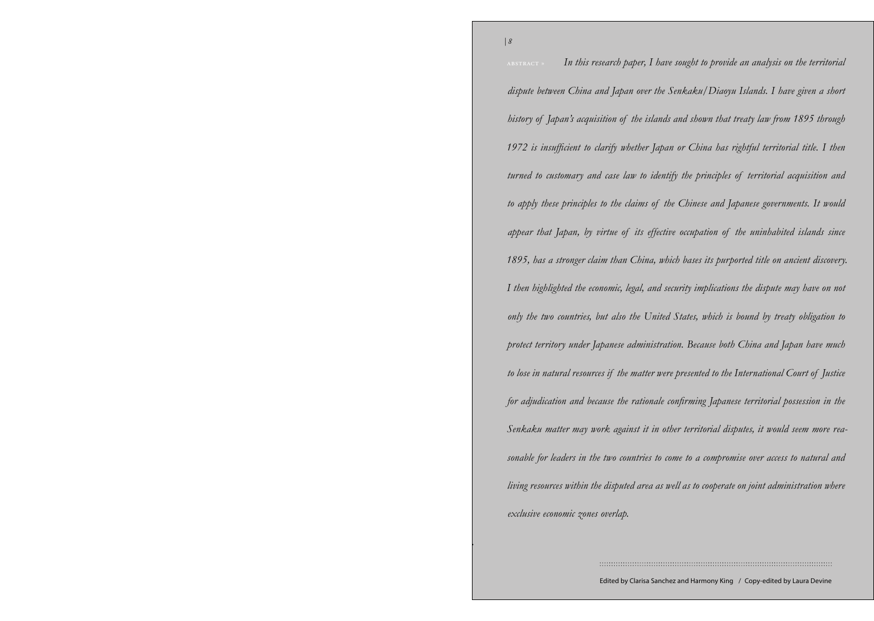*Volume 33 / Spring 2014 | 8* abstract » *In this research paper, I have sought to provide an analysis on the territorial*  U.S.–Turkmen *history of Japan's acquisition of the islands and shown that treaty law from 1895 through*  1972 is insufficient to clarify whether Japan or China has rightful territorial title. I then in to ensiomary and east tan<sup>n</sup> to ta  $\frac{1}{\sqrt{2}}$ on BigBigBica inc cconon of town town under Ich anese administrati region. Empires have historically dominated the territory of modern-day Turkmenistan, be in nainfai resources if the matter were for adjudication and because the rationale confirming Japanese territorial possession in the Senkaku matter may work against it in other territorial disputes, it would seem more reathe for leaders in the true countries to some to a compromise over assess to natural ically dominated the territory of  $\mathcal{O}$ Turkmenistan, beginning with its conquest in the 15 hours within the displaca area as we exclusive economic zones overlap. Empires have historically dominated the terri-I then highlighted the economic, legal, and security implications the dispute may have on not with its contribution in the 4th century B.C. by  $\mathbb{R}^d$ only the two countries, but also the United States, which is bound by treaty obligation to protect territory under Japanese administration. Because both China and Japan have much the territory of modern-day Turkmento lose in natural resources if the matter were presented to the International Court of Justice istan, beginning with its conquest in sonable for leaders in the two countries to come to a compromise over access to natural and living resources within the disputed area as well as to cooperate on joint administration where *dispute between China and Japan over the Senkaku/Diaoyu Islands. I have given a short turned to customary and case law to identify the principles of territorial acquisition and to apply these principles to the claims of the Chinese and Japanese governments. It would appear that Japan, by virtue of its effective occupation of the uninhabited islands since 1895, has a stronger claim than China, which bases its purported title on ancient discovery.* 

Edited by Clarisa Sanchez and Harmony King / Copy-edited by Laura Devine

*.*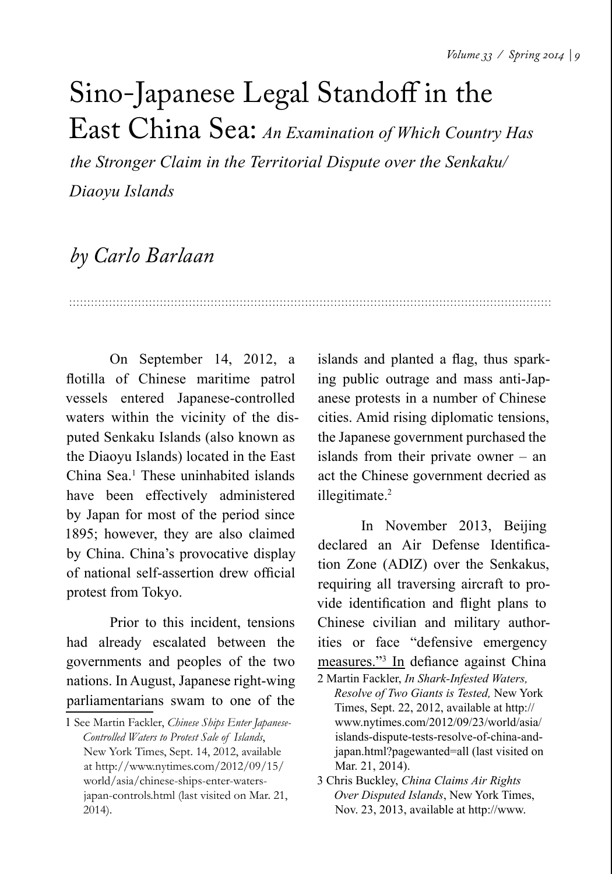## Sino-Japanese Legal Standoff in the East China Sea: *An Examination of Which Country Has*

*the Stronger Claim in the Territorial Dispute over the Senkaku/ Diaoyu Islands* 

## *by Carlo Barlaan*

On September 14, 2012, a flotilla of Chinese maritime patrol vessels entered Japanese-controlled waters within the vicinity of the disputed Senkaku Islands (also known as the Diaoyu Islands) located in the East China Sea.<sup>1</sup> These uninhabited islands have been effectively administered by Japan for most of the period since 1895; however, they are also claimed by China. China's provocative display of national self-assertion drew official protest from Tokyo.

Prior to this incident, tensions had already escalated between the governments and peoples of the two nations. In August, Japanese right-wing parliamentarians swam to one of the

islands and planted a flag, thus sparking public outrage and mass anti-Japanese protests in a number of Chinese cities. Amid rising diplomatic tensions, the Japanese government purchased the islands from their private owner – an act the Chinese government decried as illegitimate.<sup>2</sup>

In November 2013, Beijing declared an Air Defense Identification Zone (ADIZ) over the Senkakus, requiring all traversing aircraft to provide identification and flight plans to Chinese civilian and military authorities or face "defensive emergency measures."<sup>3</sup> In defiance against China

<sup>1</sup> See Martin Fackler, *Chinese Ships Enter Japanese-Controlled Waters to Protest Sale of Islands*, New York Times, Sept. 14, 2012, available at [http://www.nytimes.com/2012/09/15/](http://www.nytimes.com/2012/09/15/world/asia/chinese-ships-enter-waters-japan-controls.html) [world/asia/chinese-ships-enter-waters](http://www.nytimes.com/2012/09/15/world/asia/chinese-ships-enter-waters-japan-controls.html)[japan-controls.html](http://www.nytimes.com/2012/09/15/world/asia/chinese-ships-enter-waters-japan-controls.html) (last visited on Mar. 21, 2014).

<sup>2</sup> Martin Fackler, *In Shark-Infested Waters, Resolve of Two Giants is Tested,* New York Times, Sept. 22, 2012, available at [http://](http://www.nytimes.com/2012/09/23/world/asia/islands-dispute-tests-resolve-of-china-and-japan.html?pagewanted=all) [www.nytimes.com/2012/09/23/world/asia/](http://www.nytimes.com/2012/09/23/world/asia/islands-dispute-tests-resolve-of-china-and-japan.html?pagewanted=all) [islands-dispute-tests-resolve-of-china-and](http://www.nytimes.com/2012/09/23/world/asia/islands-dispute-tests-resolve-of-china-and-japan.html?pagewanted=all)[japan.html?pagewanted=all](http://www.nytimes.com/2012/09/23/world/asia/islands-dispute-tests-resolve-of-china-and-japan.html?pagewanted=all) (last visited on Mar. 21, 2014).

<sup>3</sup> Chris Buckley, *China Claims Air Rights Over Disputed Islands*, New York Times, Nov. 23, 2013, available at [http://www.](http://www.nytimes.com/2013/11/24/world/asia/china-warns-of-action-against-aircraft-over-disputed-seas.html)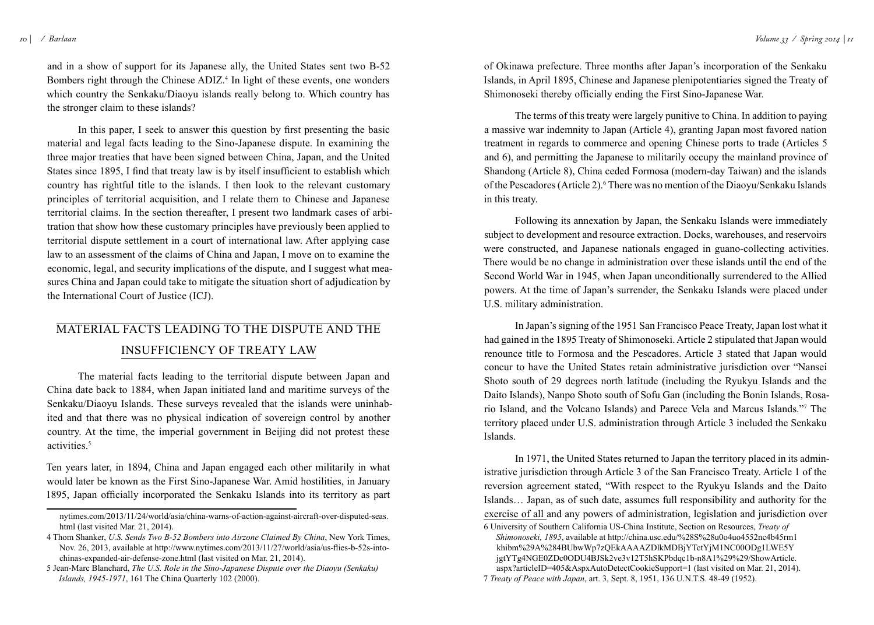and in a show of support for its Japanese ally, the United States sent two B-52 Bombers right through the Chinese ADIZ. 4 In light of these events, one wonders which country the Senkaku/Diaoyu islands really belong to. Which country has the stronger claim to these islands?

In this paper, I seek to answer this question by first presenting the basic material and legal facts leading to the Sino-Japanese dispute. In examining the three major treaties that have been signed between China, Japan, and the United States since 1895, I find that treaty law is by itself insufficient to establish which country has rightful title to the islands. I then look to the relevant customary principles of territorial acquisition, and I relate them to Chinese and Japanese territorial claims. In the section thereafter, I present two landmark cases of arbitration that show how these customary principles have previously been applied to territorial dispute settlement in a court of international law. After applying case law to an assessment of the claims of China and Japan, I move on to examine the economic, legal, and security implications of the dispute, and I suggest what measures China and Japan could take to mitigate the situation short of adjudication by the International Court of Justice (ICJ).

## Material Facts Leading to the Dispute and the Insufficiency of Treaty Law

The material facts leading to the territorial dispute between Japan and China date back to 1884, when Japan initiated land and maritime surveys of the Senkaku/Diaoyu Islands. These surveys revealed that the islands were uninhabited and that there was no physical indication of sovereign control by another country. At the time, the imperial government in Beijing did not protest these activities<sup>5</sup>

Ten years later, in 1894, China and Japan engaged each other militarily in what would later be known as the First Sino-Japanese War. Amid hostilities, in January 1895, Japan officially incorporated the Senkaku Islands into its territory as part

of Okinawa prefecture. Three months after Japan's incorporation of the Senkaku Islands, in April 1895, Chinese and Japanese plenipotentiaries signed the Treaty of Shimonoseki thereby officially ending the First Sino-Japanese War.

The terms of this treaty were largely punitive to China. In addition to paying a massive war indemnity to Japan (Article 4), granting Japan most favored nation treatment in regards to commerce and opening Chinese ports to trade (Articles 5 and 6), and permitting the Japanese to militarily occupy the mainland province of Shandong (Article 8), China ceded Formosa (modern-day Taiwan) and the islands of the Pescadores (Article 2).<sup>6</sup> There was no mention of the Diaoyu/Senkaku Islands in this treaty.

Following its annexation by Japan, the Senkaku Islands were immediately subject to development and resource extraction. Docks, warehouses, and reservoirs were constructed, and Japanese nationals engaged in guano-collecting activities. There would be no change in administration over these islands until the end of the Second World War in 1945, when Japan unconditionally surrendered to the Allied powers. At the time of Japan's surrender, the Senkaku Islands were placed under U.S. military administration.

In Japan's signing of the 1951 San Francisco Peace Treaty, Japan lost what it had gained in the 1895 Treaty of Shimonoseki. Article 2 stipulated that Japan would renounce title to Formosa and the Pescadores. Article 3 stated that Japan would concur to have the United States retain administrative jurisdiction over "Nansei Shoto south of 29 degrees north latitude (including the Ryukyu Islands and the Daito Islands), Nanpo Shoto south of Sofu Gan (including the Bonin Islands, Rosario Island, and the Volcano Islands) and Parece Vela and Marcus Islands."<sup>7</sup> The territory placed under U.S. administration through Article 3 included the Senkaku Islands.

In 1971, the United States returned to Japan the territory placed in its administrative jurisdiction through Article 3 of the San Francisco Treaty. Article 1 of the reversion agreement stated, "With respect to the Ryukyu Islands and the Daito Islands… Japan, as of such date, assumes full responsibility and authority for the exercise of all and any powers of administration, legislation and jurisdiction over

[nytimes.com/2013/11/24/world/asia/china-warns-of-action-against-aircraft-over-disputed-seas.](http://www.nytimes.com/2013/11/24/world/asia/china-warns-of-action-against-aircraft-over-disputed-seas.html) [html](http://www.nytimes.com/2013/11/24/world/asia/china-warns-of-action-against-aircraft-over-disputed-seas.html) (last visited Mar. 21, 2014).

<sup>4</sup> Thom Shanker, *U.S. Sends Two B-52 Bombers into Airzone Claimed By China*, New York Times, Nov. 26, 2013, available at [http://www.nytimes.com/2013/11/27/world/asia/us-flies-b-52s-into](http://www.nytimes.com/2013/11/27/world/asia/us-flies-b-52s-into-chinas-expanded-air-defense-zone.html)[chinas-expanded-air-defense-zone.html](http://www.nytimes.com/2013/11/27/world/asia/us-flies-b-52s-into-chinas-expanded-air-defense-zone.html) (last visited on Mar. 21, 2014).

<sup>5</sup> Jean-Marc Blanchard, *The U.S. Role in the Sino-Japanese Dispute over the Diaoyu (Senkaku) Islands, 1945-1971*, 161 The China Quarterly 102 (2000).

<sup>6</sup> University of Southern California US-China Institute, Section on Resources, *Treaty of Shimonoseki, 1895*, available at [http://china.usc.edu/%28S%28u0o4uo4552nc4b45rm1](http://china.usc.edu/%28S%28u0o4uo4552nc4b45rm1khibm%29A%284BUbwWp7zQEkAAAAZDlkMDBjYTctYjM1NC00ODg1LWE5YjgtYTg4NGE0ZDc0ODU4BJSk2ve3v12T5hSKPbdqc1b-n8A1%29%29/ShowArticle.aspx?articleID=405&AspxAutoDetectCookieSupport=1) [khibm%29A%284BUbwWp7zQEkAAAAZDlkMDBjYTctYjM1NC00ODg1LWE5Y](http://china.usc.edu/%28S%28u0o4uo4552nc4b45rm1khibm%29A%284BUbwWp7zQEkAAAAZDlkMDBjYTctYjM1NC00ODg1LWE5YjgtYTg4NGE0ZDc0ODU4BJSk2ve3v12T5hSKPbdqc1b-n8A1%29%29/ShowArticle.aspx?articleID=405&AspxAutoDetectCookieSupport=1) [jgtYTg4NGE0ZDc0ODU4BJSk2ve3v12T5hSKPbdqc1b-n8A1%29%29/ShowArticle.](http://china.usc.edu/%28S%28u0o4uo4552nc4b45rm1khibm%29A%284BUbwWp7zQEkAAAAZDlkMDBjYTctYjM1NC00ODg1LWE5YjgtYTg4NGE0ZDc0ODU4BJSk2ve3v12T5hSKPbdqc1b-n8A1%29%29/ShowArticle.aspx?articleID=405&AspxAutoDetectCookieSupport=1) [aspx?articleID=405&AspxAutoDetectCookieSupport=1](http://china.usc.edu/%28S%28u0o4uo4552nc4b45rm1khibm%29A%284BUbwWp7zQEkAAAAZDlkMDBjYTctYjM1NC00ODg1LWE5YjgtYTg4NGE0ZDc0ODU4BJSk2ve3v12T5hSKPbdqc1b-n8A1%29%29/ShowArticle.aspx?articleID=405&AspxAutoDetectCookieSupport=1) (last visited on Mar. 21, 2014). 7 *Treaty of Peace with Japan*, art. 3, Sept. 8, 1951, 136 U.N.T.S. 48-49 (1952).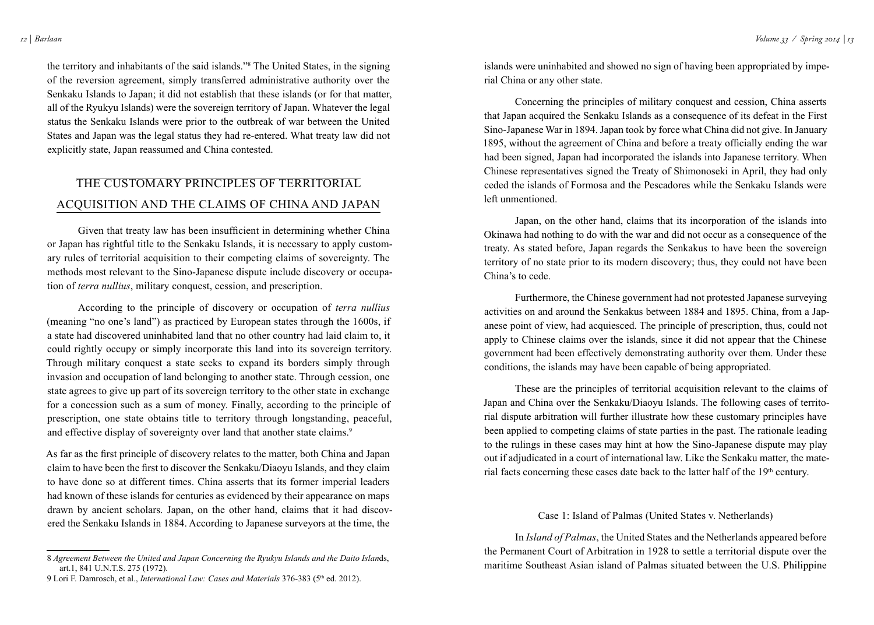the territory and inhabitants of the said islands."<sup>8</sup> The United States, in the signing of the reversion agreement, simply transferred administrative authority over the Senkaku Islands to Japan; it did not establish that these islands (or for that matter, all of the Ryukyu Islands) were the sovereign territory of Japan. Whatever the legal status the Senkaku Islands were prior to the outbreak of war between the United States and Japan was the legal status they had re-entered. What treaty law did not explicitly state, Japan reassumed and China contested.

## The Customary Principles of Territorial Acquisition and the Claims of China and Japan

Given that treaty law has been insufficient in determining whether China or Japan has rightful title to the Senkaku Islands, it is necessary to apply customary rules of territorial acquisition to their competing claims of sovereignty. The methods most relevant to the Sino-Japanese dispute include discovery or occupation of *terra nullius*, military conquest, cession, and prescription.

According to the principle of discovery or occupation of *terra nullius* (meaning "no one's land") as practiced by European states through the 1600s, if a state had discovered uninhabited land that no other country had laid claim to, it could rightly occupy or simply incorporate this land into its sovereign territory. Through military conquest a state seeks to expand its borders simply through invasion and occupation of land belonging to another state. Through cession, one state agrees to give up part of its sovereign territory to the other state in exchange for a concession such as a sum of money. Finally, according to the principle of prescription, one state obtains title to territory through longstanding, peaceful, and effective display of sovereignty over land that another state claims.<sup>9</sup>

As far as the first principle of discovery relates to the matter, both China and Japan claim to have been the first to discover the Senkaku/Diaoyu Islands, and they claim to have done so at different times. China asserts that its former imperial leaders had known of these islands for centuries as evidenced by their appearance on maps drawn by ancient scholars. Japan, on the other hand, claims that it had discovered the Senkaku Islands in 1884. According to Japanese surveyors at the time, the

islands were uninhabited and showed no sign of having been appropriated by imperial China or any other state.

Concerning the principles of military conquest and cession, China asserts that Japan acquired the Senkaku Islands as a consequence of its defeat in the First Sino-Japanese War in 1894. Japan took by force what China did not give. In January 1895, without the agreement of China and before a treaty officially ending the war had been signed, Japan had incorporated the islands into Japanese territory. When Chinese representatives signed the Treaty of Shimonoseki in April, they had only ceded the islands of Formosa and the Pescadores while the Senkaku Islands were left unmentioned.

Japan, on the other hand, claims that its incorporation of the islands into Okinawa had nothing to do with the war and did not occur as a consequence of the treaty. As stated before, Japan regards the Senkakus to have been the sovereign territory of no state prior to its modern discovery; thus, they could not have been China's to cede.

Furthermore, the Chinese government had not protested Japanese surveying activities on and around the Senkakus between 1884 and 1895. China, from a Japanese point of view, had acquiesced. The principle of prescription, thus, could not apply to Chinese claims over the islands, since it did not appear that the Chinese government had been effectively demonstrating authority over them. Under these conditions, the islands may have been capable of being appropriated.

These are the principles of territorial acquisition relevant to the claims of Japan and China over the Senkaku/Diaoyu Islands. The following cases of territorial dispute arbitration will further illustrate how these customary principles have been applied to competing claims of state parties in the past. The rationale leading to the rulings in these cases may hint at how the Sino-Japanese dispute may play out if adjudicated in a court of international law. Like the Senkaku matter, the material facts concerning these cases date back to the latter half of the 19<sup>th</sup> century.

#### Case 1: Island of Palmas (United States v. Netherlands)

In *Island of Palmas*, the United States and the Netherlands appeared before the Permanent Court of Arbitration in 1928 to settle a territorial dispute over the maritime Southeast Asian island of Palmas situated between the U.S. Philippine

<sup>8</sup> *Agreement Between the United and Japan Concerning the Ryukyu Islands and the Daito Islan*ds, art.1, 841 U.N.T.S. 275 (1972).

<sup>9</sup> Lori F. Damrosch, et al., *International Law: Cases and Materials* 376-383 (5th ed. 2012).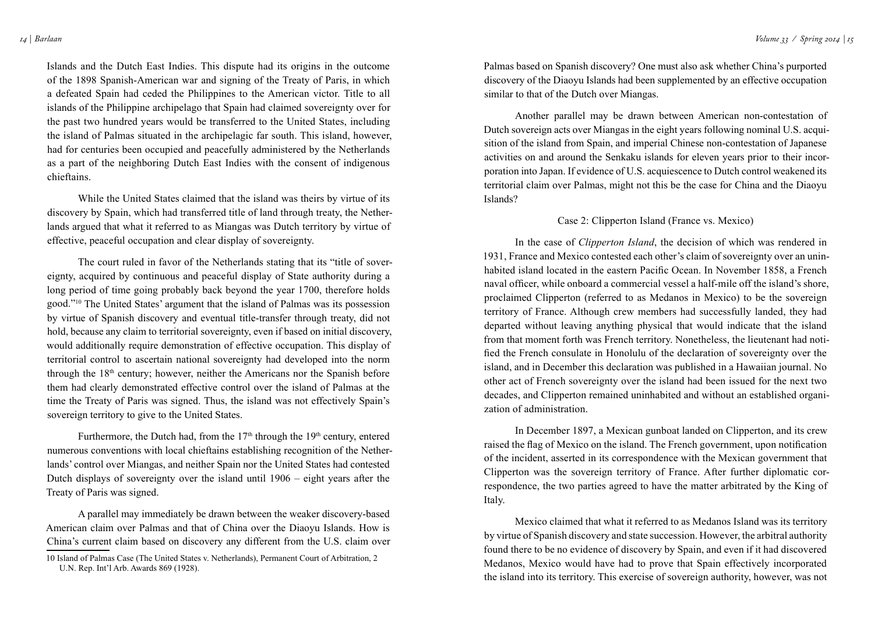Islands and the Dutch East Indies. This dispute had its origins in the outcome of the 1898 Spanish-American war and signing of the Treaty of Paris, in which a defeated Spain had ceded the Philippines to the American victor. Title to all islands of the Philippine archipelago that Spain had claimed sovereignty over for the past two hundred years would be transferred to the United States, including the island of Palmas situated in the archipelagic far south. This island, however, had for centuries been occupied and peacefully administered by the Netherlands as a part of the neighboring Dutch East Indies with the consent of indigenous chieftains.

While the United States claimed that the island was theirs by virtue of its discovery by Spain, which had transferred title of land through treaty, the Netherlands argued that what it referred to as Miangas was Dutch territory by virtue of effective, peaceful occupation and clear display of sovereignty.

The court ruled in favor of the Netherlands stating that its "title of sovereignty, acquired by continuous and peaceful display of State authority during a long period of time going probably back beyond the year 1700, therefore holds good."<sup>10</sup> The United States' argument that the island of Palmas was its possession by virtue of Spanish discovery and eventual title-transfer through treaty, did not hold, because any claim to territorial sovereignty, even if based on initial discovery, would additionally require demonstration of effective occupation. This display of territorial control to ascertain national sovereignty had developed into the norm through the 18th century; however, neither the Americans nor the Spanish before them had clearly demonstrated effective control over the island of Palmas at the time the Treaty of Paris was signed. Thus, the island was not effectively Spain's sovereign territory to give to the United States.

Furthermore, the Dutch had, from the  $17<sup>th</sup>$  through the  $19<sup>th</sup>$  century, entered numerous conventions with local chieftains establishing recognition of the Netherlands' control over Miangas, and neither Spain nor the United States had contested Dutch displays of sovereignty over the island until 1906 – eight years after the Treaty of Paris was signed.

A parallel may immediately be drawn between the weaker discovery-based American claim over Palmas and that of China over the Diaoyu Islands. How is China's current claim based on discovery any different from the U.S. claim over

Palmas based on Spanish discovery? One must also ask whether China's purported discovery of the Diaoyu Islands had been supplemented by an effective occupation similar to that of the Dutch over Miangas.

Another parallel may be drawn between American non-contestation of Dutch sovereign acts over Miangas in the eight years following nominal U.S. acquisition of the island from Spain, and imperial Chinese non-contestation of Japanese activities on and around the Senkaku islands for eleven years prior to their incorporation into Japan. If evidence of U.S. acquiescence to Dutch control weakened its territorial claim over Palmas, might not this be the case for China and the Diaoyu Islands?

#### Case 2: Clipperton Island (France vs. Mexico)

In the case of *Clipperton Island*, the decision of which was rendered in 1931, France and Mexico contested each other's claim of sovereignty over an uninhabited island located in the eastern Pacific Ocean. In November 1858, a French naval officer, while onboard a commercial vessel a half-mile off the island's shore, proclaimed Clipperton (referred to as Medanos in Mexico) to be the sovereign territory of France. Although crew members had successfully landed, they had departed without leaving anything physical that would indicate that the island from that moment forth was French territory. Nonetheless, the lieutenant had notified the French consulate in Honolulu of the declaration of sovereignty over the island, and in December this declaration was published in a Hawaiian journal. No other act of French sovereignty over the island had been issued for the next two decades, and Clipperton remained uninhabited and without an established organization of administration.

In December 1897, a Mexican gunboat landed on Clipperton, and its crew raised the flag of Mexico on the island. The French government, upon notification of the incident, asserted in its correspondence with the Mexican government that Clipperton was the sovereign territory of France. After further diplomatic correspondence, the two parties agreed to have the matter arbitrated by the King of Italy.

Mexico claimed that what it referred to as Medanos Island was its territory by virtue of Spanish discovery and state succession. However, the arbitral authority found there to be no evidence of discovery by Spain, and even if it had discovered Medanos, Mexico would have had to prove that Spain effectively incorporated the island into its territory. This exercise of sovereign authority, however, was not

<sup>10</sup> Island of Palmas Case (The United States v. Netherlands), Permanent Court of Arbitration, 2 U.N. Rep. Int'l Arb. Awards 869 (1928).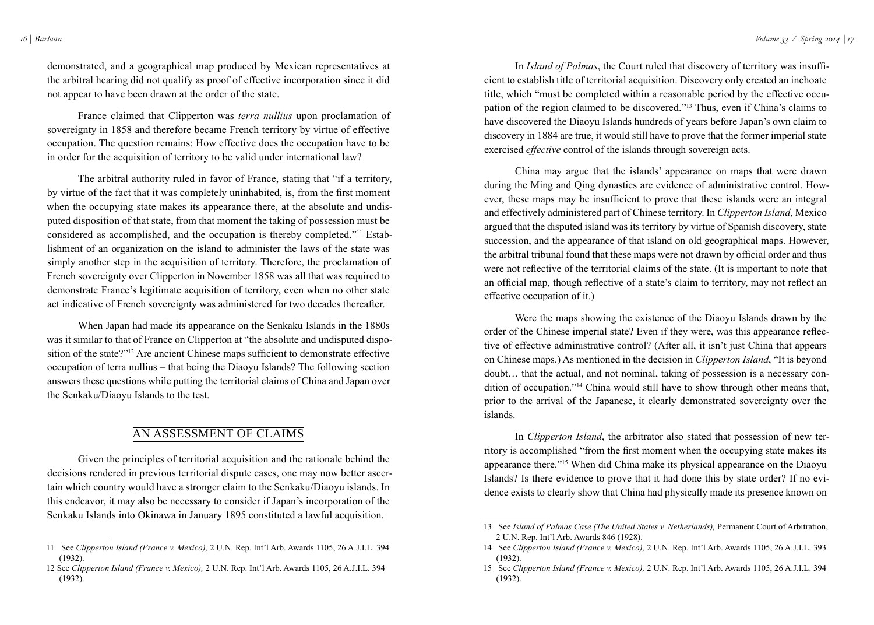demonstrated, and a geographical map produced by Mexican representatives at the arbitral hearing did not qualify as proof of effective incorporation since it did not appear to have been drawn at the order of the state.

France claimed that Clipperton was *terra nullius* upon proclamation of sovereignty in 1858 and therefore became French territory by virtue of effective occupation. The question remains: How effective does the occupation have to be in order for the acquisition of territory to be valid under international law?

The arbitral authority ruled in favor of France, stating that "if a territory, by virtue of the fact that it was completely uninhabited, is, from the first moment when the occupying state makes its appearance there, at the absolute and undisputed disposition of that state, from that moment the taking of possession must be considered as accomplished, and the occupation is thereby completed."11 Establishment of an organization on the island to administer the laws of the state was simply another step in the acquisition of territory. Therefore, the proclamation of French sovereignty over Clipperton in November 1858 was all that was required to demonstrate France's legitimate acquisition of territory, even when no other state act indicative of French sovereignty was administered for two decades thereafter.

When Japan had made its appearance on the Senkaku Islands in the 1880s was it similar to that of France on Clipperton at "the absolute and undisputed disposition of the state?"<sup>12</sup> Are ancient Chinese maps sufficient to demonstrate effective occupation of terra nullius – that being the Diaoyu Islands? The following section answers these questions while putting the territorial claims of China and Japan over the Senkaku/Diaoyu Islands to the test.

## An Assessment of Claims

Given the principles of territorial acquisition and the rationale behind the decisions rendered in previous territorial dispute cases, one may now better ascertain which country would have a stronger claim to the Senkaku/Diaoyu islands. In this endeavor, it may also be necessary to consider if Japan's incorporation of the Senkaku Islands into Okinawa in January 1895 constituted a lawful acquisition.

In *Island of Palmas*, the Court ruled that discovery of territory was insufficient to establish title of territorial acquisition. Discovery only created an inchoate title, which "must be completed within a reasonable period by the effective occupation of the region claimed to be discovered."13 Thus, even if China's claims to have discovered the Diaoyu Islands hundreds of years before Japan's own claim to discovery in 1884 are true, it would still have to prove that the former imperial state exercised *effective* control of the islands through sovereign acts.

China may argue that the islands' appearance on maps that were drawn during the Ming and Qing dynasties are evidence of administrative control. However, these maps may be insufficient to prove that these islands were an integral and effectively administered part of Chinese territory. In *Clipperton Island*, Mexico argued that the disputed island was its territory by virtue of Spanish discovery, state succession, and the appearance of that island on old geographical maps. However, the arbitral tribunal found that these maps were not drawn by official order and thus were not reflective of the territorial claims of the state. (It is important to note that an official map, though reflective of a state's claim to territory, may not reflect an effective occupation of it.)

Were the maps showing the existence of the Diaoyu Islands drawn by the order of the Chinese imperial state? Even if they were, was this appearance reflective of effective administrative control? (After all, it isn't just China that appears on Chinese maps.) As mentioned in the decision in *Clipperton Island*, "It is beyond doubt… that the actual, and not nominal, taking of possession is a necessary condition of occupation."<sup>14</sup> China would still have to show through other means that, prior to the arrival of the Japanese, it clearly demonstrated sovereignty over the islands.

In *Clipperton Island*, the arbitrator also stated that possession of new territory is accomplished "from the first moment when the occupying state makes its appearance there."<sup>15</sup> When did China make its physical appearance on the Diaoyu Islands? Is there evidence to prove that it had done this by state order? If no evidence exists to clearly show that China had physically made its presence known on

<sup>11</sup> See *Clipperton Island (France v. Mexico),* 2 U.N. Rep. Int'l Arb. Awards 1105, 26 A.J.I.L. 394 (1932).

<sup>12</sup> See *Clipperton Island (France v. Mexico),* 2 U.N. Rep. Int'l Arb. Awards 1105, 26 A.J.I.L. 394 (1932).

<sup>13</sup> See *Island of Palmas Case (The United States v. Netherlands),* Permanent Court of Arbitration, 2 U.N. Rep. Int'l Arb. Awards 846 (1928).

<sup>14</sup> See *Clipperton Island (France v. Mexico),* 2 U.N. Rep. Int'l Arb. Awards 1105, 26 A.J.I.L. 393 (1932).

<sup>15</sup> See *Clipperton Island (France v. Mexico),* 2 U.N. Rep. Int'l Arb. Awards 1105, 26 A.J.I.L. 394 (1932).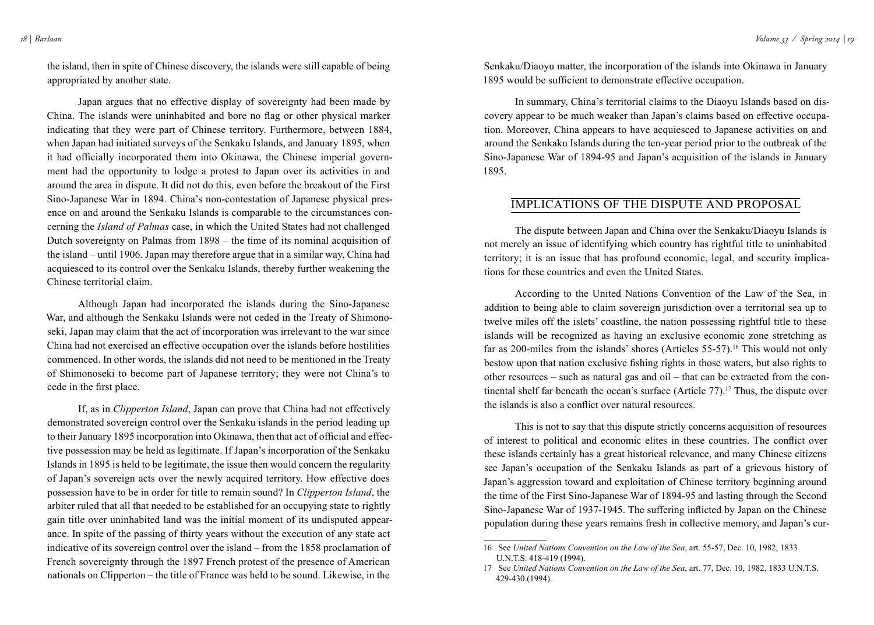the island, then in spite of Chinese discovery, the islands were still capable of being appropriated by another state.

Japan argues that no effective display of sovereignty had been made by China. The islands were uninhabited and bore no flag or other physical marker indicating that they were part of Chinese territory. Furthermore, between 1884, when Japan had initiated surveys of the Senkaku Islands, and January 1895, when it had officially incorporated them into Okinawa, the Chinese imperial government had the opportunity to lodge a protest to Japan over its activities in and around the area in dispute. It did not do this, even before the breakout of the First Sino-Japanese War in 1894. China's non-contestation of Japanese physical presence on and around the Senkaku Islands is comparable to the circumstances concerning the *Island of Palmas* case, in which the United States had not challenged Dutch sovereignty on Palmas from 1898 – the time of its nominal acquisition of the island – until 1906. Japan may therefore argue that in a similar way, China had acquiesced to its control over the Senkaku Islands, thereby further weakening the Chinese territorial claim.

Although Japan had incorporated the islands during the Sino-Japanese War, and although the Senkaku Islands were not ceded in the Treaty of Shimonoseki, Japan may claim that the act of incorporation was irrelevant to the war since China had not exercised an effective occupation over the islands before hostilities commenced. In other words, the islands did not need to be mentioned in the Treaty of Shimonoseki to become part of Japanese territory; they were not China's to cede in the first place.

If, as in *Clipperton Island*, Japan can prove that China had not effectively demonstrated sovereign control over the Senkaku islands in the period leading up to their January 1895 incorporation into Okinawa, then that act of official and effective possession may be held as legitimate. If Japan's incorporation of the Senkaku Islands in 1895 is held to be legitimate, the issue then would concern the regularity of Japan's sovereign acts over the newly acquired territory. How effective does possession have to be in order for title to remain sound? In *Clipperton Island*, the arbiter ruled that all that needed to be established for an occupying state to rightly gain title over uninhabited land was the initial moment of its undisputed appearance. In spite of the passing of thirty years without the execution of any state act indicative of its sovereign control over the island – from the 1858 proclamation of French sovereignty through the 1897 French protest of the presence of American nationals on Clipperton – the title of France was held to be sound. Likewise, in the

Senkaku/Diaoyu matter, the incorporation of the islands into Okinawa in January 1895 would be sufficient to demonstrate effective occupation.

In summary, China's territorial claims to the Diaoyu Islands based on discovery appear to be much weaker than Japan's claims based on effective occupation. Moreover, China appears to have acquiesced to Japanese activities on and around the Senkaku Islands during the ten-year period prior to the outbreak of the Sino-Japanese War of 1894-95 and Japan's acquisition of the islands in January 1895.

## Implications of the Dispute and Proposal

The dispute between Japan and China over the Senkaku/Diaoyu Islands is not merely an issue of identifying which country has rightful title to uninhabited territory; it is an issue that has profound economic, legal, and security implications for these countries and even the United States.

According to the United Nations Convention of the Law of the Sea, in addition to being able to claim sovereign jurisdiction over a territorial sea up to twelve miles off the islets' coastline, the nation possessing rightful title to these islands will be recognized as having an exclusive economic zone stretching as far as 200-miles from the islands' shores (Articles 55-57).<sup>16</sup> This would not only bestow upon that nation exclusive fishing rights in those waters, but also rights to other resources – such as natural gas and oil – that can be extracted from the continental shelf far beneath the ocean's surface (Article  $77$ ).<sup>17</sup> Thus, the dispute over the islands is also a conflict over natural resources.

This is not to say that this dispute strictly concerns acquisition of resources of interest to political and economic elites in these countries. The conflict over these islands certainly has a great historical relevance, and many Chinese citizens see Japan's occupation of the Senkaku Islands as part of a grievous history of Japan's aggression toward and exploitation of Chinese territory beginning around the time of the First Sino-Japanese War of 1894-95 and lasting through the Second Sino-Japanese War of 1937-1945. The suffering inflicted by Japan on the Chinese population during these years remains fresh in collective memory, and Japan's cur-

<sup>16</sup> See *United Nations Convention on the Law of the Sea*, art. 55-57, Dec. 10, 1982, 1833 U.N.T.S. 418-419 (1994).

<sup>17</sup> See *United Nations Convention on the Law of the Sea*, art. 77, Dec. 10, 1982, 1833 U.N.T.S. 429-430 (1994).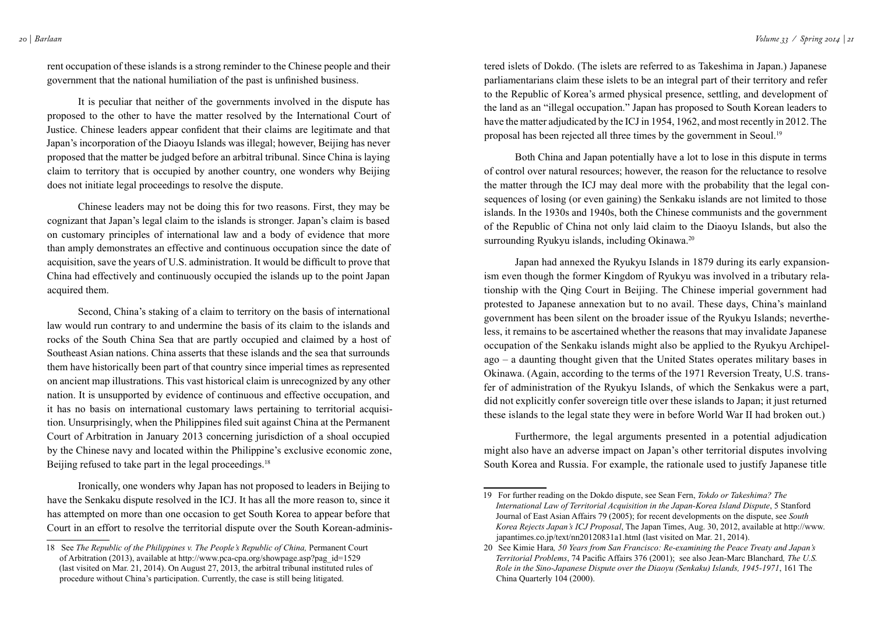rent occupation of these islands is a strong reminder to the Chinese people and their government that the national humiliation of the past is unfinished business.

It is peculiar that neither of the governments involved in the dispute has proposed to the other to have the matter resolved by the International Court of Justice. Chinese leaders appear confident that their claims are legitimate and that Japan's incorporation of the Diaoyu Islands was illegal; however, Beijing has never proposed that the matter be judged before an arbitral tribunal. Since China is laying claim to territory that is occupied by another country, one wonders why Beijing does not initiate legal proceedings to resolve the dispute.

Chinese leaders may not be doing this for two reasons. First, they may be cognizant that Japan's legal claim to the islands is stronger. Japan's claim is based on customary principles of international law and a body of evidence that more than amply demonstrates an effective and continuous occupation since the date of acquisition, save the years of U.S. administration. It would be difficult to prove that China had effectively and continuously occupied the islands up to the point Japan acquired them.

Second, China's staking of a claim to territory on the basis of international law would run contrary to and undermine the basis of its claim to the islands and rocks of the South China Sea that are partly occupied and claimed by a host of Southeast Asian nations. China asserts that these islands and the sea that surrounds them have historically been part of that country since imperial times as represented on ancient map illustrations. This vast historical claim is unrecognized by any other nation. It is unsupported by evidence of continuous and effective occupation, and it has no basis on international customary laws pertaining to territorial acquisition. Unsurprisingly, when the Philippines filed suit against China at the Permanent Court of Arbitration in January 2013 concerning jurisdiction of a shoal occupied by the Chinese navy and located within the Philippine's exclusive economic zone, Beijing refused to take part in the legal proceedings.<sup>18</sup>

Ironically, one wonders why Japan has not proposed to leaders in Beijing to have the Senkaku dispute resolved in the ICJ. It has all the more reason to, since it has attempted on more than one occasion to get South Korea to appear before that Court in an effort to resolve the territorial dispute over the South Korean-adminis-

tered islets of Dokdo. (The islets are referred to as Takeshima in Japan.) Japanese parliamentarians claim these islets to be an integral part of their territory and refer to the Republic of Korea's armed physical presence, settling, and development of the land as an "illegal occupation." Japan has proposed to South Korean leaders to have the matter adjudicated by the ICJ in 1954, 1962, and most recently in 2012. The proposal has been rejected all three times by the government in Seoul.<sup>19</sup>

Both China and Japan potentially have a lot to lose in this dispute in terms of control over natural resources; however, the reason for the reluctance to resolve the matter through the ICJ may deal more with the probability that the legal consequences of losing (or even gaining) the Senkaku islands are not limited to those islands. In the 1930s and 1940s, both the Chinese communists and the government of the Republic of China not only laid claim to the Diaoyu Islands, but also the surrounding Ryukyu islands, including Okinawa.<sup>20</sup>

Japan had annexed the Ryukyu Islands in 1879 during its early expansionism even though the former Kingdom of Ryukyu was involved in a tributary relationship with the Qing Court in Beijing. The Chinese imperial government had protested to Japanese annexation but to no avail. These days, China's mainland government has been silent on the broader issue of the Ryukyu Islands; nevertheless, it remains to be ascertained whether the reasons that may invalidate Japanese occupation of the Senkaku islands might also be applied to the Ryukyu Archipelago – a daunting thought given that the United States operates military bases in Okinawa. (Again, according to the terms of the 1971 Reversion Treaty, U.S. transfer of administration of the Ryukyu Islands, of which the Senkakus were a part, did not explicitly confer sovereign title over these islands to Japan; it just returned these islands to the legal state they were in before World War II had broken out.)

Furthermore, the legal arguments presented in a potential adjudication might also have an adverse impact on Japan's other territorial disputes involving South Korea and Russia. For example, the rationale used to justify Japanese title

<sup>18</sup> See *The Republic of the Philippines v. The People's Republic of China,* Permanent Court of Arbitration (2013), available at [http://www.pca-cpa.org/showpage.asp?pag\\_id=1529](http://www.pca-cpa.org/showpage.asp?pag_id=1529)  (last visited on Mar. 21, 2014). On August 27, 2013, the arbitral tribunal instituted rules of procedure without China's participation. Currently, the case is still being litigated.

<sup>19</sup> For further reading on the Dokdo dispute, see Sean Fern, *Tokdo or Takeshima? The International Law of Territorial Acquisition in the Japan-Korea Island Dispute*, 5 Stanford Journal of East Asian Affairs 79 (2005); for recent developments on the dispute, see *South Korea Rejects Japan's ICJ Proposal*, The Japan Times, Aug. 30, 2012, available at [http://www.](http://www.japantimes.co.jp/text/nn20120831a1.html) [japantimes.co.jp/text/nn20120831a1.html](http://www.japantimes.co.jp/text/nn20120831a1.html) (last visited on Mar. 21, 2014).

<sup>20</sup> See Kimie Hara*, 50 Years from San Francisco: Re-examining the Peace Treaty and Japan's Territorial Problems*, 74 Pacific Affairs 376 (2001); see also Jean-Marc Blanchard*, The U.S. Role in the Sino-Japanese Dispute over the Diaoyu (Senkaku) Islands, 1945-1971*, 161 The China Quarterly 104 (2000).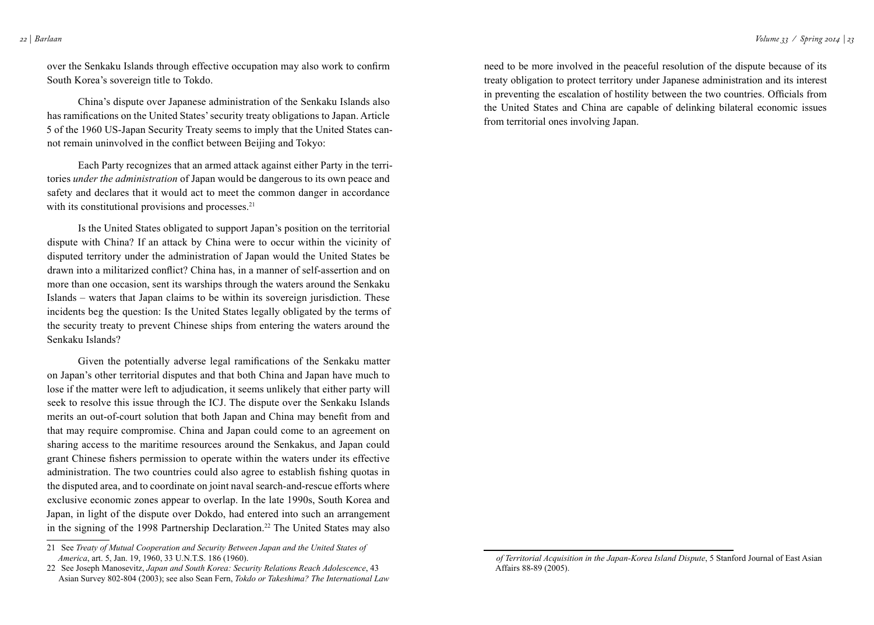over the Senkaku Islands through effective occupation may also work to confirm South Korea's sovereign title to Tokdo.

China's dispute over Japanese administration of the Senkaku Islands also has ramifications on the United States' security treaty obligations to Japan. Article 5 of the 1960 US-Japan Security Treaty seems to imply that the United States cannot remain uninvolved in the conflict between Beijing and Tokyo:

Each Party recognizes that an armed attack against either Party in the territories *under the administration* of Japan would be dangerous to its own peace and safety and declares that it would act to meet the common danger in accordance with its constitutional provisions and processes.<sup>21</sup>

Is the United States obligated to support Japan's position on the territorial dispute with China? If an attack by China were to occur within the vicinity of disputed territory under the administration of Japan would the United States be drawn into a militarized conflict? China has, in a manner of self-assertion and on more than one occasion, sent its warships through the waters around the Senkaku Islands – waters that Japan claims to be within its sovereign jurisdiction. These incidents beg the question: Is the United States legally obligated by the terms of the security treaty to prevent Chinese ships from entering the waters around the Senkaku Islands?

Given the potentially adverse legal ramifications of the Senkaku matter on Japan's other territorial disputes and that both China and Japan have much to lose if the matter were left to adjudication, it seems unlikely that either party will seek to resolve this issue through the ICJ. The dispute over the Senkaku Islands merits an out-of-court solution that both Japan and China may benefit from and that may require compromise. China and Japan could come to an agreement on sharing access to the maritime resources around the Senkakus, and Japan could grant Chinese fishers permission to operate within the waters under its effective administration. The two countries could also agree to establish fishing quotas in the disputed area, and to coordinate on joint naval search-and-rescue efforts where exclusive economic zones appear to overlap. In the late 1990s, South Korea and Japan, in light of the dispute over Dokdo, had entered into such an arrangement in the signing of the 1998 Partnership Declaration.<sup>22</sup> The United States may also

need to be more involved in the peaceful resolution of the dispute because of its treaty obligation to protect territory under Japanese administration and its interest in preventing the escalation of hostility between the two countries. Officials from the United States and China are capable of delinking bilateral economic issues from territorial ones involving Japan.

<sup>21</sup> See *Treaty of Mutual Cooperation and Security Between Japan and the United States of America*, art. 5, Jan. 19, 1960, 33 U.N.T.S. 186 (1960).

<sup>22</sup> See Joseph Manosevitz, *Japan and South Korea: Security Relations Reach Adolescence*, 43 Asian Survey 802-804 (2003); see also Sean Fern, *Tokdo or Takeshima? The International Law* 

*of Territorial Acquisition in the Japan-Korea Island Dispute*, 5 Stanford Journal of East Asian Affairs 88-89 (2005).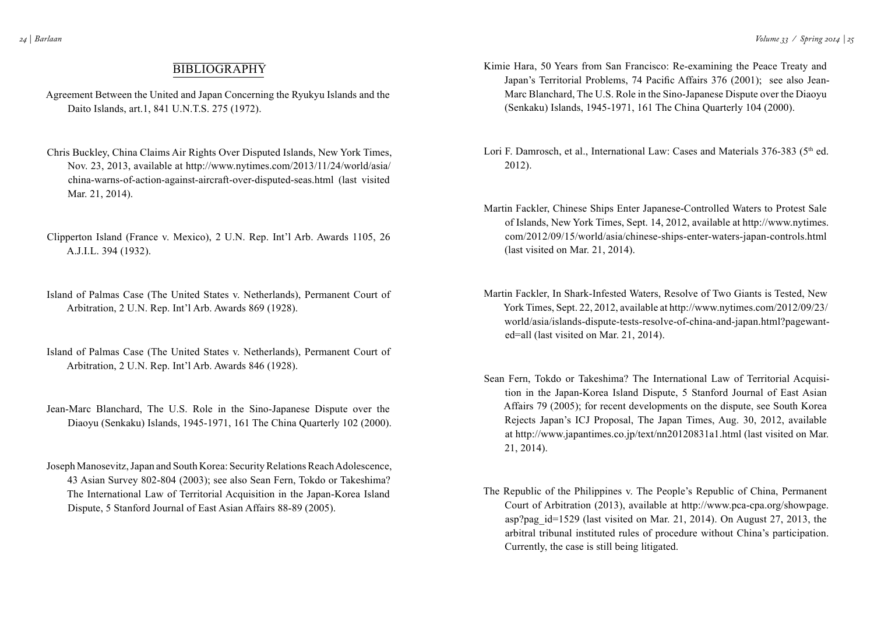## **BIBLIOGRAPHY**

- Agreement Between the United and Japan Concerning the Ryukyu Islands and the Daito Islands, art.1, 841 U.N.T.S. 275 (1972).
- Chris Buckley, China Claims Air Rights Over Disputed Islands, New York Times, Nov. 23, 2013, available at http://www.nytimes.com/2013/11/24/world/asia/ china-warns-of-action-against-aircraft-over-disputed-seas.html (last visited Mar. 21, 2014).
- Clipperton Island (France v. Mexico), 2 U.N. Rep. Int'l Arb. Awards 1105, 26 A.J.I.L. 394 (1932).
- Island of Palmas Case (The United States v. Netherlands), Permanent Court of Arbitration, 2 U.N. Rep. Int'l Arb. Awards 869 (1928).
- Island of Palmas Case (The United States v. Netherlands), Permanent Court of Arbitration, 2 U.N. Rep. Int'l Arb. Awards 846 (1928).
- Jean-Marc Blanchard, The U.S. Role in the Sino-Japanese Dispute over the Diaoyu (Senkaku) Islands, 1945-1971, 161 The China Quarterly 102 (2000).
- Joseph Manosevitz, Japan and South Korea: Security Relations Reach Adolescence, 43 Asian Survey 802-804 (2003); see also Sean Fern, Tokdo or Takeshima? The International Law of Territorial Acquisition in the Japan-Korea Island Dispute, 5 Stanford Journal of East Asian Affairs 88-89 (2005).
- Kimie Hara, 50 Years from San Francisco: Re-examining the Peace Treaty and Japan's Territorial Problems, 74 Pacific Affairs 376 (2001); see also Jean-Marc Blanchard, The U.S. Role in the Sino-Japanese Dispute over the Diaoyu (Senkaku) Islands, 1945-1971, 161 The China Quarterly 104 (2000).
- Lori F. Damrosch, et al., International Law: Cases and Materials 376-383 (5<sup>th</sup> ed. 2012).
- Martin Fackler, Chinese Ships Enter Japanese-Controlled Waters to Protest Sale of Islands, New York Times, Sept. 14, 2012, available at http://www.nytimes. com/2012/09/15/world/asia/chinese-ships-enter-waters-japan-controls.html (last visited on Mar. 21, 2014).
- Martin Fackler, In Shark-Infested Waters, Resolve of Two Giants is Tested, New York Times, Sept. 22, 2012, available at http://www.nytimes.com/2012/09/23/ world/asia/islands-dispute-tests-resolve-of-china-and-japan.html?pagewanted=all (last visited on Mar. 21, 2014).
- Sean Fern, Tokdo or Takeshima? The International Law of Territorial Acquisition in the Japan-Korea Island Dispute, 5 Stanford Journal of East Asian Affairs 79 (2005); for recent developments on the dispute, see South Korea Rejects Japan's ICJ Proposal, The Japan Times, Aug. 30, 2012, available at http://www.japantimes.co.jp/text/nn20120831a1.html (last visited on Mar. 21, 2014).
- The Republic of the Philippines v. The People's Republic of China, Permanent Court of Arbitration (2013), available at http://www.pca-cpa.org/showpage. asp?pag\_id=1529 (last visited on Mar. 21, 2014). On August 27, 2013, the arbitral tribunal instituted rules of procedure without China's participation. Currently, the case is still being litigated.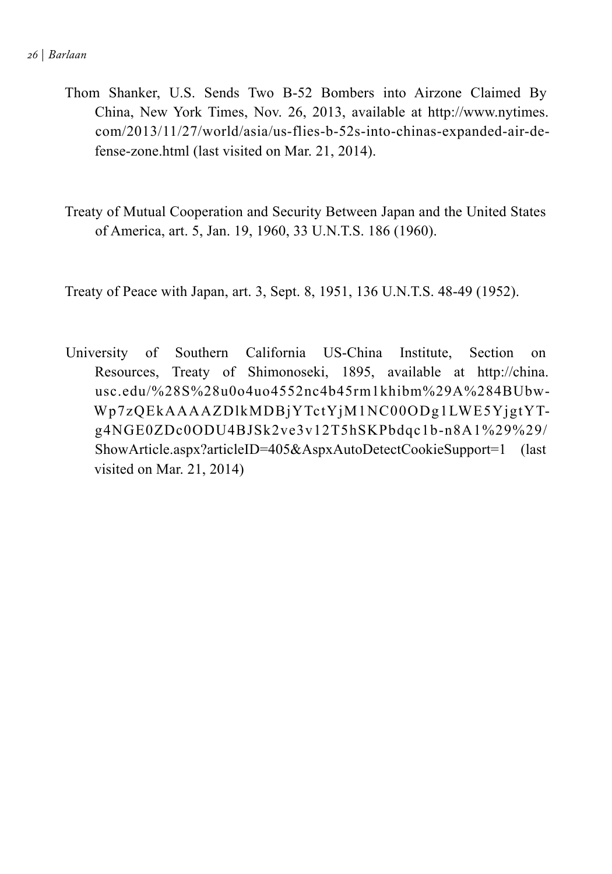- Thom Shanker, U.S. Sends Two B-52 Bombers into Airzone Claimed By China, New York Times, Nov. 26, 2013, available at http://www.nytimes. com/2013/11/27/world/asia/us-flies-b-52s-into-chinas-expanded-air-defense-zone.html (last visited on Mar. 21, 2014).
- Treaty of Mutual Cooperation and Security Between Japan and the United States of America, art. 5, Jan. 19, 1960, 33 U.N.T.S. 186 (1960).

Treaty of Peace with Japan, art. 3, Sept. 8, 1951, 136 U.N.T.S. 48-49 (1952).

University of Southern California US-China Institute, Section on Resources, Treaty of Shimonoseki, 1895, available at http://china. usc.edu/%28S%28u0o4uo4552nc4b45rm1khibm%29A%284BUbw-Wp7zQEkAAAAZDlkMDBjYTctYjM1NC00ODg1LWE5YjgtYTg4NGE0ZDc0ODU4BJSk2ve3v12T5hSKPbdqc1b-n8A1%29%29/ ShowArticle.aspx?articleID=405&AspxAutoDetectCookieSupport=1 (last visited on Mar. 21, 2014)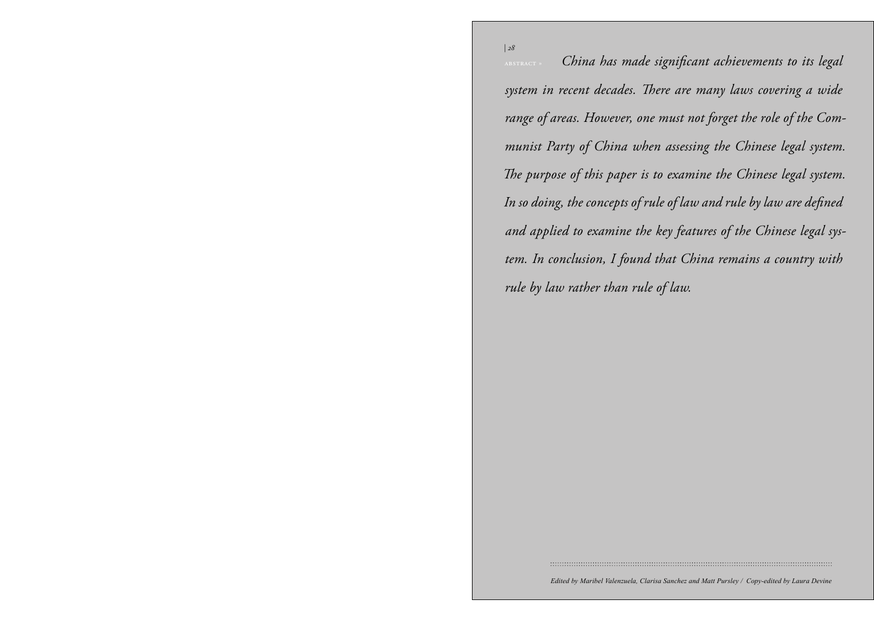*Volume 33 / Spring 2014 | 28* abstract » *China has made significant achievements to its legal*  U.S.–Turkmen *range of areas. However, one must not forget the role of the Com*munist Party of China when assessing the Chinese legal system. Energy Cooperation purpose of mis puper is no *system in recent decades. There are many laws covering a wide The purpose of this paper is to examine the Chinese legal system.* 

c by and radiscr di

*| 28*

*» by Nina Harris* Io by Jaw rather:  $\mathbf{F}$ *In so doing, the concepts of rule of law and rule by law are defined and applied to examine the key features of the Chinese legal system. In conclusion, I found that China remains a country with rule by law rather than rule of law.*

*Edited by Maribel Valenzuela, Clarisa Sanchez and Matt Pursley / Copy-edited by Laura Devine*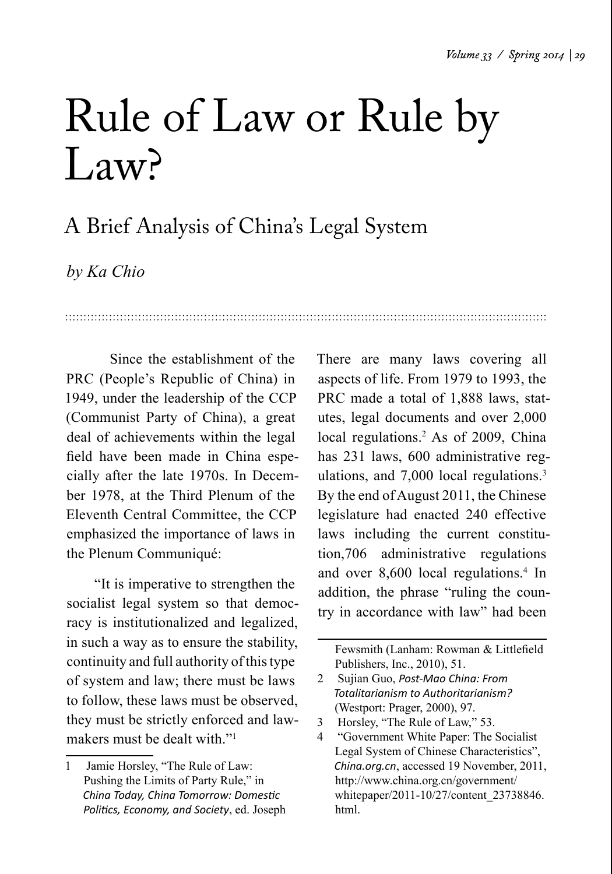## Rule of Law or Rule by L<sub>aw</sub>?

## A Brief Analysis of China's Legal System

*by Ka Chio*

Since the establishment of the PRC (People's Republic of China) in 1949, under the leadership of the CCP (Communist Party of China), a great deal of achievements within the legal field have been made in China especially after the late 1970s. In December 1978, at the Third Plenum of the Eleventh Central Committee, the CCP emphasized the importance of laws in the Plenum Communiqué:

 "It is imperative to strengthen the socialist legal system so that democracy is institutionalized and legalized, in such a way as to ensure the stability, continuity and full authority of this type of system and law; there must be laws to follow, these laws must be observed, they must be strictly enforced and lawmakers must be dealt with "1"

There are many laws covering all aspects of life. From 1979 to 1993, the PRC made a total of 1,888 laws, statutes, legal documents and over 2,000 local regulations.<sup>2</sup> As of 2009, China has 231 laws, 600 administrative regulations, and 7,000 local regulations.<sup>3</sup> By the end of August 2011, the Chinese legislature had enacted 240 effective laws including the current constitution,706 administrative regulations and over 8,600 local regulations.<sup>4</sup> In addition, the phrase "ruling the country in accordance with law" had been

Fewsmith (Lanham: Rowman & Littlefield Publishers, Inc., 2010), 51.

- 2 Sujian Guo, *Post-Mao China: From Totalitarianism to Authoritarianism?* (Westport: Prager, 2000), 97.
- 3 Horsley, "The Rule of Law," 53.

<sup>1</sup> Jamie Horsley, "The Rule of Law: Pushing the Limits of Party Rule," in *China Today, China Tomorrow: Domestic Politics, Economy, and Society*, ed. Joseph

<sup>4 &</sup>quot;Government White Paper: The Socialist Legal System of Chinese Characteristics", *China.org.cn*, accessed 19 November, 2011, http://www.china.org.cn/government/ whitepaper/2011-10/27/content\_23738846. html.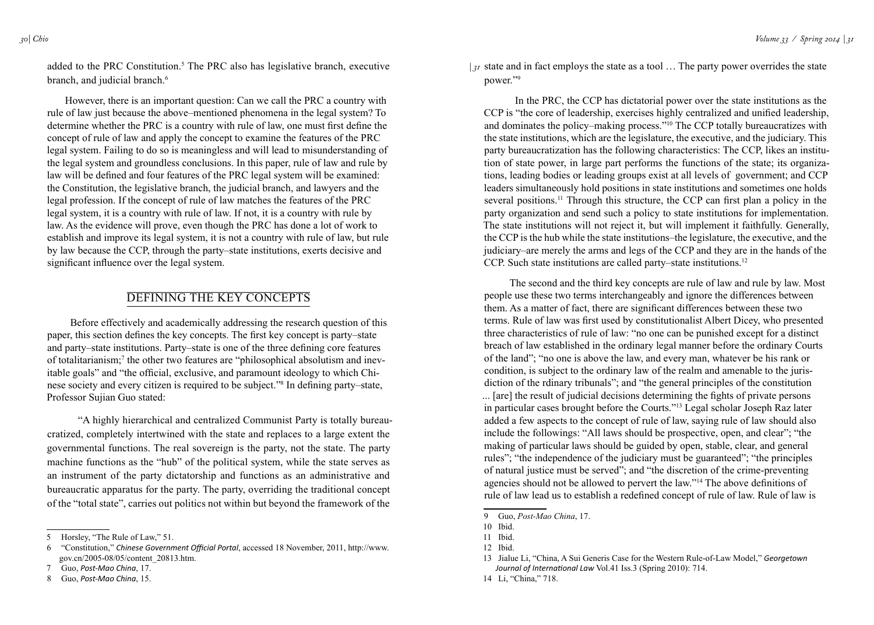added to the PRC Constitution.<sup>5</sup> The PRC also has legislative branch, executive branch, and judicial branch.<sup>6</sup>

 However, there is an important question: Can we call the PRC a country with rule of law just because the above–mentioned phenomena in the legal system? To determine whether the PRC is a country with rule of law, one must first define the concept of rule of law and apply the concept to examine the features of the PRC legal system. Failing to do so is meaningless and will lead to misunderstanding of the legal system and groundless conclusions. In this paper, rule of law and rule by law will be defined and four features of the PRC legal system will be examined: the Constitution, the legislative branch, the judicial branch, and lawyers and the legal profession. If the concept of rule of law matches the features of the PRC legal system, it is a country with rule of law. If not, it is a country with rule by law. As the evidence will prove, even though the PRC has done a lot of work to establish and improve its legal system, it is not a country with rule of law, but rule by law because the CCP, through the party–state institutions, exerts decisive and significant influence over the legal system.

## Defining the Key Concepts

Before effectively and academically addressing the research question of this paper, this section defines the key concepts. The first key concept is party–state and party–state institutions. Party–state is one of the three defining core features of totalitarianism;<sup>7</sup> the other two features are "philosophical absolutism and inevitable goals" and "the official, exclusive, and paramount ideology to which Chinese society and every citizen is required to be subject."8 In defining party–state, Professor Sujian Guo stated:

"A highly hierarchical and centralized Communist Party is totally bureaucratized, completely intertwined with the state and replaces to a large extent the governmental functions. The real sovereign is the party, not the state. The party machine functions as the "hub" of the political system, while the state serves as an instrument of the party dictatorship and functions as an administrative and bureaucratic apparatus for the party. The party, overriding the traditional concept of the "total state", carries out politics not within but beyond the framework of the

 $|_{3^I}$  state and in fact employs the state as a tool ... The party power overrides the state power."9

In the PRC, the CCP has dictatorial power over the state institutions as the CCP is "the core of leadership, exercises highly centralized and unified leadership, and dominates the policy–making process."10 The CCP totally bureaucratizes with the state institutions, which are the legislature, the executive, and the judiciary. This party bureaucratization has the following characteristics: The CCP, likes an institution of state power, in large part performs the functions of the state; its organizations, leading bodies or leading groups exist at all levels of government; and CCP leaders simultaneously hold positions in state institutions and sometimes one holds several positions.<sup>11</sup> Through this structure, the CCP can first plan a policy in the party organization and send such a policy to state institutions for implementation. The state institutions will not reject it, but will implement it faithfully. Generally, the CCP is the hub while the state institutions–the legislature, the executive, and the judiciary–are merely the arms and legs of the CCP and they are in the hands of the CCP. Such state institutions are called party–state institutions.<sup>12</sup>

 The second and the third key concepts are rule of law and rule by law. Most people use these two terms interchangeably and ignore the differences between them. As a matter of fact, there are significant differences between these two terms. Rule of law was first used by constitutionalist Albert Dicey, who presented three characteristics of rule of law: "no one can be punished except for a distinct breach of law established in the ordinary legal manner before the ordinary Courts of the land"; "no one is above the law, and every man, whatever be his rank or condition, is subject to the ordinary law of the realm and amenable to the jurisdiction of the rdinary tribunals"; and "the general principles of the constitution ... [are] the result of judicial decisions determining the fights of private persons in particular cases brought before the Courts."13 Legal scholar Joseph Raz later added a few aspects to the concept of rule of law, saying rule of law should also include the followings: "All laws should be prospective, open, and clear"; "the making of particular laws should be guided by open, stable, clear, and general rules"; "the independence of the judiciary must be guaranteed"; "the principles of natural justice must be served"; and "the discretion of the crime-preventing agencies should not be allowed to pervert the law."14 The above definitions of rule of law lead us to establish a redefined concept of rule of law. Rule of law is

14 Li, "China," 718.

<sup>5</sup> Horsley, "The Rule of Law," 51.

<sup>6 &</sup>quot;Constitution," *Chinese Government Official Portal*, accessed 18 November, 2011, http://www. gov.cn/2005-08/05/content\_20813.htm.

<sup>7</sup> Guo, *Post-Mao China*, 17.

<sup>8</sup> Guo, *Post-Mao China*, 15.

<sup>9</sup> Guo, *Post-Mao China*, 17.

<sup>10</sup> Ibid.

<sup>11</sup> Ibid.

<sup>12</sup> Ibid.

<sup>13</sup> Jialue Li, "China, A Sui Generis Case for the Western Rule-of-Law Model," *Georgetown Journal of International Law* Vol.41 Iss.3 (Spring 2010): 714.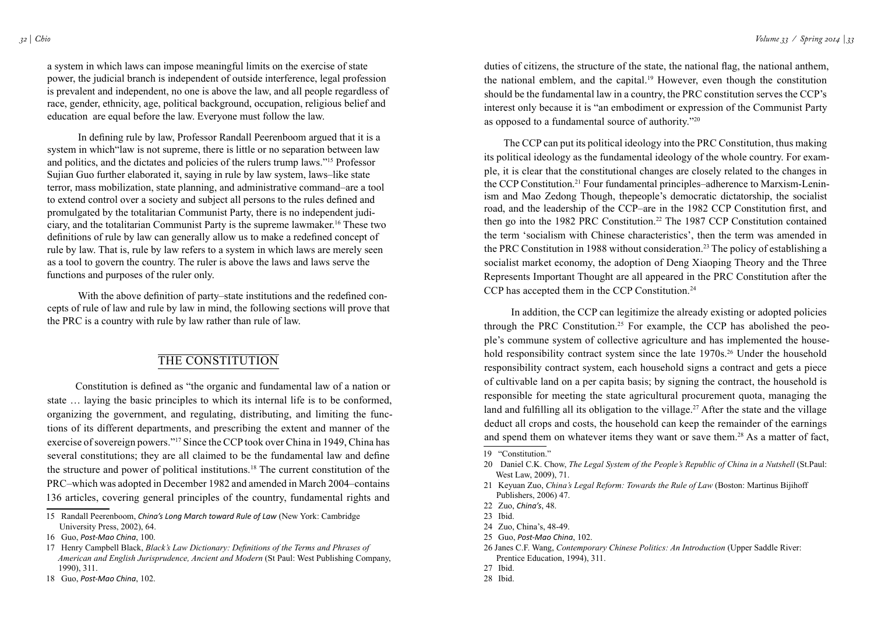a system in which laws can impose meaningful limits on the exercise of state power, the judicial branch is independent of outside interference, legal profession is prevalent and independent, no one is above the law, and all people regardless of race, gender, ethnicity, age, political background, occupation, religious belief and education are equal before the law. Everyone must follow the law.

In defining rule by law, Professor Randall Peerenboom argued that it is a system in which "law is not supreme, there is little or no separation between law and politics, and the dictates and policies of the rulers trump laws."15 Professor Sujian Guo further elaborated it, saying in rule by law system, laws–like state terror, mass mobilization, state planning, and administrative command–are a tool to extend control over a society and subject all persons to the rules defined and promulgated by the totalitarian Communist Party, there is no independent judiciary, and the totalitarian Communist Party is the supreme lawmaker.16 These two definitions of rule by law can generally allow us to make a redefined concept of rule by law. That is, rule by law refers to a system in which laws are merely seen as a tool to govern the country. The ruler is above the laws and laws serve the functions and purposes of the ruler only.

 With the above definition of party–state institutions and the redefined concepts of rule of law and rule by law in mind, the following sections will prove that the PRC is a country with rule by law rather than rule of law.

## THE CONSTITUTION

 Constitution is defined as "the organic and fundamental law of a nation or state … laying the basic principles to which its internal life is to be conformed, organizing the government, and regulating, distributing, and limiting the functions of its different departments, and prescribing the extent and manner of the exercise of sovereign powers."17 Since the CCP took over China in 1949, China has several constitutions; they are all claimed to be the fundamental law and define the structure and power of political institutions.18 The current constitution of the PRC–which was adopted in December 1982 and amended in March 2004–contains 136 articles, covering general principles of the country, fundamental rights and

duties of citizens, the structure of the state, the national flag, the national anthem, the national emblem, and the capital.19 However, even though the constitution should be the fundamental law in a country, the PRC constitution serves the CCP's interest only because it is "an embodiment or expression of the Communist Party as opposed to a fundamental source of authority."20

 The CCP can put its political ideology into the PRC Constitution, thus making its political ideology as the fundamental ideology of the whole country. For example, it is clear that the constitutional changes are closely related to the changes in the CCP Constitution.21 Four fundamental principles–adherence to Marxism-Leninism and Mao Zedong Though, thepeople's democratic dictatorship, the socialist road, and the leadership of the CCP–are in the 1982 CCP Constitution first, and then go into the 1982 PRC Constitution.<sup>22</sup> The 1987 CCP Constitution contained the term 'socialism with Chinese characteristics', then the term was amended in the PRC Constitution in 1988 without consideration.<sup>23</sup> The policy of establishing a socialist market economy, the adoption of Deng Xiaoping Theory and the Three Represents Important Thought are all appeared in the PRC Constitution after the CCP has accepted them in the CCP Constitution.<sup>24</sup>

 In addition, the CCP can legitimize the already existing or adopted policies through the PRC Constitution.<sup>25</sup> For example, the CCP has abolished the people's commune system of collective agriculture and has implemented the household responsibility contract system since the late 1970s.<sup>26</sup> Under the household responsibility contract system, each household signs a contract and gets a piece of cultivable land on a per capita basis; by signing the contract, the household is responsible for meeting the state agricultural procurement quota, managing the land and fulfilling all its obligation to the village.<sup>27</sup> After the state and the village deduct all crops and costs, the household can keep the remainder of the earnings and spend them on whatever items they want or save them.28 As a matter of fact,

<sup>15</sup> Randall Peerenboom, *China's Long March toward Rule of Law* (New York: Cambridge University Press, 2002), 64.

<sup>16</sup> Guo, *Post-Mao China*, 100.

<sup>17</sup> Henry Campbell Black, *Black's Law Dictionary: Definitions of the Terms and Phrases of American and English Jurisprudence, Ancient and Modern* (St Paul: West Publishing Company, 1990), 311.

<sup>18</sup> Guo, *Post-Mao China*, 102.

<sup>19 &</sup>quot;Constitution."

<sup>20</sup> Daniel C.K. Chow, *The Legal System of the People's Republic of China in a Nutshell* (St.Paul: West Law, 2009), 71.

<sup>21</sup> Keyuan Zuo, *China's Legal Reform: Towards the Rule of Law* (Boston: Martinus Bijihoff Publishers, 2006) 47.

<sup>22</sup> Zuo, *China's*, 48.

<sup>23</sup> Ibid.

<sup>24</sup> Zuo, China's, 48-49.

<sup>25</sup> Guo, *Post-Mao China*, 102.

<sup>26</sup> Janes C.F. Wang, *Contemporary Chinese Politics: An Introduction* (Upper Saddle River: Prentice Education, 1994), 311.

<sup>27</sup> Ibid.

<sup>28</sup> Ibid.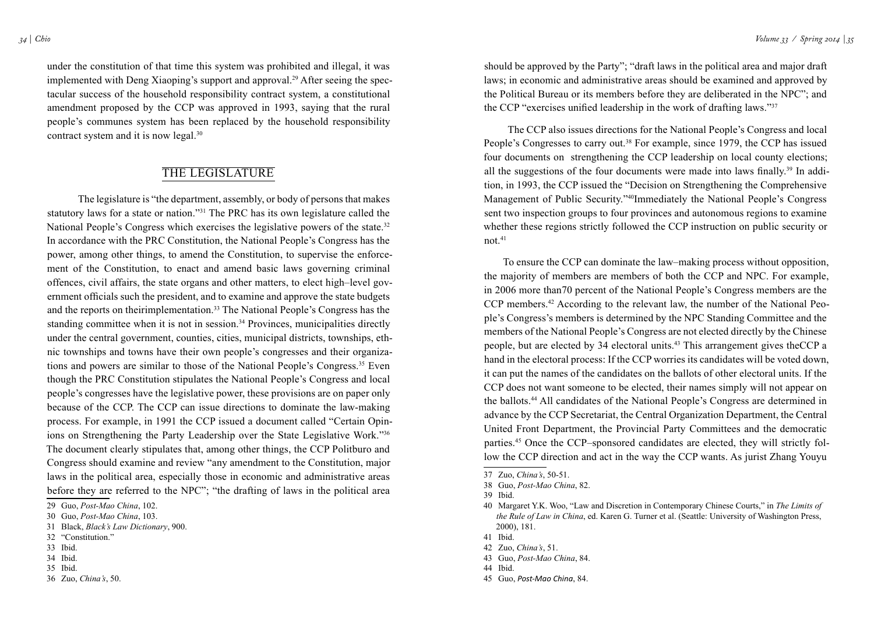under the constitution of that time this system was prohibited and illegal, it was implemented with Deng Xiaoping's support and approval.<sup>29</sup> After seeing the spectacular success of the household responsibility contract system, a constitutional amendment proposed by the CCP was approved in 1993, saying that the rural people's communes system has been replaced by the household responsibility contract system and it is now legal.30

## The Legislature

The legislature is "the department, assembly, or body of persons that makes statutory laws for a state or nation."31 The PRC has its own legislature called the National People's Congress which exercises the legislative powers of the state.<sup>32</sup> In accordance with the PRC Constitution, the National People's Congress has the power, among other things, to amend the Constitution, to supervise the enforcement of the Constitution, to enact and amend basic laws governing criminal offences, civil affairs, the state organs and other matters, to elect high–level government officials such the president, and to examine and approve the state budgets and the reports on theirimplementation.<sup>33</sup> The National People's Congress has the standing committee when it is not in session.<sup>34</sup> Provinces, municipalities directly under the central government, counties, cities, municipal districts, townships, ethnic townships and towns have their own people's congresses and their organizations and powers are similar to those of the National People's Congress.<sup>35</sup> Even though the PRC Constitution stipulates the National People's Congress and local people's congresses have the legislative power, these provisions are on paper only because of the CCP. The CCP can issue directions to dominate the law-making process. For example, in 1991 the CCP issued a document called "Certain Opinions on Strengthening the Party Leadership over the State Legislative Work."36 The document clearly stipulates that, among other things, the CCP Politburo and Congress should examine and review "any amendment to the Constitution, major laws in the political area, especially those in economic and administrative areas before they are referred to the NPC"; "the drafting of laws in the political area

- 34 Ibid.
- 35 Ibid.

should be approved by the Party"; "draft laws in the political area and major draft laws; in economic and administrative areas should be examined and approved by the Political Bureau or its members before they are deliberated in the NPC"; and the CCP "exercises unified leadership in the work of drafting laws."<sup>37</sup>

 The CCP also issues directions for the National People's Congress and local People's Congresses to carry out.<sup>38</sup> For example, since 1979, the CCP has issued four documents on strengthening the CCP leadership on local county elections; all the suggestions of the four documents were made into laws finally.<sup>39</sup> In addition, in 1993, the CCP issued the "Decision on Strengthening the Comprehensive Management of Public Security."40Immediately the National People's Congress sent two inspection groups to four provinces and autonomous regions to examine whether these regions strictly followed the CCP instruction on public security or not.41

 To ensure the CCP can dominate the law–making process without opposition, the majority of members are members of both the CCP and NPC. For example, in 2006 more than70 percent of the National People's Congress members are the CCP members.42 According to the relevant law, the number of the National People's Congress's members is determined by the NPC Standing Committee and the members of the National People's Congress are not elected directly by the Chinese people, but are elected by 34 electoral units.43 This arrangement gives theCCP a hand in the electoral process: If the CCP worries its candidates will be voted down, it can put the names of the candidates on the ballots of other electoral units. If the CCP does not want someone to be elected, their names simply will not appear on the ballots.44 All candidates of the National People's Congress are determined in advance by the CCP Secretariat, the Central Organization Department, the Central United Front Department, the Provincial Party Committees and the democratic parties.45 Once the CCP–sponsored candidates are elected, they will strictly follow the CCP direction and act in the way the CCP wants. As jurist Zhang Youyu

<sup>29</sup> Guo, *Post-Mao China*, 102.

<sup>30</sup> Guo, *Post-Mao China*, 103.

<sup>31</sup> Black, *Black's Law Dictionary*, 900.

<sup>32 &</sup>quot;Constitution."

<sup>33</sup> Ibid.

<sup>36</sup> Zuo, *China's*, 50.

<sup>37</sup> Zuo, *China's*, 50-51.

<sup>38</sup> Guo, *Post-Mao China*, 82.

<sup>39</sup> Ibid.

<sup>40</sup> Margaret Y.K. Woo, "Law and Discretion in Contemporary Chinese Courts," in *The Limits of the Rule of Law in China*, ed. Karen G. Turner et al. (Seattle: University of Washington Press, 2000), 181.

<sup>41</sup> Ibid.

<sup>42</sup> Zuo, *China's*, 51.

<sup>43</sup> Guo, *Post-Mao China*, 84.

<sup>44</sup> Ibid.

<sup>45</sup> Guo, *Post-Mao China*, 84.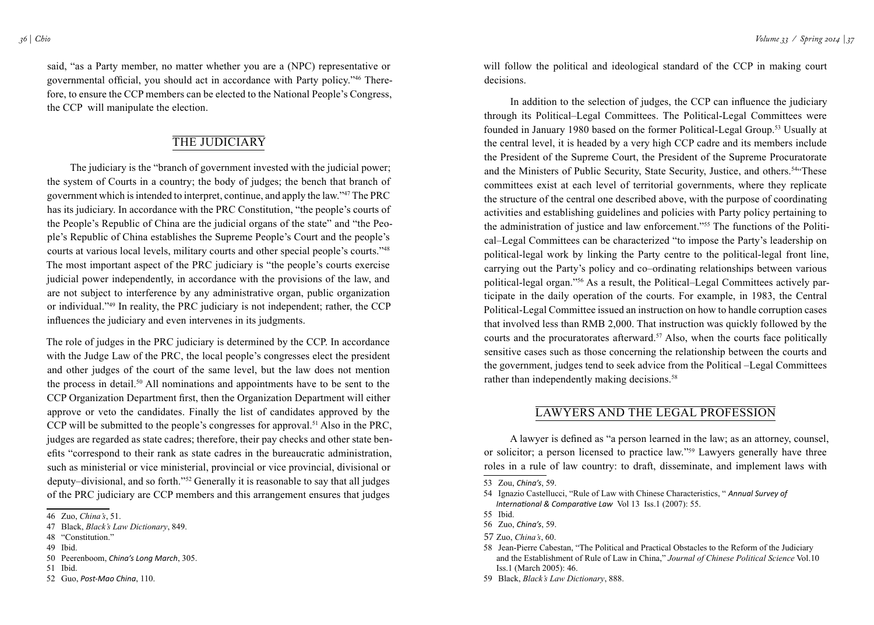said, "as a Party member, no matter whether you are a (NPC) representative or governmental official, you should act in accordance with Party policy."46 Therefore, to ensure the CCP members can be elected to the National People's Congress, the CCP will manipulate the election.

## THE JUDICIARY

 The judiciary is the "branch of government invested with the judicial power; the system of Courts in a country; the body of judges; the bench that branch of government which is intended to interpret, continue, and apply the law."47 The PRC has its judiciary. In accordance with the PRC Constitution, "the people's courts of the People's Republic of China are the judicial organs of the state" and "the People's Republic of China establishes the Supreme People's Court and the people's courts at various local levels, military courts and other special people's courts."48 The most important aspect of the PRC judiciary is "the people's courts exercise judicial power independently, in accordance with the provisions of the law, and are not subject to interference by any administrative organ, public organization or individual."49 In reality, the PRC judiciary is not independent; rather, the CCP influences the judiciary and even intervenes in its judgments.

The role of judges in the PRC judiciary is determined by the CCP. In accordance with the Judge Law of the PRC, the local people's congresses elect the president and other judges of the court of the same level, but the law does not mention the process in detail.50 All nominations and appointments have to be sent to the CCP Organization Department first, then the Organization Department will either approve or veto the candidates. Finally the list of candidates approved by the CCP will be submitted to the people's congresses for approval.<sup>51</sup> Also in the PRC, judges are regarded as state cadres; therefore, their pay checks and other state benefits "correspond to their rank as state cadres in the bureaucratic administration, such as ministerial or vice ministerial, provincial or vice provincial, divisional or deputy–divisional, and so forth."52 Generally it is reasonable to say that all judges of the PRC judiciary are CCP members and this arrangement ensures that judges

will follow the political and ideological standard of the CCP in making court decisions.

 In addition to the selection of judges, the CCP can influence the judiciary through its Political–Legal Committees. The Political-Legal Committees were founded in January 1980 based on the former Political-Legal Group.53 Usually at the central level, it is headed by a very high CCP cadre and its members include the President of the Supreme Court, the President of the Supreme Procuratorate and the Ministers of Public Security, State Security, Justice, and others.<sup>54"</sup>These committees exist at each level of territorial governments, where they replicate the structure of the central one described above, with the purpose of coordinating activities and establishing guidelines and policies with Party policy pertaining to the administration of justice and law enforcement."55 The functions of the Political–Legal Committees can be characterized "to impose the Party's leadership on political-legal work by linking the Party centre to the political-legal front line, carrying out the Party's policy and co–ordinating relationships between various political-legal organ."56 As a result, the Political–Legal Committees actively participate in the daily operation of the courts. For example, in 1983, the Central Political-Legal Committee issued an instruction on how to handle corruption cases that involved less than RMB 2,000. That instruction was quickly followed by the courts and the procuratorates afterward.<sup>57</sup> Also, when the courts face politically sensitive cases such as those concerning the relationship between the courts and the government, judges tend to seek advice from the Political –Legal Committees rather than independently making decisions.<sup>58</sup>

## Lawyers and the Legal Profession

 A lawyer is defined as "a person learned in the law; as an attorney, counsel, or solicitor; a person licensed to practice law."59 Lawyers generally have three roles in a rule of law country: to draft, disseminate, and implement laws with

<sup>46</sup> Zuo, *China's*, 51.

<sup>47</sup> Black, *Black's Law Dictionary*, 849.

<sup>48 &</sup>quot;Constitution."

<sup>49</sup> Ibid.

<sup>50</sup> Peerenboom, *China's Long March*, 305.

<sup>51</sup> Ibid. 52 Guo, *Post-Mao China*, 110.

<sup>53</sup> Zou, *China's*, 59.

<sup>54</sup> Ignazio Castellucci, "Rule of Law with Chinese Characteristics, " *Annual Survey of International & Comparative Law* Vol 13 Iss.1 (2007): 55.

<sup>55</sup> Ibid.

<sup>56</sup> Zuo, *China's*, 59.

<sup>57</sup> Zuo, *China's*, 60.

<sup>58</sup> Jean-Pierre Cabestan, "The Political and Practical Obstacles to the Reform of the Judiciary and the Establishment of Rule of Law in China," *Journal of Chinese Political Science* Vol.10 Iss.1 (March 2005): 46.

<sup>59</sup> Black, *Black's Law Dictionary*, 888.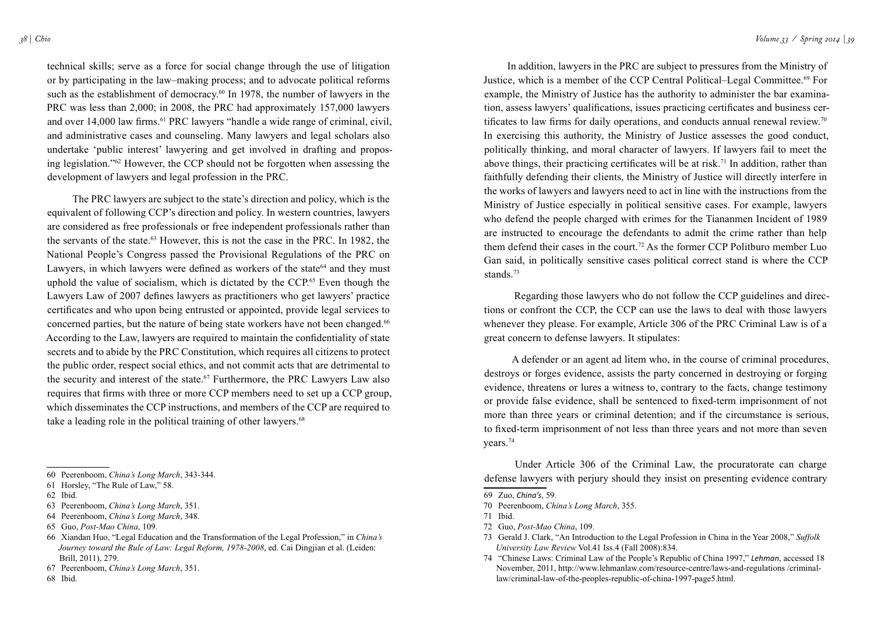technical skills; serve as a force for social change through the use of litigation or by participating in the law–making process; and to advocate political reforms such as the establishment of democracy.<sup>60</sup> In 1978, the number of lawyers in the PRC was less than 2,000; in 2008, the PRC had approximately 157,000 lawyers and over 14,000 law firms.<sup>61</sup> PRC lawyers "handle a wide range of criminal, civil, and administrative cases and counseling. Many lawyers and legal scholars also undertake 'public interest' lawyering and get involved in drafting and proposing legislation."62 However, the CCP should not be forgotten when assessing the development of lawyers and legal profession in the PRC.

 The PRC lawyers are subject to the state's direction and policy, which is the equivalent of following CCP's direction and policy. In western countries, lawyers are considered as free professionals or free independent professionals rather than the servants of the state.63 However, this is not the case in the PRC. In 1982, the National People's Congress passed the Provisional Regulations of the PRC on Lawyers, in which lawyers were defined as workers of the state<sup>64</sup> and they must uphold the value of socialism, which is dictated by the CCP. 65 Even though the Lawyers Law of 2007 defines lawyers as practitioners who get lawyers' practice certificates and who upon being entrusted or appointed, provide legal services to concerned parties, but the nature of being state workers have not been changed.<sup>66</sup> According to the Law, lawyers are required to maintain the confidentiality of state secrets and to abide by the PRC Constitution, which requires all citizens to protect the public order, respect social ethics, and not commit acts that are detrimental to the security and interest of the state.<sup>67</sup> Furthermore, the PRC Lawyers Law also requires that firms with three or more CCP members need to set up a CCP group, which disseminates the CCP instructions, and members of the CCP are required to take a leading role in the political training of other lawyers.<sup>68</sup>

- 65 Guo, *Post-Mao China*, 109.
- 66 Xiandan Huo, "Legal Education and the Transformation of the Legal Profession," in *China's Journey toward the Rule of Law: Legal Reform, 1978-2008*, ed. Cai Dingjian et al. (Leiden: Brill, 2011), 279.

68 Ibid.

*38 | Chio Volume 33 / Spring 2014 | 39*

 In addition, lawyers in the PRC are subject to pressures from the Ministry of Justice, which is a member of the CCP Central Political–Legal Committee.69 For example, the Ministry of Justice has the authority to administer the bar examination, assess lawyers' qualifications, issues practicing certificates and business certificates to law firms for daily operations, and conducts annual renewal review.<sup>70</sup> In exercising this authority, the Ministry of Justice assesses the good conduct, politically thinking, and moral character of lawyers. If lawyers fail to meet the above things, their practicing certificates will be at risk.<sup>71</sup> In addition, rather than faithfully defending their clients, the Ministry of Justice will directly interfere in the works of lawyers and lawyers need to act in line with the instructions from the Ministry of Justice especially in political sensitive cases. For example, lawyers who defend the people charged with crimes for the Tiananmen Incident of 1989 are instructed to encourage the defendants to admit the crime rather than help them defend their cases in the court.<sup>72</sup> As the former CCP Politburo member Luo Gan said, in politically sensitive cases political correct stand is where the CCP stands.<sup>73</sup>

 Regarding those lawyers who do not follow the CCP guidelines and directions or confront the CCP, the CCP can use the laws to deal with those lawyers whenever they please. For example, Article 306 of the PRC Criminal Law is of a great concern to defense lawyers. It stipulates:

 A defender or an agent ad litem who, in the course of criminal procedures, destroys or forges evidence, assists the party concerned in destroying or forging evidence, threatens or lures a witness to, contrary to the facts, change testimony or provide false evidence, shall be sentenced to fixed-term imprisonment of not more than three years or criminal detention; and if the circumstance is serious, to fixed-term imprisonment of not less than three years and not more than seven years.74

Under Article 306 of the Criminal Law, the procuratorate can charge defense lawyers with perjury should they insist on presenting evidence contrary

- 72 Guo, *Post-Mao China*, 109.
- 73 Gerald J. Clark, "An Introduction to the Legal Profession in China in the Year 2008," *Suffolk University Law Review* Vol.41 Iss.4 (Fall 2008):834.

<sup>60</sup> Peerenboom, *China's Long March*, 343-344.

<sup>61</sup> Horsley, "The Rule of Law," 58.

<sup>62</sup> Ibid.

<sup>63</sup> Peerenboom, *China's Long March*, 351.

<sup>64</sup> Peerenboom, *China's Long March*, 348.

<sup>67</sup> Peerenboom, *China's Long March*, 351.

<sup>69</sup> Zuo, *China's*, 59.

<sup>70</sup> Peerenboom, *China's Long March*, 355.

<sup>71</sup> Ibid.

<sup>74 &</sup>quot;Chinese Laws: Criminal Law of the People's Republic of China 1997," *Lehman*, accessed 18 November, 2011, http://www.lehmanlaw.com/resource-centre/laws-and-regulations /criminallaw/criminal-law-of-the-peoples-republic-of-china-1997-page5.html.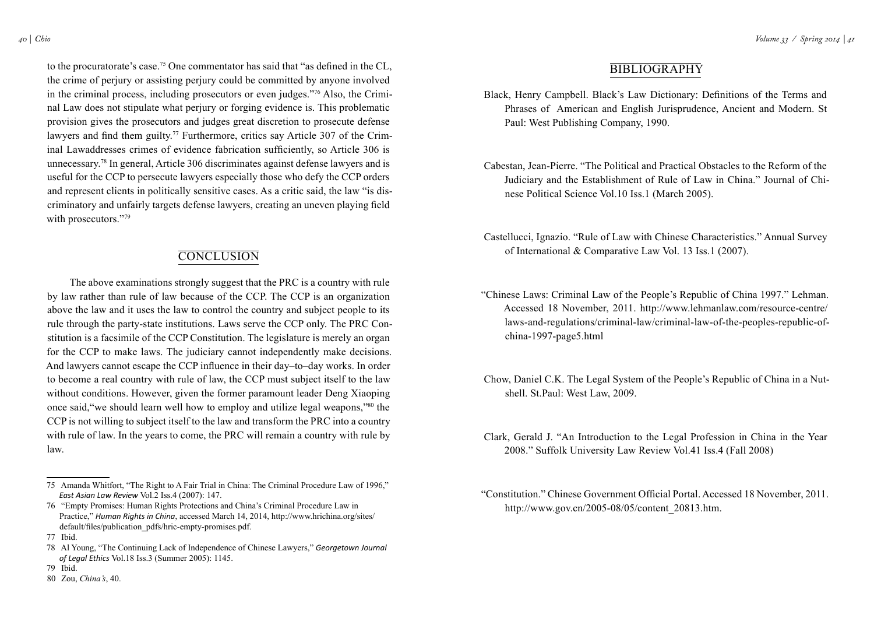to the procuratorate's case.75 One commentator has said that "as defined in the CL, the crime of perjury or assisting perjury could be committed by anyone involved in the criminal process, including prosecutors or even judges."76 Also, the Criminal Law does not stipulate what perjury or forging evidence is. This problematic provision gives the prosecutors and judges great discretion to prosecute defense lawyers and find them guilty.<sup>77</sup> Furthermore, critics say Article 307 of the Criminal Lawaddresses crimes of evidence fabrication sufficiently, so Article 306 is unnecessary.78 In general, Article 306 discriminates against defense lawyers and is useful for the CCP to persecute lawyers especially those who defy the CCP orders and represent clients in politically sensitive cases. As a critic said, the law "is discriminatory and unfairly targets defense lawyers, creating an uneven playing field with prosecutors."79

## **CONCLUSION**

 The above examinations strongly suggest that the PRC is a country with rule by law rather than rule of law because of the CCP. The CCP is an organization above the law and it uses the law to control the country and subject people to its rule through the party-state institutions. Laws serve the CCP only. The PRC Constitution is a facsimile of the CCP Constitution. The legislature is merely an organ for the CCP to make laws. The judiciary cannot independently make decisions. And lawyers cannot escape the CCP influence in their day–to–day works. In order to become a real country with rule of law, the CCP must subject itself to the law without conditions. However, given the former paramount leader Deng Xiaoping once said,"we should learn well how to employ and utilize legal weapons,"80 the CCP is not willing to subject itself to the law and transform the PRC into a country with rule of law. In the years to come, the PRC will remain a country with rule by law.

## **BIBLIOGRAPHY**

- Black, Henry Campbell. Black's Law Dictionary: Definitions of the Terms and Phrases of American and English Jurisprudence, Ancient and Modern. St Paul: West Publishing Company, 1990.
- Cabestan, Jean-Pierre. "The Political and Practical Obstacles to the Reform of the Judiciary and the Establishment of Rule of Law in China." Journal of Chinese Political Science Vol.10 Iss.1 (March 2005).
- Castellucci, Ignazio. "Rule of Law with Chinese Characteristics." Annual Survey of International & Comparative Law Vol. 13 Iss.1 (2007).
- "Chinese Laws: Criminal Law of the People's Republic of China 1997." Lehman. Accessed 18 November, 2011. http://www.lehmanlaw.com/resource-centre/ laws-and-regulations/criminal-law/criminal-law-of-the-peoples-republic-ofchina-1997-page5.html
- Chow, Daniel C.K. The Legal System of the People's Republic of China in a Nutshell. St.Paul: West Law, 2009.
- Clark, Gerald J. "An Introduction to the Legal Profession in China in the Year 2008." Suffolk University Law Review Vol.41 Iss.4 (Fall 2008)
- "Constitution." Chinese Government Official Portal. Accessed 18 November, 2011. http://www.gov.cn/2005-08/05/content\_20813.htm.

<sup>75</sup> Amanda Whitfort, "The Right to A Fair Trial in China: The Criminal Procedure Law of 1996," *East Asian Law Review* Vol.2 Iss.4 (2007): 147.

<sup>76 &</sup>quot;Empty Promises: Human Rights Protections and China's Criminal Procedure Law in Practice," *Human Rights in China*, accessed March 14, 2014, http://www.hrichina.org/sites/ default/files/publication\_pdfs/hric-empty-promises.pdf.

<sup>77</sup> Ibid.

<sup>78</sup> Al Young, "The Continuing Lack of Independence of Chinese Lawyers," *Georgetown Journal of Legal Ethics* Vol.18 Iss.3 (Summer 2005): 1145.

<sup>79</sup> Ibid.

<sup>80</sup> Zou, *China's*, 40.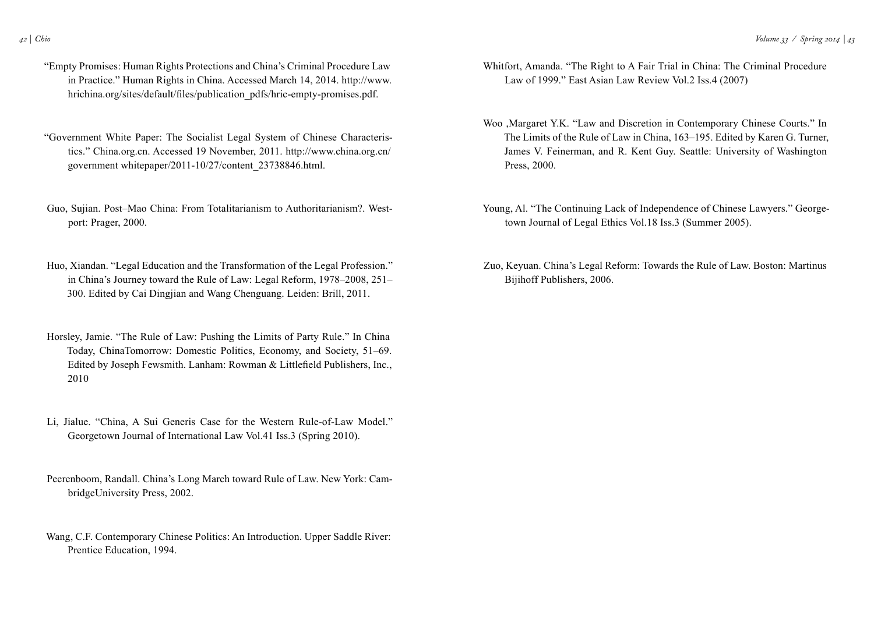- "Empty Promises: Human Rights Protections and China's Criminal Procedure Law in Practice." Human Rights in China. Accessed March 14, 2014. http://www. hrichina.org/sites/default/files/publication\_pdfs/hric-empty-promises.pdf.
- "Government White Paper: The Socialist Legal System of Chinese Characteristics." China.org.cn. Accessed 19 November, 2011. http://www.china.org.cn/ government whitepaper/2011-10/27/content\_23738846.html.
- Guo, Sujian. Post–Mao China: From Totalitarianism to Authoritarianism?. Westport: Prager, 2000.
- Huo, Xiandan. "Legal Education and the Transformation of the Legal Profession." in China's Journey toward the Rule of Law: Legal Reform, 1978–2008, 251– 300. Edited by Cai Dingjian and Wang Chenguang. Leiden: Brill, 2011.
- Horsley, Jamie. "The Rule of Law: Pushing the Limits of Party Rule." In China Today, ChinaTomorrow: Domestic Politics, Economy, and Society, 51–69. Edited by Joseph Fewsmith. Lanham: Rowman & Littlefield Publishers, Inc., 2010
- Li, Jialue. "China, A Sui Generis Case for the Western Rule-of-Law Model." Georgetown Journal of International Law Vol.41 Iss.3 (Spring 2010).
- Peerenboom, Randall. China's Long March toward Rule of Law. New York: CambridgeUniversity Press, 2002.
- Wang, C.F. Contemporary Chinese Politics: An Introduction. Upper Saddle River: Prentice Education, 1994.
- Whitfort, Amanda. "The Right to A Fair Trial in China: The Criminal Procedure Law of 1999." East Asian Law Review Vol.2 Iss.4 (2007)
- Woo ,Margaret Y.K. "Law and Discretion in Contemporary Chinese Courts." In The Limits of the Rule of Law in China, 163–195. Edited by Karen G. Turner, James V. Feinerman, and R. Kent Guy. Seattle: University of Washington Press, 2000.
- Young, Al. "The Continuing Lack of Independence of Chinese Lawyers." Georgetown Journal of Legal Ethics Vol.18 Iss.3 (Summer 2005).
- Zuo, Keyuan. China's Legal Reform: Towards the Rule of Law. Boston: Martinus Bijihoff Publishers, 2006.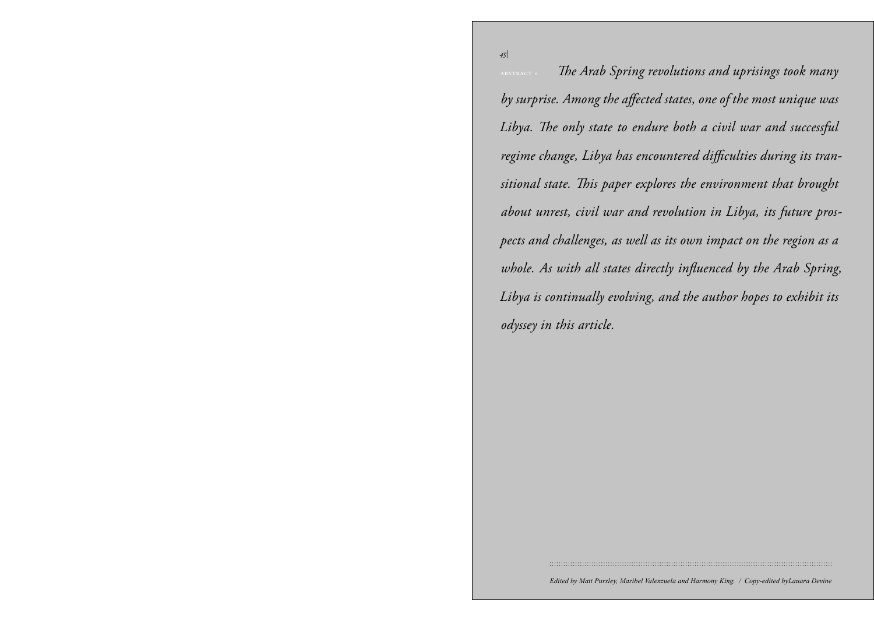*Volume 33 / Spring 2014 | 45* abstract » *The Arab Spring revolutions and uprisings took many*  by surprise. Among the affected states, one of the most unique was<br>Tilental and a content of the state of the most unique was ya. Ine only state to er<br>me change I ibya has e me criange, Libya nas e sitional state. This paper explores the environment that brought *» by Nina Harris about unrest, civil war and revolution in Libya, its future pros-*Libya is continually evolving, and the author hopes to exhibit its **Turkmenistan is one of** the five former *odyssey in this article.* whole. As with all states directly influenced by the Arab Spring, with its control  $\mathcal{L}_\mathcal{D}$  is controlled in the 4th century B.C. by *Libya. The only state to endure both a civil war and successful regime change, Libya has encountered difficulties during its tranpects and challenges, as well as its own impact on the region as a* 

*45|*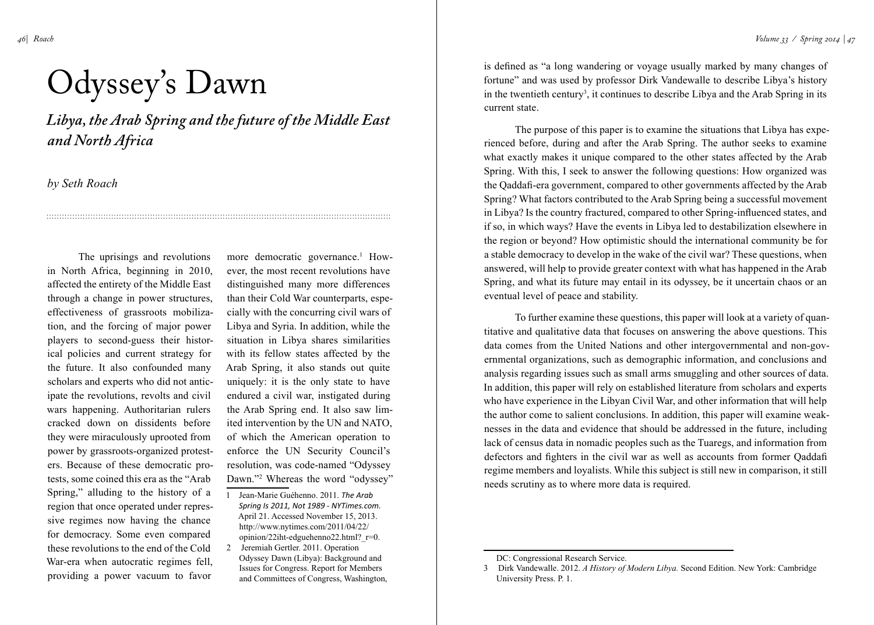# Odyssey's Dawn

*Libya, the Arab Spring and the future of the Middle East and North Africa*

*by Seth Roach*

The uprisings and revolutions in North Africa, beginning in 2010, affected the entirety of the Middle East through a change in power structures, effectiveness of grassroots mobilization, and the forcing of major power players to second-guess their historical policies and current strategy for the future. It also confounded many scholars and experts who did not anticipate the revolutions, revolts and civil wars happening. Authoritarian rulers cracked down on dissidents before they were miraculously uprooted from power by grassroots-organized protesters. Because of these democratic protests, some coined this era as the "Arab Spring," alluding to the history of a region that once operated under repressive regimes now having the chance for democracy. Some even compared these revolutions to the end of the Cold War-era when autocratic regimes fell, providing a power vacuum to favor

more democratic governance.<sup>1</sup> However, the most recent revolutions have distinguished many more differences than their Cold War counterparts, especially with the concurring civil wars of Libya and Syria. In addition, while the situation in Libya shares similarities with its fellow states affected by the Arab Spring, it also stands out quite uniquely: it is the only state to have endured a civil war, instigated during the Arab Spring end. It also saw limited intervention by the UN and NATO, of which the American operation to enforce the UN Security Council's resolution, was code-named "Odyssey Dawn."2 Whereas the word "odyssey"

- 1 Jean-Marie Guéhenno. 2011. *The Arab Spring Is 2011, Not 1989 - NYTimes.com.* April 21. Accessed November 15, 2013. http://www.nytimes.com/2011/04/22/ opinion/22iht-edguehenno22.html?\_r=0.
- 2 Jeremiah Gertler. 2011. Operation Odyssey Dawn (Libya): Background and Issues for Congress. Report for Members and Committees of Congress, Washington,

is defined as "a long wandering or voyage usually marked by many changes of fortune" and was used by professor Dirk Vandewalle to describe Libya's history in the twentieth century<sup>3</sup>, it continues to describe Libya and the Arab Spring in its current state.

The purpose of this paper is to examine the situations that Libya has experienced before, during and after the Arab Spring. The author seeks to examine what exactly makes it unique compared to the other states affected by the Arab Spring. With this, I seek to answer the following questions: How organized was the Qaddafi-era government, compared to other governments affected by the Arab Spring? What factors contributed to the Arab Spring being a successful movement in Libya? Is the country fractured, compared to other Spring-influenced states, and if so, in which ways? Have the events in Libya led to destabilization elsewhere in the region or beyond? How optimistic should the international community be for a stable democracy to develop in the wake of the civil war? These questions, when answered, will help to provide greater context with what has happened in the Arab Spring, and what its future may entail in its odyssey, be it uncertain chaos or an eventual level of peace and stability.

To further examine these questions, this paper will look at a variety of quantitative and qualitative data that focuses on answering the above questions. This data comes from the United Nations and other intergovernmental and non-governmental organizations, such as demographic information, and conclusions and analysis regarding issues such as small arms smuggling and other sources of data. In addition, this paper will rely on established literature from scholars and experts who have experience in the Libyan Civil War, and other information that will help the author come to salient conclusions. In addition, this paper will examine weaknesses in the data and evidence that should be addressed in the future, including lack of census data in nomadic peoples such as the Tuaregs, and information from defectors and fighters in the civil war as well as accounts from former Qaddafi regime members and loyalists. While this subject is still new in comparison, it still needs scrutiny as to where more data is required.

DC: Congressional Research Service.

<sup>3</sup> Dirk Vandewalle. 2012. *A History of Modern Libya.* Second Edition. New York: Cambridge University Press. P. 1.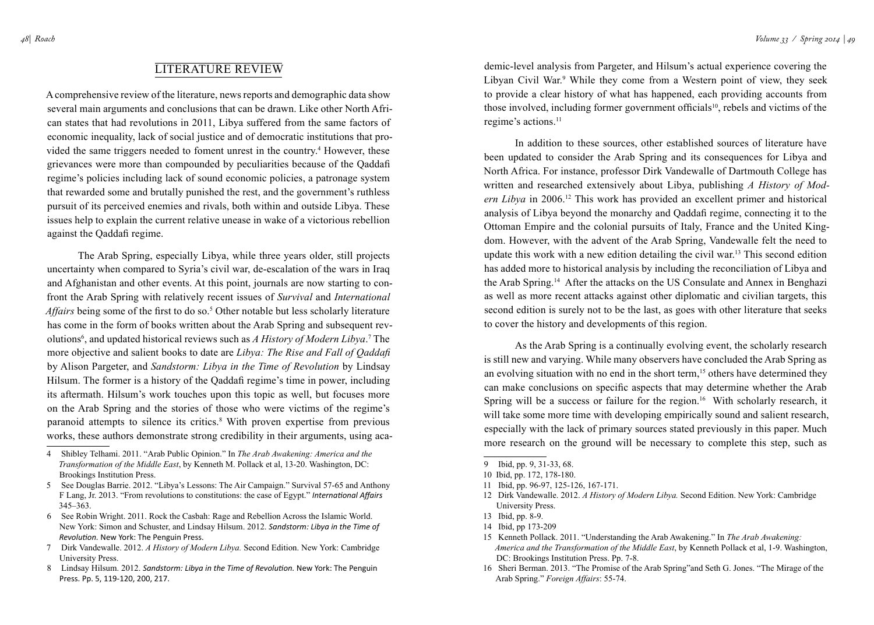## Literature Review

A comprehensive review of the literature, news reports and demographic data show several main arguments and conclusions that can be drawn. Like other North African states that had revolutions in 2011, Libya suffered from the same factors of economic inequality, lack of social justice and of democratic institutions that provided the same triggers needed to foment unrest in the country.<sup>4</sup> However, these grievances were more than compounded by peculiarities because of the Qaddafi regime's policies including lack of sound economic policies, a patronage system that rewarded some and brutally punished the rest, and the government's ruthless pursuit of its perceived enemies and rivals, both within and outside Libya. These issues help to explain the current relative unease in wake of a victorious rebellion against the Qaddafi regime.

The Arab Spring, especially Libya, while three years older, still projects uncertainty when compared to Syria's civil war, de-escalation of the wars in Iraq and Afghanistan and other events. At this point, journals are now starting to confront the Arab Spring with relatively recent issues of *Survival* and *International*  Affairs being some of the first to do so.<sup>5</sup> Other notable but less scholarly literature has come in the form of books written about the Arab Spring and subsequent revolutions<sup>6</sup>, and updated historical reviews such as *A History of Modern Libya*.<sup>7</sup> The more objective and salient books to date are *Libya: The Rise and Fall of Qaddafi* by Alison Pargeter, and *Sandstorm: Libya in the Time of Revolution* by Lindsay Hilsum. The former is a history of the Qaddafi regime's time in power, including its aftermath. Hilsum's work touches upon this topic as well, but focuses more on the Arab Spring and the stories of those who were victims of the regime's paranoid attempts to silence its critics.<sup>8</sup> With proven expertise from previous works, these authors demonstrate strong credibility in their arguments, using aca-

- 5 See Douglas Barrie. 2012. "Libya's Lessons: The Air Campaign." Survival 57-65 and Anthony F Lang, Jr. 2013. "From revolutions to constitutions: the case of Egypt." *International Affairs* 345–363.
- 6 See Robin Wright. 2011. Rock the Casbah: Rage and Rebellion Across the Islamic World. New York: Simon and Schuster, and Lindsay Hilsum. 2012. *Sandstorm: Libya in the Time of Revolution.* New York: The Penguin Press.
- 7 Dirk Vandewalle. 2012. *A History of Modern Libya.* Second Edition. New York: Cambridge University Press.

8 Lindsay Hilsum. 2012. *Sandstorm: Libya in the Time of Revolution.* New York: The Penguin Press. Pp. 5, 119-120, 200, 217.

demic-level analysis from Pargeter, and Hilsum's actual experience covering the Libyan Civil War.<sup>9</sup> While they come from a Western point of view, they seek to provide a clear history of what has happened, each providing accounts from those involved, including former government officials<sup>10</sup>, rebels and victims of the regime's actions.<sup>11</sup>

In addition to these sources, other established sources of literature have been updated to consider the Arab Spring and its consequences for Libya and North Africa. For instance, professor Dirk Vandewalle of Dartmouth College has written and researched extensively about Libya, publishing *A History of Modern Libya* in 2006.12 This work has provided an excellent primer and historical analysis of Libya beyond the monarchy and Qaddafi regime, connecting it to the Ottoman Empire and the colonial pursuits of Italy, France and the United Kingdom. However, with the advent of the Arab Spring, Vandewalle felt the need to update this work with a new edition detailing the civil war.13 This second edition has added more to historical analysis by including the reconciliation of Libya and the Arab Spring.14 After the attacks on the US Consulate and Annex in Benghazi as well as more recent attacks against other diplomatic and civilian targets, this second edition is surely not to be the last, as goes with other literature that seeks to cover the history and developments of this region.

As the Arab Spring is a continually evolving event, the scholarly research is still new and varying. While many observers have concluded the Arab Spring as an evolving situation with no end in the short term,<sup>15</sup> others have determined they can make conclusions on specific aspects that may determine whether the Arab Spring will be a success or failure for the region.<sup>16</sup> With scholarly research, it will take some more time with developing empirically sound and salient research, especially with the lack of primary sources stated previously in this paper. Much more research on the ground will be necessary to complete this step, such as

- 11 Ibid, pp. 96-97, 125-126, 167-171.
- 12 Dirk Vandewalle. 2012. *A History of Modern Libya.* Second Edition. New York: Cambridge University Press.
- 13 Ibid, pp. 8-9.

- 15 Kenneth Pollack. 2011. "Understanding the Arab Awakening." In *The Arab Awakening: America and the Transformation of the Middle East*, by Kenneth Pollack et al, 1-9. Washington, DC: Brookings Institution Press. Pp. 7-8.
- 16 Sheri Berman. 2013. "The Promise of the Arab Spring"and Seth G. Jones. "The Mirage of the Arab Spring." *Foreign Affairs*: 55-74.

<sup>4</sup> Shibley Telhami. 2011. "Arab Public Opinion." In *The Arab Awakening: America and the Transformation of the Middle East*, by Kenneth M. Pollack et al, 13-20. Washington, DC: Brookings Institution Press.

<sup>9</sup> Ibid, pp. 9, 31-33, 68.

<sup>10</sup> Ibid, pp. 172, 178-180.

<sup>14</sup> Ibid, pp 173-209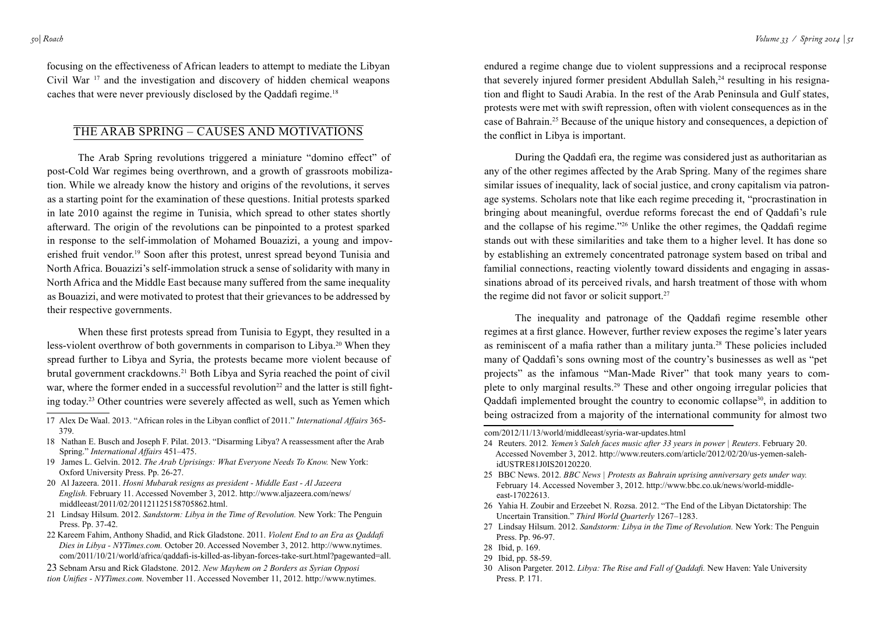focusing on the effectiveness of African leaders to attempt to mediate the Libyan Civil War 17 and the investigation and discovery of hidden chemical weapons caches that were never previously disclosed by the Qaddafi regime.<sup>18</sup>

### The Arab Spring – Causes and Motivations

The Arab Spring revolutions triggered a miniature "domino effect" of post-Cold War regimes being overthrown, and a growth of grassroots mobilization. While we already know the history and origins of the revolutions, it serves as a starting point for the examination of these questions. Initial protests sparked in late 2010 against the regime in Tunisia, which spread to other states shortly afterward. The origin of the revolutions can be pinpointed to a protest sparked in response to the self-immolation of Mohamed Bouazizi, a young and impoverished fruit vendor.19 Soon after this protest, unrest spread beyond Tunisia and North Africa. Bouazizi's self-immolation struck a sense of solidarity with many in North Africa and the Middle East because many suffered from the same inequality as Bouazizi, and were motivated to protest that their grievances to be addressed by their respective governments.

When these first protests spread from Tunisia to Egypt, they resulted in a less-violent overthrow of both governments in comparison to Libya.<sup>20</sup> When they spread further to Libya and Syria, the protests became more violent because of brutal government crackdowns.<sup>21</sup> Both Libya and Syria reached the point of civil war, where the former ended in a successful revolution<sup>22</sup> and the latter is still fighting today.23 Other countries were severely affected as well, such as Yemen which

- 17 Alex De Waal. 2013. "African roles in the Libyan conflict of 2011." *International Affairs* 365- 379.
- 18 Nathan E. Busch and Joseph F. Pilat. 2013. "Disarming Libya? A reassessment after the Arab Spring." *International Affairs* 451–475.
- 19 James L. Gelvin. 2012. *The Arab Uprisings: What Everyone Needs To Know.* New York: Oxford University Press. Pp. 26-27.
- 20 Al Jazeera. 2011. *Hosni Mubarak resigns as president Middle East Al Jazeera English.* February 11. Accessed November 3, 2012. http://www.aljazeera.com/news/ middleeast/2011/02/201121125158705862.html.
- 21 Lindsay Hilsum. 2012. *Sandstorm: Libya in the Time of Revolution.* New York: The Penguin Press. Pp. 37-42.
- 22 Kareem Fahim, Anthony Shadid, and Rick Gladstone. 2011. *Violent End to an Era as Qaddafi Dies in Libya - NYTimes.com.* October 20. Accessed November 3, 2012. http://www.nytimes. com/2011/10/21/world/africa/qaddafi-is-killed-as-libyan-forces-take-surt.html?pagewanted=all.

23 Sebnam Arsu and Rick Gladstone. 2012. *New Mayhem on 2 Borders as Syrian Opposi tion Unifies - NYTimes.com.* November 11. Accessed November 11, 2012. http://www.nytimes.

endured a regime change due to violent suppressions and a reciprocal response that severely injured former president Abdullah Saleh,<sup>24</sup> resulting in his resignation and flight to Saudi Arabia. In the rest of the Arab Peninsula and Gulf states, protests were met with swift repression, often with violent consequences as in the case of Bahrain.25 Because of the unique history and consequences, a depiction of the conflict in Libya is important.

During the Qaddafi era, the regime was considered just as authoritarian as any of the other regimes affected by the Arab Spring. Many of the regimes share similar issues of inequality, lack of social justice, and crony capitalism via patronage systems. Scholars note that like each regime preceding it, "procrastination in bringing about meaningful, overdue reforms forecast the end of Qaddafi's rule and the collapse of his regime."26 Unlike the other regimes, the Qaddafi regime stands out with these similarities and take them to a higher level. It has done so by establishing an extremely concentrated patronage system based on tribal and familial connections, reacting violently toward dissidents and engaging in assassinations abroad of its perceived rivals, and harsh treatment of those with whom the regime did not favor or solicit support.27

The inequality and patronage of the Qaddafi regime resemble other regimes at a first glance. However, further review exposes the regime's later years as reminiscent of a mafia rather than a military junta.28 These policies included many of Qaddafi's sons owning most of the country's businesses as well as "pet projects" as the infamous "Man-Made River" that took many years to complete to only marginal results.29 These and other ongoing irregular policies that Qaddafi implemented brought the country to economic collapse<sup>30</sup>, in addition to being ostracized from a majority of the international community for almost two

- 25 BBC News. 2012. *BBC News | Protests as Bahrain uprising anniversary gets under way.* February 14. Accessed November 3, 2012. http://www.bbc.co.uk/news/world-middleeast-17022613.
- 26 Yahia H. Zoubir and Erzeebet N. Rozsa. 2012. "The End of the Libyan Dictatorship: The Uncertain Transition." *Third World Quarterly* 1267–1283.
- 27 Lindsay Hilsum. 2012. *Sandstorm: Libya in the Time of Revolution.* New York: The Penguin Press. Pp. 96-97.
- 28 Ibid, p. 169.
- 29 Ibid, pp. 58-59.
- 30 Alison Pargeter. 2012. *Libya: The Rise and Fall of Qaddafi.* New Haven: Yale University Press. P. 171.

com/2012/11/13/world/middleeast/syria-war-updates.html

<sup>24</sup> Reuters. 2012*. Yemen's Saleh faces music after 33 years in power | Reuters*. February 20. Accessed November 3, 2012. http://www.reuters.com/article/2012/02/20/us-yemen-salehidUSTRE81J0IS20120220.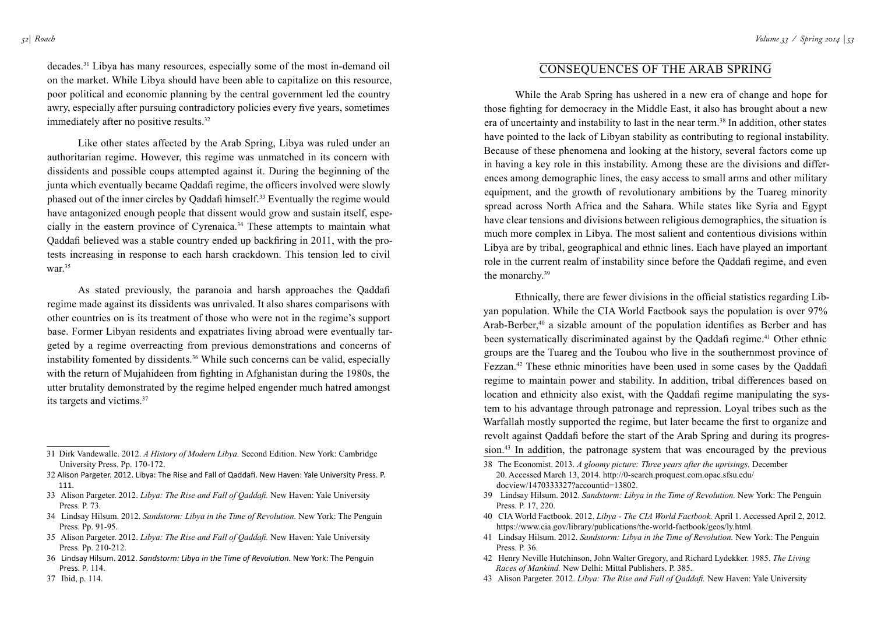*Roach*

decades.31 Libya has many resources, especially some of the most in-demand oil on the market. While Libya should have been able to capitalize on this resource, poor political and economic planning by the central government led the country awry, especially after pursuing contradictory policies every five years, sometimes immediately after no positive results.32

Like other states affected by the Arab Spring, Libya was ruled under an authoritarian regime. However, this regime was unmatched in its concern with dissidents and possible coups attempted against it. During the beginning of the junta which eventually became Qaddafi regime, the officers involved were slowly phased out of the inner circles by Qaddafi himself.33 Eventually the regime would have antagonized enough people that dissent would grow and sustain itself, especially in the eastern province of Cyrenaica.34 These attempts to maintain what Qaddafi believed was a stable country ended up backfiring in 2011, with the protests increasing in response to each harsh crackdown. This tension led to civil war.35

As stated previously, the paranoia and harsh approaches the Qaddafi regime made against its dissidents was unrivaled. It also shares comparisons with other countries on is its treatment of those who were not in the regime's support base. Former Libyan residents and expatriates living abroad were eventually targeted by a regime overreacting from previous demonstrations and concerns of instability fomented by dissidents.<sup>36</sup> While such concerns can be valid, especially with the return of Mujahideen from fighting in Afghanistan during the 1980s, the utter brutality demonstrated by the regime helped engender much hatred amongst its targets and victims.37

- 33 Alison Pargeter. 2012. *Libya: The Rise and Fall of Qaddafi.* New Haven: Yale University Press. P. 73.
- 34 Lindsay Hilsum. 2012. *Sandstorm: Libya in the Time of Revolution.* New York: The Penguin Press. Pp. 91-95.
- 35 Alison Pargeter. 2012. *Libya: The Rise and Fall of Qaddafi.* New Haven: Yale University Press. Pp. 210-212.
- 36 Lindsay Hilsum. 2012. *Sandstorm: Libya in the Time of Revolution.* New York: The Penguin Press. P*.* 114.
- 37 Ibid, p. 114.

## Consequences of the Arab Spring

While the Arab Spring has ushered in a new era of change and hope for those fighting for democracy in the Middle East, it also has brought about a new era of uncertainty and instability to last in the near term.<sup>38</sup> In addition, other states have pointed to the lack of Libyan stability as contributing to regional instability. Because of these phenomena and looking at the history, several factors come up in having a key role in this instability. Among these are the divisions and differences among demographic lines, the easy access to small arms and other military equipment, and the growth of revolutionary ambitions by the Tuareg minority spread across North Africa and the Sahara. While states like Syria and Egypt have clear tensions and divisions between religious demographics, the situation is much more complex in Libya. The most salient and contentious divisions within Libya are by tribal, geographical and ethnic lines. Each have played an important role in the current realm of instability since before the Qaddafi regime, and even the monarchy.39

Ethnically, there are fewer divisions in the official statistics regarding Libyan population. While the CIA World Factbook says the population is over 97% Arab-Berber,<sup>40</sup> a sizable amount of the population identifies as Berber and has been systematically discriminated against by the Qaddafi regime.<sup>41</sup> Other ethnic groups are the Tuareg and the Toubou who live in the southernmost province of Fezzan.<sup>42</sup> These ethnic minorities have been used in some cases by the Qaddafi regime to maintain power and stability. In addition, tribal differences based on location and ethnicity also exist, with the Qaddafi regime manipulating the system to his advantage through patronage and repression. Loyal tribes such as the Warfallah mostly supported the regime, but later became the first to organize and revolt against Qaddafi before the start of the Arab Spring and during its progression.43 In addition, the patronage system that was encouraged by the previous

- 20. Accessed March 13, 2014. http://0-search.proquest.com.opac.sfsu.edu/ docview/1470333327?accountid=13802.
- 39 Lindsay Hilsum. 2012. *Sandstorm: Libya in the Time of Revolution.* New York: The Penguin Press. P. 17, 220.
- 40 CIA World Factbook. 2012. *Libya The CIA World Factbook.* April 1. Accessed April 2, 2012. https://www.cia.gov/library/publications/the-world-factbook/geos/ly.html.
- 41 Lindsay Hilsum. 2012. *Sandstorm: Libya in the Time of Revolution.* New York: The Penguin Press. P. 36.
- 42 Henry Neville Hutchinson, John Walter Gregory, and Richard Lydekker. 1985. *The Living Races of Mankind.* New Delhi: Mittal Publishers. P. 385.
- 43 Alison Pargeter. 2012. *Libya: The Rise and Fall of Qaddafi.* New Haven: Yale University

<sup>31</sup> Dirk Vandewalle. 2012. *A History of Modern Libya.* Second Edition. New York: Cambridge University Press. Pp. 170-172.

<sup>32</sup> Alison Pargeter. 2012. Libya: The Rise and Fall of Qaddafi. New Haven: Yale University Press. P. 111.

<sup>38</sup> The Economist. 2013. *A gloomy picture: Three years after the uprisings.* December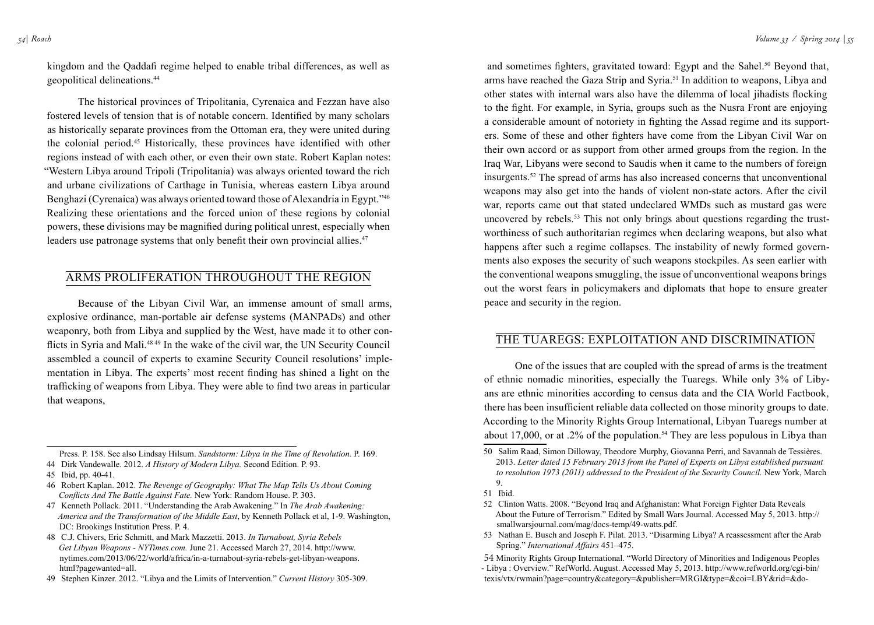geopolitical delineations.44

kingdom and the Qaddafi regime helped to enable tribal differences, as well as

The historical provinces of Tripolitania, Cyrenaica and Fezzan have also fostered levels of tension that is of notable concern. Identified by many scholars as historically separate provinces from the Ottoman era, they were united during the colonial period.45 Historically, these provinces have identified with other regions instead of with each other, or even their own state. Robert Kaplan notes: "Western Libya around Tripoli (Tripolitania) was always oriented toward the rich and urbane civilizations of Carthage in Tunisia, whereas eastern Libya around Benghazi (Cyrenaica) was always oriented toward those of Alexandria in Egypt."46 Realizing these orientations and the forced union of these regions by colonial powers, these divisions may be magnified during political unrest, especially when leaders use patronage systems that only benefit their own provincial allies.<sup>47</sup>

## Arms Proliferation throughout the Region

Because of the Libyan Civil War, an immense amount of small arms, explosive ordinance, man-portable air defense systems (MANPADs) and other weaponry, both from Libya and supplied by the West, have made it to other conflicts in Syria and Mali.48 49 In the wake of the civil war, the UN Security Council assembled a council of experts to examine Security Council resolutions' implementation in Libya. The experts' most recent finding has shined a light on the trafficking of weapons from Libya. They were able to find two areas in particular that weapons,

Press. P. 158. See also Lindsay Hilsum. *Sandstorm: Libya in the Time of Revolution.* P. 169. 44 Dirk Vandewalle. 2012. *A History of Modern Libya.* Second Edition. P. 93.

- 45 Ibid, pp. 40-41.
- 46 Robert Kaplan. 2012. *The Revenge of Geography: What The Map Tells Us About Coming Conflicts And The Battle Against Fate.* New York: Random House. P. 303.
- 47 Kenneth Pollack. 2011. "Understanding the Arab Awakening." In *The Arab Awakening: America and the Transformation of the Middle East*, by Kenneth Pollack et al, 1-9. Washington, DC: Brookings Institution Press. P. 4.
- 48 C.J. Chivers, Eric Schmitt, and Mark Mazzetti. 2013. *In Turnabout, Syria Rebels Get Libyan Weapons - NYTimes.com.* June 21. Accessed March 27, 2014. http://www. nytimes.com/2013/06/22/world/africa/in-a-turnabout-syria-rebels-get-libyan-weapons. html?pagewanted=all.

and sometimes fighters, gravitated toward: Egypt and the Sahel.<sup>50</sup> Beyond that, arms have reached the Gaza Strip and Syria.51 In addition to weapons, Libya and other states with internal wars also have the dilemma of local jihadists flocking to the fight. For example, in Syria, groups such as the Nusra Front are enjoying a considerable amount of notoriety in fighting the Assad regime and its supporters. Some of these and other fighters have come from the Libyan Civil War on their own accord or as support from other armed groups from the region. In the Iraq War, Libyans were second to Saudis when it came to the numbers of foreign insurgents.52 The spread of arms has also increased concerns that unconventional weapons may also get into the hands of violent non-state actors. After the civil war, reports came out that stated undeclared WMDs such as mustard gas were uncovered by rebels.<sup>53</sup> This not only brings about questions regarding the trustworthiness of such authoritarian regimes when declaring weapons, but also what happens after such a regime collapses. The instability of newly formed governments also exposes the security of such weapons stockpiles. As seen earlier with the conventional weapons smuggling, the issue of unconventional weapons brings out the worst fears in policymakers and diplomats that hope to ensure greater peace and security in the region.

## The Tuaregs: Exploitation and Discrimination

One of the issues that are coupled with the spread of arms is the treatment of ethnic nomadic minorities, especially the Tuaregs. While only 3% of Libyans are ethnic minorities according to census data and the CIA World Factbook, there has been insufficient reliable data collected on those minority groups to date. According to the Minority Rights Group International, Libyan Tuaregs number at about 17,000, or at .2% of the population.<sup>54</sup> They are less populous in Libya than

- 51 Ibid.
- 52 Clinton Watts. 2008. "Beyond Iraq and Afghanistan: What Foreign Fighter Data Reveals About the Future of Terrorism." Edited by Small Wars Journal. Accessed May 5, 2013. http:// smallwarsjournal.com/mag/docs-temp/49-watts.pdf.
- 53 Nathan E. Busch and Joseph F. Pilat. 2013. "Disarming Libya? A reassessment after the Arab Spring." *International Affairs* 451–475.

<sup>49</sup> Stephen Kinzer. 2012. "Libya and the Limits of Intervention." *Current History* 305-309.

<sup>50</sup> Salim Raad, Simon Dilloway, Theodore Murphy, Giovanna Perri, and Savannah de Tessières. 2013. *Letter dated 15 February 2013 from the Panel of Experts on Libya established pursuant to resolution 1973 (2011) addressed to the President of the Security Council.* New York, March 9.

<sup>54</sup> Minority Rights Group International. "World Directory of Minorities and Indigenous Peoples - Libya : Overview." RefWorld. August. Accessed May 5, 2013. http://www.refworld.org/cgi-bin/ texis/vtx/rwmain?page=country&category=&publisher=MRGI&type=&coi=LBY&rid=&do-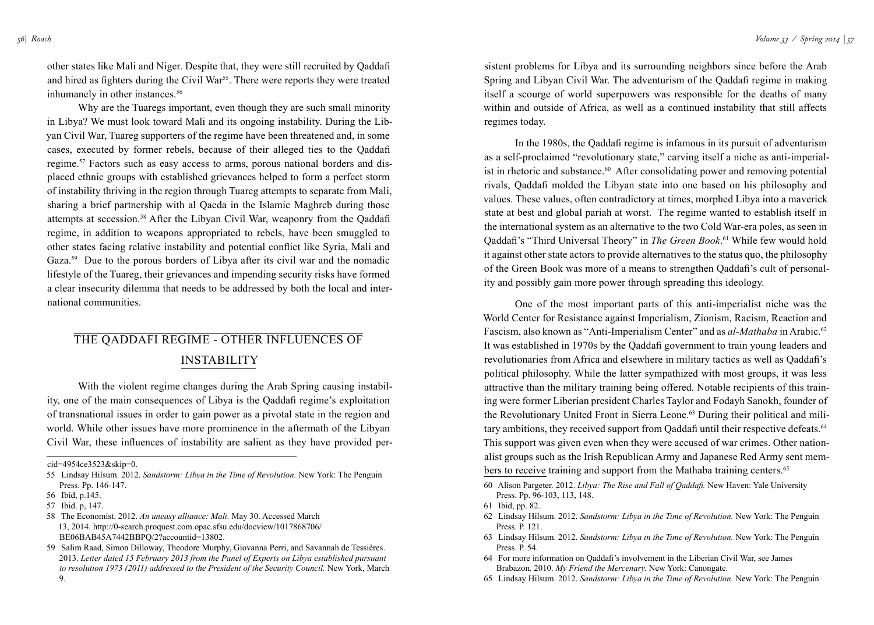other states like Mali and Niger. Despite that, they were still recruited by Qaddafi and hired as fighters during the Civil War<sup>55</sup>. There were reports they were treated inhumanely in other instances.<sup>56</sup>

Why are the Tuaregs important, even though they are such small minority in Libya? We must look toward Mali and its ongoing instability. During the Libyan Civil War, Tuareg supporters of the regime have been threatened and, in some cases, executed by former rebels, because of their alleged ties to the Qaddafi regime.57 Factors such as easy access to arms, porous national borders and displaced ethnic groups with established grievances helped to form a perfect storm of instability thriving in the region through Tuareg attempts to separate from Mali, sharing a brief partnership with al Qaeda in the Islamic Maghreb during those attempts at secession.58 After the Libyan Civil War, weaponry from the Qaddafi regime, in addition to weapons appropriated to rebels, have been smuggled to other states facing relative instability and potential conflict like Syria, Mali and Gaza.<sup>59</sup> Due to the porous borders of Libya after its civil war and the nomadic lifestyle of the Tuareg, their grievances and impending security risks have formed a clear insecurity dilemma that needs to be addressed by both the local and international communities.

## The Qaddafi Regime - Other Influences of **INSTABILITY**

With the violent regime changes during the Arab Spring causing instability, one of the main consequences of Libya is the Qaddafi regime's exploitation of transnational issues in order to gain power as a pivotal state in the region and world. While other issues have more prominence in the aftermath of the Libyan Civil War, these influences of instability are salient as they have provided per-

sistent problems for Libya and its surrounding neighbors since before the Arab Spring and Libyan Civil War. The adventurism of the Qaddafi regime in making itself a scourge of world superpowers was responsible for the deaths of many within and outside of Africa, as well as a continued instability that still affects regimes today.

In the 1980s, the Qaddafi regime is infamous in its pursuit of adventurism as a self-proclaimed "revolutionary state," carving itself a niche as anti-imperialist in rhetoric and substance.<sup>60</sup> After consolidating power and removing potential rivals, Qaddafi molded the Libyan state into one based on his philosophy and values. These values, often contradictory at times, morphed Libya into a maverick state at best and global pariah at worst. The regime wanted to establish itself in the international system as an alternative to the two Cold War-era poles, as seen in Qaddafi's "Third Universal Theory" in *The Green Book*. 61 While few would hold it against other state actors to provide alternatives to the status quo, the philosophy of the Green Book was more of a means to strengthen Qaddafi's cult of personality and possibly gain more power through spreading this ideology.

One of the most important parts of this anti-imperialist niche was the World Center for Resistance against Imperialism, Zionism, Racism, Reaction and Fascism, also known as "Anti-Imperialism Center" and as *al-Mathaba* in Arabic.<sup>62</sup> It was established in 1970s by the Qaddafi government to train young leaders and revolutionaries from Africa and elsewhere in military tactics as well as Qaddafi's political philosophy. While the latter sympathized with most groups, it was less attractive than the military training being offered. Notable recipients of this training were former Liberian president Charles Taylor and Fodayh Sanokh, founder of the Revolutionary United Front in Sierra Leone.<sup>63</sup> During their political and military ambitions, they received support from Qaddafi until their respective defeats.<sup>64</sup> This support was given even when they were accused of war crimes. Other nationalist groups such as the Irish Republican Army and Japanese Red Army sent members to receive training and support from the Mathaba training centers.<sup>65</sup>

cid=4954ce3523&skip=0.

<sup>55</sup> Lindsay Hilsum. 2012. *Sandstorm: Libya in the Time of Revolution.* New York: The Penguin Press. Pp. 146-147.

<sup>56</sup> Ibid, p.145.

<sup>57</sup> Ibid. p, 147.

<sup>58</sup> The Economist. 2012. *An uneasy alliance: Mali.* May 30. Accessed March 13, 2014. http://0-search.proquest.com.opac.sfsu.edu/docview/1017868706/ BE06BAB45A7442BBPQ/2?accountid=13802.

<sup>59</sup> Salim Raad, Simon Dilloway, Theodore Murphy, Giovanna Perri, and Savannah de Tessières. 2013. *Letter dated 15 February 2013 from the Panel of Experts on Libya established pursuant to resolution 1973 (2011) addressed to the President of the Security Council.* New York, March 9.

<sup>60</sup> Alison Pargeter. 2012. *Libya: The Rise and Fall of Qaddafi.* New Haven: Yale University Press. Pp. 96-103, 113, 148.

<sup>61</sup> Ibid, pp. 82.

<sup>62</sup> Lindsay Hilsum. 2012. *Sandstorm: Libya in the Time of Revolution.* New York: The Penguin Press. P. 121.

<sup>63</sup> Lindsay Hilsum. 2012. *Sandstorm: Libya in the Time of Revolution.* New York: The Penguin Press. P. 54.

<sup>64</sup> For more information on Qaddafi's involvement in the Liberian Civil War, see James Brabazon. 2010. *My Friend the Mercenary.* New York: Canongate.

<sup>65</sup> Lindsay Hilsum. 2012. *Sandstorm: Libya in the Time of Revolution.* New York: The Penguin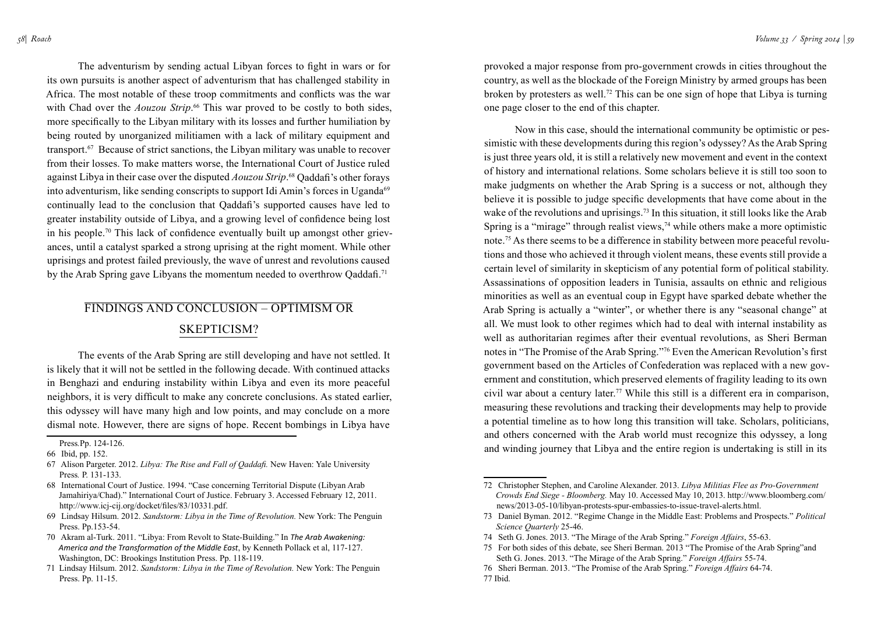The adventurism by sending actual Libyan forces to fight in wars or for its own pursuits is another aspect of adventurism that has challenged stability in Africa. The most notable of these troop commitments and conflicts was the war with Chad over the *Aouzou Strip*.<sup>66</sup> This war proved to be costly to both sides, more specifically to the Libyan military with its losses and further humiliation by being routed by unorganized militiamen with a lack of military equipment and transport.67 Because of strict sanctions, the Libyan military was unable to recover from their losses. To make matters worse, the International Court of Justice ruled against Libya in their case over the disputed *Aouzou Strip*. <sup>68</sup> Qaddafi's other forays into adventurism, like sending conscripts to support Idi Amin's forces in Uganda<sup>69</sup> continually lead to the conclusion that Qaddafi's supported causes have led to greater instability outside of Libya, and a growing level of confidence being lost in his people.70 This lack of confidence eventually built up amongst other grievances, until a catalyst sparked a strong uprising at the right moment. While other uprisings and protest failed previously, the wave of unrest and revolutions caused by the Arab Spring gave Libyans the momentum needed to overthrow Qaddafi.<sup>71</sup>

## Findings and conclusion – Optimism or Skepticism?

The events of the Arab Spring are still developing and have not settled. It is likely that it will not be settled in the following decade. With continued attacks in Benghazi and enduring instability within Libya and even its more peaceful neighbors, it is very difficult to make any concrete conclusions. As stated earlier, this odyssey will have many high and low points, and may conclude on a more dismal note. However, there are signs of hope. Recent bombings in Libya have

provoked a major response from pro-government crowds in cities throughout the country, as well as the blockade of the Foreign Ministry by armed groups has been broken by protesters as well.72 This can be one sign of hope that Libya is turning one page closer to the end of this chapter.

Now in this case, should the international community be optimistic or pessimistic with these developments during this region's odyssey? As the Arab Spring is just three years old, it is still a relatively new movement and event in the context of history and international relations. Some scholars believe it is still too soon to make judgments on whether the Arab Spring is a success or not, although they believe it is possible to judge specific developments that have come about in the wake of the revolutions and uprisings.<sup>73</sup> In this situation, it still looks like the Arab Spring is a "mirage" through realist views, $74$  while others make a more optimistic note.75 As there seems to be a difference in stability between more peaceful revolutions and those who achieved it through violent means, these events still provide a certain level of similarity in skepticism of any potential form of political stability. Assassinations of opposition leaders in Tunisia, assaults on ethnic and religious minorities as well as an eventual coup in Egypt have sparked debate whether the Arab Spring is actually a "winter", or whether there is any "seasonal change" at all. We must look to other regimes which had to deal with internal instability as well as authoritarian regimes after their eventual revolutions, as Sheri Berman notes in "The Promise of the Arab Spring."76 Even the American Revolution's first government based on the Articles of Confederation was replaced with a new government and constitution, which preserved elements of fragility leading to its own civil war about a century later.77 While this still is a different era in comparison, measuring these revolutions and tracking their developments may help to provide a potential timeline as to how long this transition will take. Scholars, politicians, and others concerned with the Arab world must recognize this odyssey, a long and winding journey that Libya and the entire region is undertaking is still in its

Press*.*Pp. 124-126.

<sup>66</sup> Ibid, pp. 152.

<sup>67</sup> Alison Pargeter. 2012. *Libya: The Rise and Fall of Qaddafi.* New Haven: Yale University Press*.* P. 131-133.

<sup>68</sup> International Court of Justice. 1994. "Case concerning Territorial Dispute (Libyan Arab Jamahiriya/Chad)." International Court of Justice. February 3. Accessed February 12, 2011. http://www.icj-cij.org/docket/files/83/10331.pdf.

<sup>69</sup> Lindsay Hilsum. 2012. *Sandstorm: Libya in the Time of Revolution.* New York: The Penguin Press. Pp.153-54.

<sup>70</sup> Akram al-Turk. 2011. "Libya: From Revolt to State-Building." In *The Arab Awakening: America and the Transformation of the Middle East*, by Kenneth Pollack et al, 117-127. Washington, DC: Brookings Institution Press. Pp. 118-119.

<sup>71</sup> Lindsay Hilsum. 2012. *Sandstorm: Libya in the Time of Revolution.* New York: The Penguin Press. Pp. 11-15.

<sup>72</sup> Christopher Stephen, and Caroline Alexander. 2013. *Libya Militias Flee as Pro-Government Crowds End Siege - Bloomberg.* May 10. Accessed May 10, 2013. http://www.bloomberg.com/ news/2013-05-10/libyan-protests-spur-embassies-to-issue-travel-alerts.html.

<sup>73</sup> Daniel Byman. 2012. "Regime Change in the Middle East: Problems and Prospects." *Political Science Quarterly* 25-46.

<sup>74</sup> Seth G. Jones. 2013. "The Mirage of the Arab Spring." *Foreign Affairs*, 55-63.

<sup>75</sup> For both sides of this debate, see Sheri Berman. 2013 "The Promise of the Arab Spring"and Seth G. Jones. 2013. "The Mirage of the Arab Spring." *Foreign Affairs* 55-74.

<sup>76</sup> Sheri Berman. 2013. "The Promise of the Arab Spring." *Foreign Affairs* 64-74. 77 Ibid.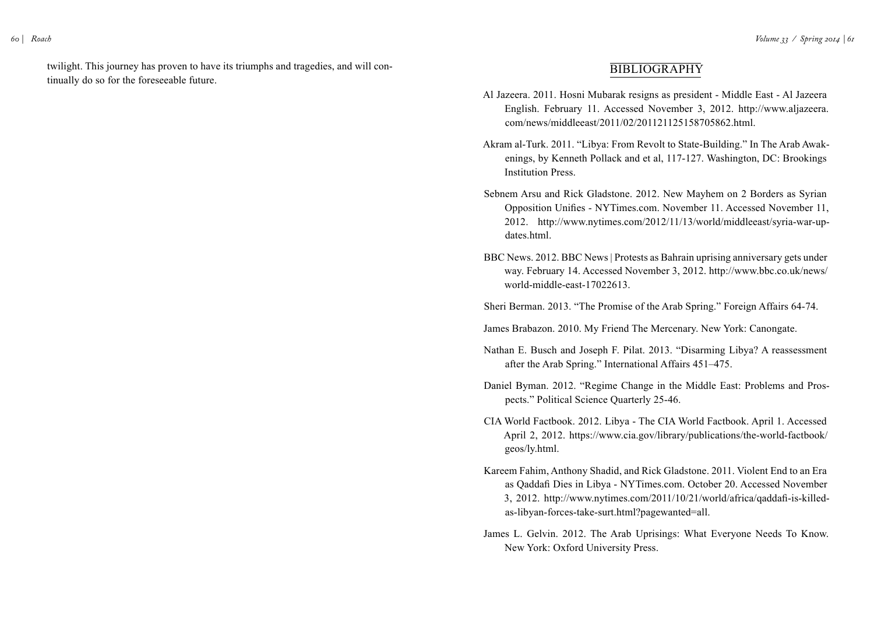twilight. This journey has proven to have its triumphs and tragedies, and will continually do so for the foreseeable future.

## **BIBLIOGRAPHY**

- Al Jazeera. 2011. Hosni Mubarak resigns as president Middle East Al Jazeera English. February 11. Accessed November 3, 2012. http://www.aljazeera. com/news/middleeast/2011/02/201121125158705862.html.
- Akram al-Turk. 2011. "Libya: From Revolt to State-Building." In The Arab Awakenings, by Kenneth Pollack and et al, 117-127. Washington, DC: Brookings Institution Press.
- Sebnem Arsu and Rick Gladstone. 2012. New Mayhem on 2 Borders as Syrian Opposition Unifies - NYTimes.com. November 11. Accessed November 11, 2012. http://www.nytimes.com/2012/11/13/world/middleeast/syria-war-updates.html.
- BBC News. 2012. BBC News | Protests as Bahrain uprising anniversary gets under way. February 14. Accessed November 3, 2012. http://www.bbc.co.uk/news/ world-middle-east-17022613.

Sheri Berman. 2013. "The Promise of the Arab Spring." Foreign Affairs 64-74.

James Brabazon. 2010. My Friend The Mercenary. New York: Canongate.

- Nathan E. Busch and Joseph F. Pilat. 2013. "Disarming Libya? A reassessment after the Arab Spring." International Affairs 451–475.
- Daniel Byman. 2012. "Regime Change in the Middle East: Problems and Prospects." Political Science Quarterly 25-46.
- CIA World Factbook. 2012. Libya The CIA World Factbook. April 1. Accessed April 2, 2012. https://www.cia.gov/library/publications/the-world-factbook/ geos/ly.html.
- Kareem Fahim, Anthony Shadid, and Rick Gladstone. 2011. Violent End to an Era as Qaddafi Dies in Libya - NYTimes.com. October 20. Accessed November 3, 2012. http://www.nytimes.com/2011/10/21/world/africa/qaddafi-is-killedas-libyan-forces-take-surt.html?pagewanted=all.
- James L. Gelvin. 2012. The Arab Uprisings: What Everyone Needs To Know. New York: Oxford University Press.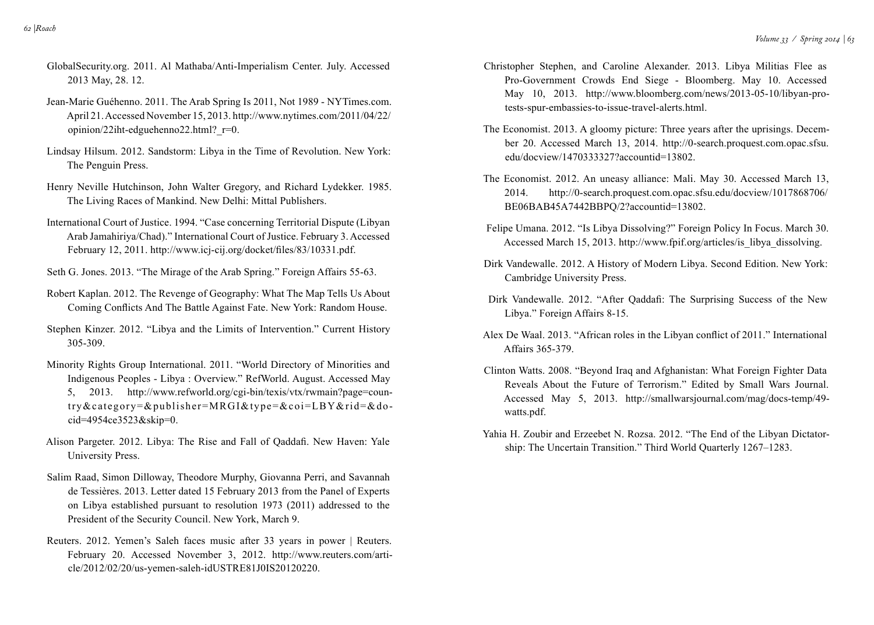- GlobalSecurity.org. 2011. Al Mathaba/Anti-Imperialism Center. July. Accessed 2013 May, 28. 12.
- Jean-Marie Guéhenno. 2011. The Arab Spring Is 2011, Not 1989 NYTimes.com. April 21. Accessed November 15, 2013. http://www.nytimes.com/2011/04/22/ opinion/22iht-edguehenno22.html? r=0.
- Lindsay Hilsum. 2012. Sandstorm: Libya in the Time of Revolution. New York: The Penguin Press.
- Henry Neville Hutchinson, John Walter Gregory, and Richard Lydekker. 1985. The Living Races of Mankind. New Delhi: Mittal Publishers.
- International Court of Justice. 1994. "Case concerning Territorial Dispute (Libyan Arab Jamahiriya/Chad)." International Court of Justice. February 3. Accessed February 12, 2011. http://www.icj-cij.org/docket/files/83/10331.pdf.
- Seth G. Jones. 2013. "The Mirage of the Arab Spring." Foreign Affairs 55-63.
- Robert Kaplan. 2012. The Revenge of Geography: What The Map Tells Us About Coming Conflicts And The Battle Against Fate. New York: Random House.
- Stephen Kinzer. 2012. "Libya and the Limits of Intervention." Current History 305-309.
- Minority Rights Group International. 2011. "World Directory of Minorities and Indigenous Peoples - Libya : Overview." RefWorld. August. Accessed May 5, 2013. http://www.refworld.org/cgi-bin/texis/vtx/rwmain?page=country&category=&publisher=MRGI&type=&coi=LBY&rid=&docid=4954ce3523&skip=0.
- Alison Pargeter. 2012. Libya: The Rise and Fall of Qaddafi. New Haven: Yale University Press.
- Salim Raad, Simon Dilloway, Theodore Murphy, Giovanna Perri, and Savannah de Tessières. 2013. Letter dated 15 February 2013 from the Panel of Experts on Libya established pursuant to resolution 1973 (2011) addressed to the President of the Security Council. New York, March 9.
- Reuters. 2012. Yemen's Saleh faces music after 33 years in power | Reuters. February 20. Accessed November 3, 2012. http://www.reuters.com/article/2012/02/20/us-yemen-saleh-idUSTRE81J0IS20120220.
- Christopher Stephen, and Caroline Alexander. 2013. Libya Militias Flee as Pro-Government Crowds End Siege - Bloomberg. May 10. Accessed May 10, 2013. http://www.bloomberg.com/news/2013-05-10/libyan-protests-spur-embassies-to-issue-travel-alerts.html.
- The Economist. 2013. A gloomy picture: Three years after the uprisings. December 20. Accessed March 13, 2014. http://0-search.proquest.com.opac.sfsu. edu/docview/1470333327?accountid=13802.
- The Economist. 2012. An uneasy alliance: Mali. May 30. Accessed March 13, 2014. http://0-search.proquest.com.opac.sfsu.edu/docview/1017868706/ BE06BAB45A7442BBPQ/2?accountid=13802.
- Felipe Umana. 2012. "Is Libya Dissolving?" Foreign Policy In Focus. March 30. Accessed March 15, 2013. http://www.fpif.org/articles/is\_libya\_dissolving.
- Dirk Vandewalle. 2012. A History of Modern Libya. Second Edition. New York: Cambridge University Press.
- Dirk Vandewalle. 2012. "After Qaddafi: The Surprising Success of the New Libya." Foreign Affairs 8-15.
- Alex De Waal. 2013. "African roles in the Libyan conflict of 2011." International Affairs 365-379.
- Clinton Watts. 2008. "Beyond Iraq and Afghanistan: What Foreign Fighter Data Reveals About the Future of Terrorism." Edited by Small Wars Journal. Accessed May 5, 2013. http://smallwarsjournal.com/mag/docs-temp/49 watts.pdf.
- Yahia H. Zoubir and Erzeebet N. Rozsa. 2012. "The End of the Libyan Dictatorship: The Uncertain Transition." Third World Quarterly 1267–1283.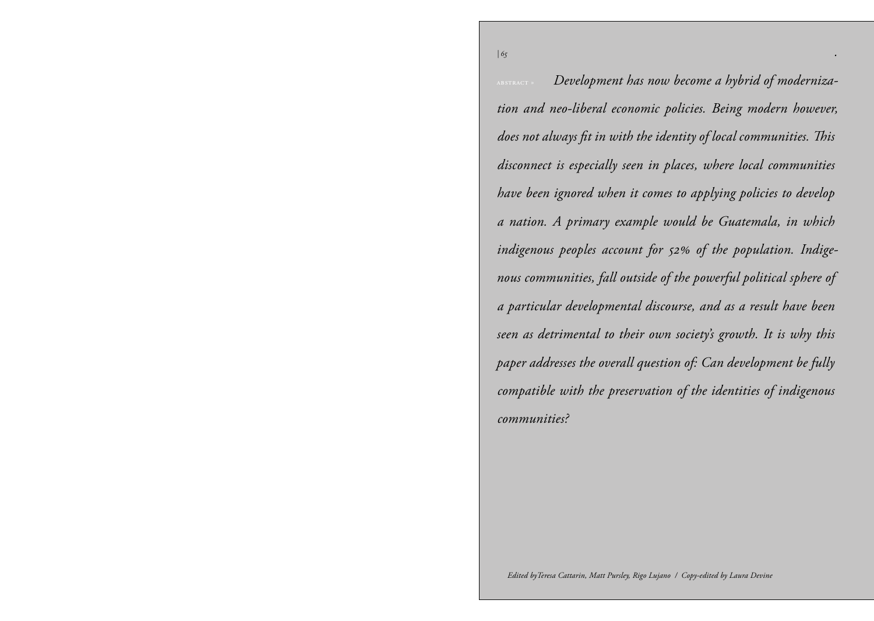*| 65 .*

abstract » *Development has now become a hybrid of modernization and neo-liberal economic policies. Being modern however, does not always fit in with the identity of local communities. This disconnect is especially seen in places, where local communities have been ignored when it comes to applying policies to develop a nation. A primary example would be Guatemala, in which indigenous peoples account for 52% of the population. Indigenous communities, fall outside of the powerful political sphere of a particular developmental discourse, and as a result have been seen as detrimental to their own society's growth. It is why this paper addresses the overall question of: Can development be fully compatible with the preservation of the identities of indigenous communities?*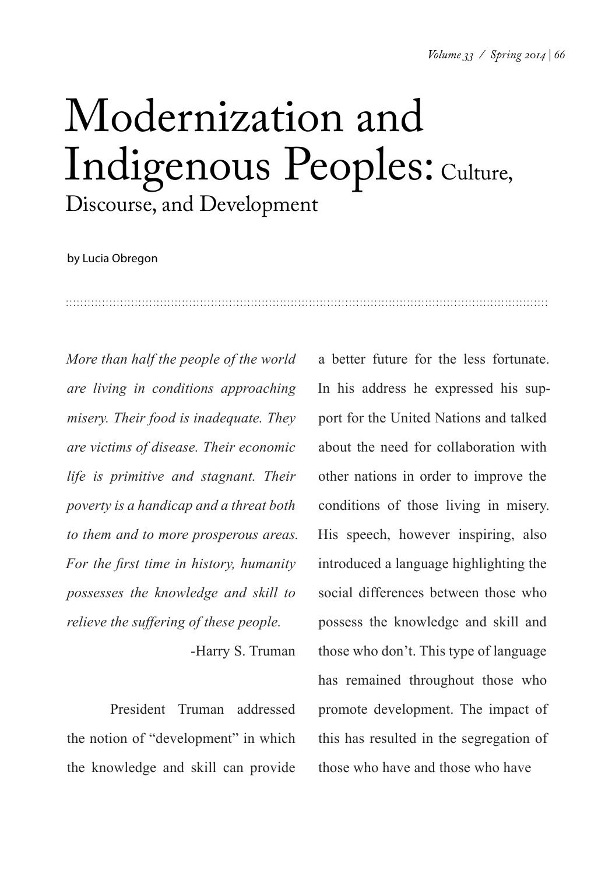## Modernization and Indigenous Peoples: Culture, Discourse, and Development

by Lucia Obregon

*More than half the people of the world are living in conditions approaching misery. Their food is inadequate. They are victims of disease. Their economic life is primitive and stagnant. Their poverty is a handicap and a threat both to them and to more prosperous areas. For the first time in history, humanity possesses the knowledge and skill to relieve the suffering of these people.*

-Harry S. Truman

President Truman addressed the notion of "development" in which the knowledge and skill can provide a better future for the less fortunate. In his address he expressed his support for the United Nations and talked about the need for collaboration with other nations in order to improve the conditions of those living in misery. His speech, however inspiring, also introduced a language highlighting the social differences between those who possess the knowledge and skill and those who don't. This type of language has remained throughout those who promote development. The impact of this has resulted in the segregation of those who have and those who have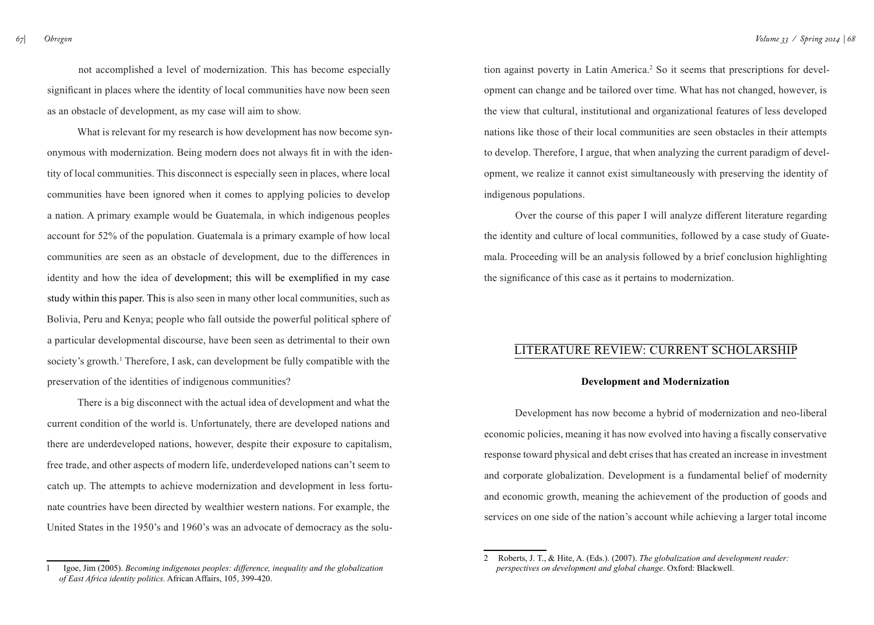not accomplished a level of modernization. This has become especially significant in places where the identity of local communities have now been seen as an obstacle of development, as my case will aim to show.

What is relevant for my research is how development has now become synonymous with modernization. Being modern does not always fit in with the identity of local communities. This disconnect is especially seen in places, where local communities have been ignored when it comes to applying policies to develop a nation. A primary example would be Guatemala, in which indigenous peoples account for 52% of the population. Guatemala is a primary example of how local communities are seen as an obstacle of development, due to the differences in identity and how the idea of development; this will be exemplified in my case study within this paper. This is also seen in many other local communities, such as Bolivia, Peru and Kenya; people who fall outside the powerful political sphere of a particular developmental discourse, have been seen as detrimental to their own society's growth.<sup>1</sup> Therefore, I ask, can development be fully compatible with the preservation of the identities of indigenous communities?

There is a big disconnect with the actual idea of development and what the current condition of the world is. Unfortunately, there are developed nations and there are underdeveloped nations, however, despite their exposure to capitalism, free trade, and other aspects of modern life, underdeveloped nations can't seem to catch up. The attempts to achieve modernization and development in less fortunate countries have been directed by wealthier western nations. For example, the United States in the 1950's and 1960's was an advocate of democracy as the solu-

tion against poverty in Latin America.<sup>2</sup> So it seems that prescriptions for development can change and be tailored over time. What has not changed, however, is the view that cultural, institutional and organizational features of less developed nations like those of their local communities are seen obstacles in their attempts to develop. Therefore, I argue, that when analyzing the current paradigm of development, we realize it cannot exist simultaneously with preserving the identity of indigenous populations.

Over the course of this paper I will analyze different literature regarding the identity and culture of local communities, followed by a case study of Guatemala. Proceeding will be an analysis followed by a brief conclusion highlighting the significance of this case as it pertains to modernization.

## Literature Review: Current Scholarship

#### **Development and Modernization**

Development has now become a hybrid of modernization and neo-liberal economic policies, meaning it has now evolved into having a fiscally conservative response toward physical and debt crises that has created an increase in investment and corporate globalization. Development is a fundamental belief of modernity and economic growth, meaning the achievement of the production of goods and services on one side of the nation's account while achieving a larger total income

<sup>1</sup> Igoe, Jim (2005). *Becoming indigenous peoples: difference, inequality and the globalization of East Africa identity politics.* African Affairs, 105, 399-420.

<sup>2</sup> Roberts, J. T., & Hite, A. (Eds.). (2007). *The globalization and development reader: perspectives on development and global change*. Oxford: Blackwell.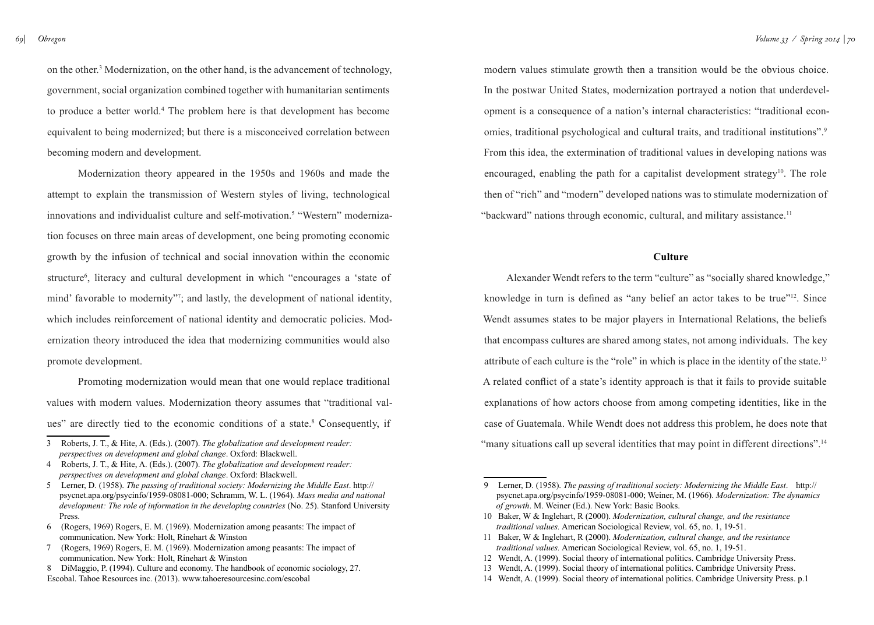*69| Obregon*

on the other.3 Modernization, on the other hand, is the advancement of technology, government, social organization combined together with humanitarian sentiments to produce a better world.4 The problem here is that development has become equivalent to being modernized; but there is a misconceived correlation between becoming modern and development.

Modernization theory appeared in the 1950s and 1960s and made the attempt to explain the transmission of Western styles of living, technological innovations and individualist culture and self-motivation.<sup>5</sup> "Western" modernization focuses on three main areas of development, one being promoting economic growth by the infusion of technical and social innovation within the economic structure<sup>6</sup>, literacy and cultural development in which "encourages a 'state of mind' favorable to modernity"<sup>7</sup>; and lastly, the development of national identity, which includes reinforcement of national identity and democratic policies. Modernization theory introduced the idea that modernizing communities would also promote development.

Promoting modernization would mean that one would replace traditional values with modern values. Modernization theory assumes that "traditional values" are directly tied to the economic conditions of a state.<sup>8</sup> Consequently, if

7 (Rogers, 1969) Rogers, E. M. (1969). Modernization among peasants: The impact of communication. New York: Holt, Rinehart & Winston

modern values stimulate growth then a transition would be the obvious choice. In the postwar United States, modernization portrayed a notion that underdevelopment is a consequence of a nation's internal characteristics: "traditional economies, traditional psychological and cultural traits, and traditional institutions".<sup>9</sup> From this idea, the extermination of traditional values in developing nations was encouraged, enabling the path for a capitalist development strategy<sup>10</sup>. The role then of "rich" and "modern" developed nations was to stimulate modernization of "backward" nations through economic, cultural, and military assistance.<sup>11</sup>

#### **Culture**

Alexander Wendt refers to the term "culture" as "socially shared knowledge," knowledge in turn is defined as "any belief an actor takes to be true"12. Since Wendt assumes states to be major players in International Relations, the beliefs that encompass cultures are shared among states, not among individuals. The key attribute of each culture is the "role" in which is place in the identity of the state.13 A related conflict of a state's identity approach is that it fails to provide suitable explanations of how actors choose from among competing identities, like in the case of Guatemala. While Wendt does not address this problem, he does note that "many situations call up several identities that may point in different directions".14

<sup>3</sup> Roberts, J. T., & Hite, A. (Eds.). (2007). *The globalization and development reader: perspectives on development and global change*. Oxford: Blackwell.

<sup>4</sup> Roberts, J. T., & Hite, A. (Eds.). (2007). *The globalization and development reader: perspectives on development and global change*. Oxford: Blackwell.

<sup>5</sup> Lerner, D. (1958). *The passing of traditional society: Modernizing the Middle East*. [http://](http://psycnet.apa.org/psycinfo/1959-08081-000) [psycnet.apa.org/psycinfo/1959-08081-000;](http://psycnet.apa.org/psycinfo/1959-08081-000) Schramm, W. L. (1964). *Mass media and national*  development: The role of information in the developing countries (No. 25). Stanford University Press.

<sup>6 (</sup>Rogers, 1969) Rogers, E. M. (1969). Modernization among peasants: The impact of communication. New York: Holt, Rinehart & Winston

<sup>8</sup> DiMaggio, P. (1994). Culture and economy. The handbook of economic sociology, 27. Escobal. Tahoe Resources inc. (2013). [www.tahoeresourcesinc.com/escobal](http://www.tahoeresourcesinc.com/escobal)

<sup>9</sup> Lerner, D. (1958). *The passing of traditional society: Modernizing the Middle East*. [http://](http://psycnet.apa.org/psycinfo/1959-08081-000) [psycnet.apa.org/psycinfo/1959-08081-000;](http://psycnet.apa.org/psycinfo/1959-08081-000) Weiner, M. (1966). *Modernization: The dynamics of growth*. M. Weiner (Ed.). New York: Basic Books.

<sup>10</sup> Baker, W & Inglehart, R (2000). *Modernization, cultural change, and the resistance traditional values.* American Sociological Review, vol. 65, no. 1, 19-51.

<sup>11</sup> Baker, W & Inglehart, R (2000). *Modernization, cultural change, and the resistance traditional values.* American Sociological Review, vol. 65, no. 1, 19-51.

<sup>12</sup> Wendt, A. (1999). Social theory of international politics. Cambridge University Press.

<sup>13</sup> Wendt, A. (1999). Social theory of international politics. Cambridge University Press.

<sup>14</sup> Wendt, A. (1999). Social theory of international politics. Cambridge University Press. p.1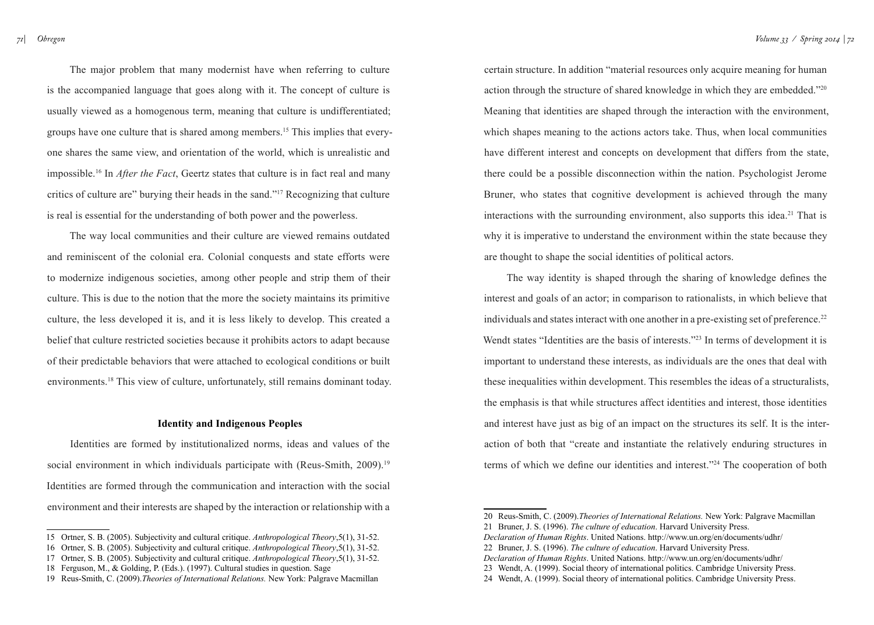*71| Obregon*

The major problem that many modernist have when referring to culture is the accompanied language that goes along with it. The concept of culture is usually viewed as a homogenous term, meaning that culture is undifferentiated; groups have one culture that is shared among members.15 This implies that everyone shares the same view, and orientation of the world, which is unrealistic and impossible.16 In *After the Fact*, Geertz states that culture is in fact real and many critics of culture are" burying their heads in the sand."17 Recognizing that culture is real is essential for the understanding of both power and the powerless.

The way local communities and their culture are viewed remains outdated and reminiscent of the colonial era. Colonial conquests and state efforts were to modernize indigenous societies, among other people and strip them of their culture. This is due to the notion that the more the society maintains its primitive culture, the less developed it is, and it is less likely to develop. This created a belief that culture restricted societies because it prohibits actors to adapt because of their predictable behaviors that were attached to ecological conditions or built environments.18 This view of culture, unfortunately, still remains dominant today.

#### **Identity and Indigenous Peoples**

Identities are formed by institutionalized norms, ideas and values of the social environment in which individuals participate with (Reus-Smith, 2009).<sup>19</sup> Identities are formed through the communication and interaction with the social environment and their interests are shaped by the interaction or relationship with a

- 16 Ortner, S. B. (2005). Subjectivity and cultural critique. *Anthropological Theory*,5(1), 31-52.
- 17 Ortner, S. B. (2005). Subjectivity and cultural critique. *Anthropological Theory*,5(1), 31-52.

certain structure. In addition "material resources only acquire meaning for human action through the structure of shared knowledge in which they are embedded."20 Meaning that identities are shaped through the interaction with the environment, which shapes meaning to the actions actors take. Thus, when local communities have different interest and concepts on development that differs from the state, there could be a possible disconnection within the nation. Psychologist Jerome Bruner, who states that cognitive development is achieved through the many interactions with the surrounding environment, also supports this idea.<sup>21</sup> That is why it is imperative to understand the environment within the state because they are thought to shape the social identities of political actors.

The way identity is shaped through the sharing of knowledge defines the interest and goals of an actor; in comparison to rationalists, in which believe that individuals and states interact with one another in a pre-existing set of preference.<sup>22</sup> Wendt states "Identities are the basis of interests."<sup>23</sup> In terms of development it is important to understand these interests, as individuals are the ones that deal with these inequalities within development. This resembles the ideas of a structuralists, the emphasis is that while structures affect identities and interest, those identities and interest have just as big of an impact on the structures its self. It is the interaction of both that "create and instantiate the relatively enduring structures in terms of which we define our identities and interest."24 The cooperation of both

*Declaration of Human Rights*. United Nations.<http://www.un.org/en/documents/udhr/>

<sup>15</sup> Ortner, S. B. (2005). Subjectivity and cultural critique. *Anthropological Theory*,5(1), 31-52.

<sup>18</sup> Ferguson, M., & Golding, P. (Eds.). (1997). Cultural studies in question. Sage

<sup>19</sup> Reus-Smith, C. (2009).*Theories of International Relations.* New York: Palgrave Macmillan

<sup>20</sup> Reus-Smith, C. (2009).*Theories of International Relations.* New York: Palgrave Macmillan

<sup>21</sup> Bruner, J. S. (1996). *The culture of education*. Harvard University Press.

*Declaration of Human Rights*. United Nations.<http://www.un.org/en/documents/udhr/>

<sup>22</sup> Bruner, J. S. (1996). *The culture of education*. Harvard University Press.

<sup>23</sup> Wendt, A. (1999). Social theory of international politics. Cambridge University Press.

<sup>24</sup> Wendt, A. (1999). Social theory of international politics. Cambridge University Press.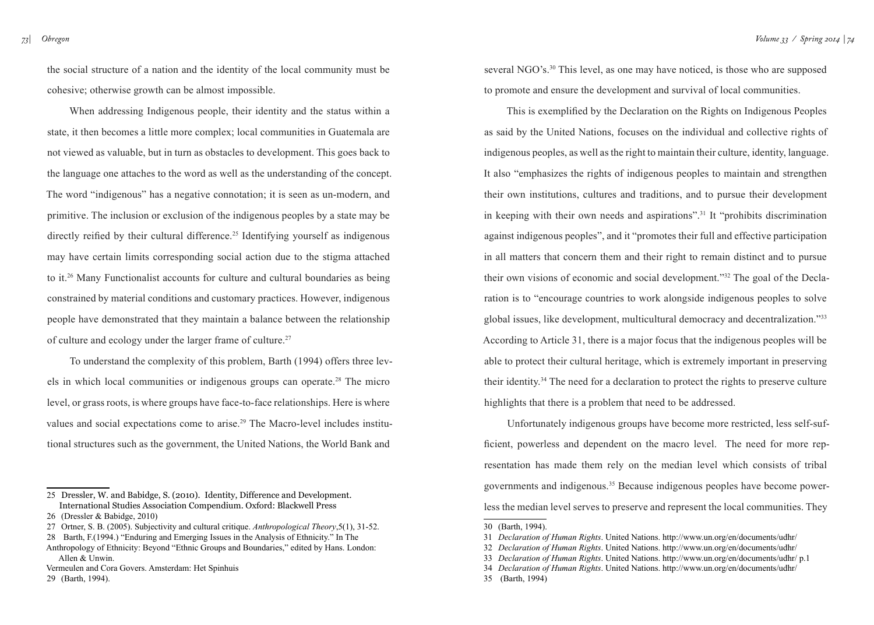the social structure of a nation and the identity of the local community must be cohesive; otherwise growth can be almost impossible.

When addressing Indigenous people, their identity and the status within a state, it then becomes a little more complex; local communities in Guatemala are not viewed as valuable, but in turn as obstacles to development. This goes back to the language one attaches to the word as well as the understanding of the concept. The word "indigenous" has a negative connotation; it is seen as un-modern, and primitive. The inclusion or exclusion of the indigenous peoples by a state may be directly reified by their cultural difference.<sup>25</sup> Identifying yourself as indigenous may have certain limits corresponding social action due to the stigma attached to it.26 Many Functionalist accounts for culture and cultural boundaries as being constrained by material conditions and customary practices. However, indigenous people have demonstrated that they maintain a balance between the relationship of culture and ecology under the larger frame of culture.27

To understand the complexity of this problem, Barth (1994) offers three levels in which local communities or indigenous groups can operate.28 The micro level, or grass roots, is where groups have face-to-face relationships. Here is where values and social expectations come to arise.29 The Macro-level includes institutional structures such as the government, the United Nations, the World Bank and

27 Ortner, S. B. (2005). Subjectivity and cultural critique. *Anthropological Theory*,5(1), 31-52.

Vermeulen and Cora Govers. Amsterdam: Het Spinhuis

29 (Barth, 1994).

several NGO's.<sup>30</sup> This level, as one may have noticed, is those who are supposed to promote and ensure the development and survival of local communities.

This is exemplified by the Declaration on the Rights on Indigenous Peoples as said by the United Nations, focuses on the individual and collective rights of indigenous peoples, as well as the right to maintain their culture, identity, language. It also "emphasizes the rights of indigenous peoples to maintain and strengthen their own institutions, cultures and traditions, and to pursue their development in keeping with their own needs and aspirations".31 It "prohibits discrimination against indigenous peoples", and it "promotes their full and effective participation in all matters that concern them and their right to remain distinct and to pursue their own visions of economic and social development."32 The goal of the Declaration is to "encourage countries to work alongside indigenous peoples to solve global issues, like development, multicultural democracy and decentralization."33 According to Article 31, there is a major focus that the indigenous peoples will be able to protect their cultural heritage, which is extremely important in preserving their identity.34 The need for a declaration to protect the rights to preserve culture highlights that there is a problem that need to be addressed.

Unfortunately indigenous groups have become more restricted, less self-sufficient, powerless and dependent on the macro level. The need for more representation has made them rely on the median level which consists of tribal governments and indigenous.<sup>35</sup> Because indigenous peoples have become powerless the median level serves to preserve and represent the local communities. They

35 (Barth, 1994)

<sup>25</sup> Dressler, W. and Babidge, S. (2010). Identity, Difference and Development. International Studies Association Compendium. Oxford: Blackwell Press

<sup>26 (</sup>Dressler & Babidge, 2010)

<sup>28</sup> Barth, F.(1994.) "Enduring and Emerging Issues in the Analysis of Ethnicity." In The

Anthropology of Ethnicity: Beyond "Ethnic Groups and Boundaries," edited by Hans. London: Allen & Unwin.

<sup>30 (</sup>Barth, 1994).

<sup>31</sup> *Declaration of Human Rights*. United Nations.<http://www.un.org/en/documents/udhr/>

<sup>32</sup> *Declaration of Human Rights*. United Nations.<http://www.un.org/en/documents/udhr/>

<sup>33</sup> *Declaration of Human Rights*. United Nations.<http://www.un.org/en/documents/udhr/> p.1

<sup>34</sup> *Declaration of Human Rights*. United Nations.<http://www.un.org/en/documents/udhr/>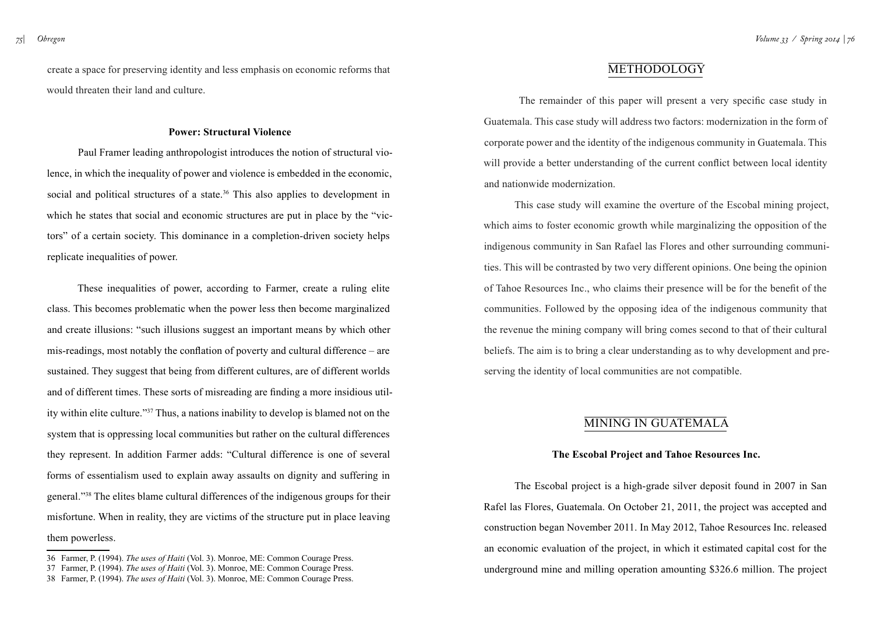*75| Obregon*

create a space for preserving identity and less emphasis on economic reforms that would threaten their land and culture.

#### **Power: Structural Violence**

Paul Framer leading anthropologist introduces the notion of structural violence, in which the inequality of power and violence is embedded in the economic, social and political structures of a state.<sup>36</sup> This also applies to development in which he states that social and economic structures are put in place by the "victors" of a certain society. This dominance in a completion-driven society helps replicate inequalities of power.

These inequalities of power, according to Farmer, create a ruling elite class. This becomes problematic when the power less then become marginalized and create illusions: "such illusions suggest an important means by which other mis-readings, most notably the conflation of poverty and cultural difference – are sustained. They suggest that being from different cultures, are of different worlds and of different times. These sorts of misreading are finding a more insidious utility within elite culture."37 Thus, a nations inability to develop is blamed not on the system that is oppressing local communities but rather on the cultural differences they represent. In addition Farmer adds: "Cultural difference is one of several forms of essentialism used to explain away assaults on dignity and suffering in general."38 The elites blame cultural differences of the indigenous groups for their misfortune. When in reality, they are victims of the structure put in place leaving them powerless.

### **METHODOLOGY**

 The remainder of this paper will present a very specific case study in Guatemala. This case study will address two factors: modernization in the form of corporate power and the identity of the indigenous community in Guatemala. This will provide a better understanding of the current conflict between local identity and nationwide modernization.

This case study will examine the overture of the Escobal mining project, which aims to foster economic growth while marginalizing the opposition of the indigenous community in San Rafael las Flores and other surrounding communities. This will be contrasted by two very different opinions. One being the opinion of Tahoe Resources Inc., who claims their presence will be for the benefit of the communities. Followed by the opposing idea of the indigenous community that the revenue the mining company will bring comes second to that of their cultural beliefs. The aim is to bring a clear understanding as to why development and preserving the identity of local communities are not compatible.

## Mining in Guatemala

#### **The Escobal Project and Tahoe Resources Inc.**

The Escobal project is a high-grade silver deposit found in 2007 in San Rafel las Flores, Guatemala. On October 21, 2011, the project was accepted and construction began November 2011. In May 2012, Tahoe Resources Inc. released an economic evaluation of the project, in which it estimated capital cost for the underground mine and milling operation amounting \$326.6 million. The project

<sup>36</sup> Farmer, P. (1994). *The uses of Haiti* (Vol. 3). Monroe, ME: Common Courage Press.

<sup>37</sup> Farmer, P. (1994). *The uses of Haiti* (Vol. 3). Monroe, ME: Common Courage Press.

<sup>38</sup> Farmer, P. (1994). *The uses of Haiti* (Vol. 3). Monroe, ME: Common Courage Press.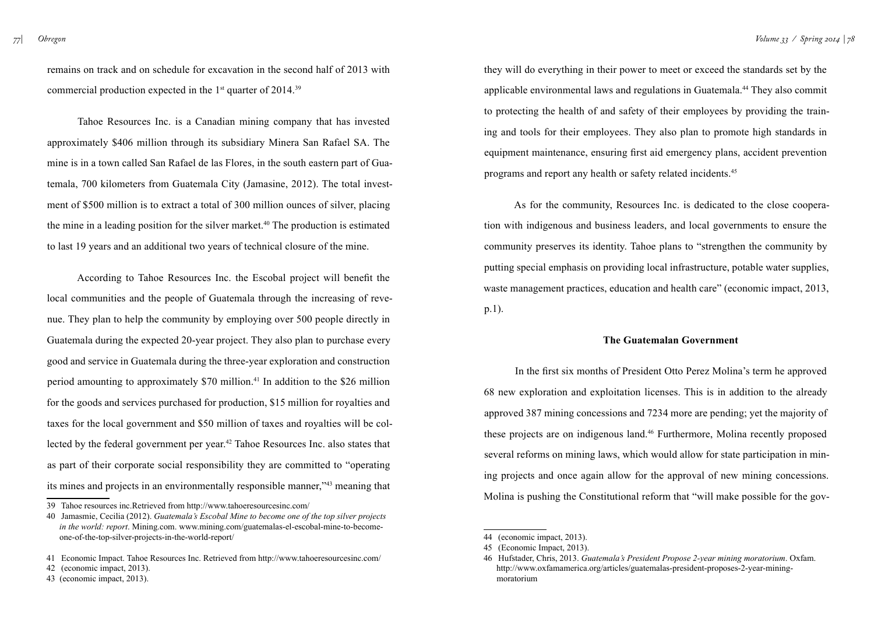remains on track and on schedule for excavation in the second half of 2013 with commercial production expected in the  $1<sup>st</sup>$  quarter of 2014.<sup>39</sup>

Tahoe Resources Inc. is a Canadian mining company that has invested approximately \$406 million through its subsidiary Minera San Rafael SA. The mine is in a town called San Rafael de las Flores, in the south eastern part of Guatemala, 700 kilometers from Guatemala City (Jamasine, 2012). The total investment of \$500 million is to extract a total of 300 million ounces of silver, placing the mine in a leading position for the silver market.<sup>40</sup> The production is estimated to last 19 years and an additional two years of technical closure of the mine.

According to Tahoe Resources Inc. the Escobal project will benefit the local communities and the people of Guatemala through the increasing of revenue. They plan to help the community by employing over 500 people directly in Guatemala during the expected 20-year project. They also plan to purchase every good and service in Guatemala during the three-year exploration and construction period amounting to approximately \$70 million.41 In addition to the \$26 million for the goods and services purchased for production, \$15 million for royalties and taxes for the local government and \$50 million of taxes and royalties will be collected by the federal government per year.42 Tahoe Resources Inc. also states that as part of their corporate social responsibility they are committed to "operating its mines and projects in an environmentally responsible manner,"43 meaning that

they will do everything in their power to meet or exceed the standards set by the applicable environmental laws and regulations in Guatemala.44 They also commit to protecting the health of and safety of their employees by providing the training and tools for their employees. They also plan to promote high standards in equipment maintenance, ensuring first aid emergency plans, accident prevention programs and report any health or safety related incidents.45

As for the community, Resources Inc. is dedicated to the close cooperation with indigenous and business leaders, and local governments to ensure the community preserves its identity. Tahoe plans to "strengthen the community by putting special emphasis on providing local infrastructure, potable water supplies, waste management practices, education and health care" (economic impact, 2013, p.1).

#### **The Guatemalan Government**

In the first six months of President Otto Perez Molina's term he approved 68 new exploration and exploitation licenses. This is in addition to the already approved 387 mining concessions and 7234 more are pending; yet the majority of these projects are on indigenous land.46 Furthermore, Molina recently proposed several reforms on mining laws, which would allow for state participation in mining projects and once again allow for the approval of new mining concessions. Molina is pushing the Constitutional reform that "will make possible for the gov-

<sup>39</sup> Tahoe resources inc.Retrieved from http://www.tahoeresourcesinc.com/

<sup>40</sup> Jamasmie, Cecilia (2012). *Guatemala's Escobal Mine to become one of the top silver projects in the world: report*. Mining.com. [www.mining.com/guatemalas-el-escobal-mine-to-become](http://www.mining.com/guatemalas-el-escobal-mine-to-become-one-of-the-top-silver-projects-in-the-world-report/)[one-of-the-top-silver-projects-in-the-world-report/](http://www.mining.com/guatemalas-el-escobal-mine-to-become-one-of-the-top-silver-projects-in-the-world-report/)

<sup>41</sup> Economic Impact. Tahoe Resources Inc. Retrieved from <http://www.tahoeresourcesinc.com/>

<sup>42 (</sup>economic impact, 2013).

<sup>43 (</sup>economic impact, 2013).

<sup>44 (</sup>economic impact, 2013).

<sup>45 (</sup>Economic Impact, 2013).

<sup>46</sup> Hufstader, Chris, 2013. *Guatemala's President Propose 2-year mining moratorium*. Oxfam. [http://www.oxfamamerica.org/articles/guatemalas-president-proposes-2-year-mining](http://www.oxfamamerica.org/articles/guatemalas-president-proposes-2-year-mining-moratorium)[moratorium](http://www.oxfamamerica.org/articles/guatemalas-president-proposes-2-year-mining-moratorium)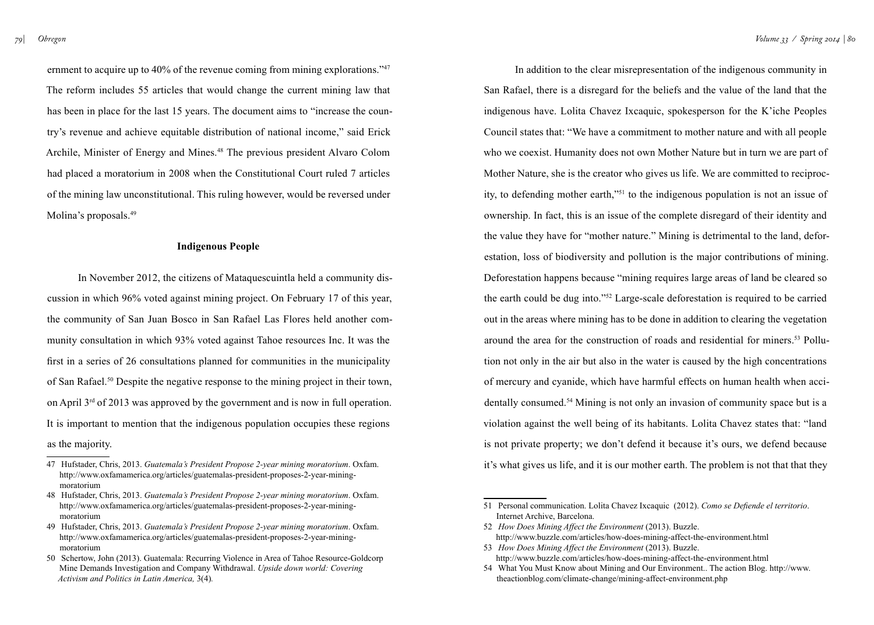ernment to acquire up to 40% of the revenue coming from mining explorations."<sup>47</sup> The reform includes 55 articles that would change the current mining law that has been in place for the last 15 years. The document aims to "increase the country's revenue and achieve equitable distribution of national income," said Erick Archile, Minister of Energy and Mines.<sup>48</sup> The previous president Alvaro Colom had placed a moratorium in 2008 when the Constitutional Court ruled 7 articles of the mining law unconstitutional. This ruling however, would be reversed under Molina's proposals.<sup>49</sup>

#### **Indigenous People**

In November 2012, the citizens of Mataquescuintla held a community discussion in which 96% voted against mining project. On February 17 of this year, the community of San Juan Bosco in San Rafael Las Flores held another community consultation in which 93% voted against Tahoe resources Inc. It was the first in a series of 26 consultations planned for communities in the municipality of San Rafael.50 Despite the negative response to the mining project in their town, on April 3rd of 2013 was approved by the government and is now in full operation. It is important to mention that the indigenous population occupies these regions as the majority.

In addition to the clear misrepresentation of the indigenous community in San Rafael, there is a disregard for the beliefs and the value of the land that the indigenous have. Lolita Chavez Ixcaquic, spokesperson for the K'iche Peoples Council states that: "We have a commitment to mother nature and with all people who we coexist. Humanity does not own Mother Nature but in turn we are part of Mother Nature, she is the creator who gives us life. We are committed to reciprocity, to defending mother earth,"51 to the indigenous population is not an issue of ownership. In fact, this is an issue of the complete disregard of their identity and the value they have for "mother nature." Mining is detrimental to the land, deforestation, loss of biodiversity and pollution is the major contributions of mining. Deforestation happens because "mining requires large areas of land be cleared so the earth could be dug into."52 Large-scale deforestation is required to be carried out in the areas where mining has to be done in addition to clearing the vegetation around the area for the construction of roads and residential for miners.53 Pollution not only in the air but also in the water is caused by the high concentrations of mercury and cyanide, which have harmful effects on human health when accidentally consumed.54 Mining is not only an invasion of community space but is a violation against the well being of its habitants. Lolita Chavez states that: "land is not private property; we don't defend it because it's ours, we defend because it's what gives us life, and it is our mother earth. The problem is not that that they

53 *How Does Mining Affect the Environment* (2013). Buzzle. <http://www.buzzle.com/articles/how-does-mining-affect-the-environment.html>

<sup>47</sup> Hufstader, Chris, 2013. *Guatemala's President Propose 2-year mining moratorium*. Oxfam. [http://www.oxfamamerica.org/articles/guatemalas-president-proposes-2-year-mining](http://www.oxfamamerica.org/articles/guatemalas-president-proposes-2-year-mining-moratorium)[moratorium](http://www.oxfamamerica.org/articles/guatemalas-president-proposes-2-year-mining-moratorium)

<sup>48</sup> Hufstader, Chris, 2013. *Guatemala's President Propose 2-year mining moratorium*. Oxfam. [http://www.oxfamamerica.org/articles/guatemalas-president-proposes-2-year-mining](http://www.oxfamamerica.org/articles/guatemalas-president-proposes-2-year-mining-moratorium)[moratorium](http://www.oxfamamerica.org/articles/guatemalas-president-proposes-2-year-mining-moratorium)

<sup>49</sup> Hufstader, Chris, 2013. *Guatemala's President Propose 2-year mining moratorium*. Oxfam. [http://www.oxfamamerica.org/articles/guatemalas-president-proposes-2-year-mining](http://www.oxfamamerica.org/articles/guatemalas-president-proposes-2-year-mining-moratorium)[moratorium](http://www.oxfamamerica.org/articles/guatemalas-president-proposes-2-year-mining-moratorium)

<sup>50</sup> Schertow, John (2013). Guatemala: Recurring Violence in Area of Tahoe Resource-Goldcorp Mine Demands Investigation and Company Withdrawal. *Upside down world: Covering Activism and Politics in Latin America,* 3(4)*.* 

<sup>51</sup> Personal communication. Lolita Chavez Ixcaquic (2012). *Como se Defiende el territorio*. Internet Archive, Barcelona.

<sup>52</sup> *How Does Mining Affect the Environment* (2013). Buzzle. <http://www.buzzle.com/articles/how-does-mining-affect-the-environment.html>

<sup>54</sup> What You Must Know about Mining and Our Environment.. The action Blog. [http://www.](http://www.theactionblog.com/climate-change/mining-affect-environment.php) [theactionblog.com/climate-change/mining-affect-environment.php](http://www.theactionblog.com/climate-change/mining-affect-environment.php)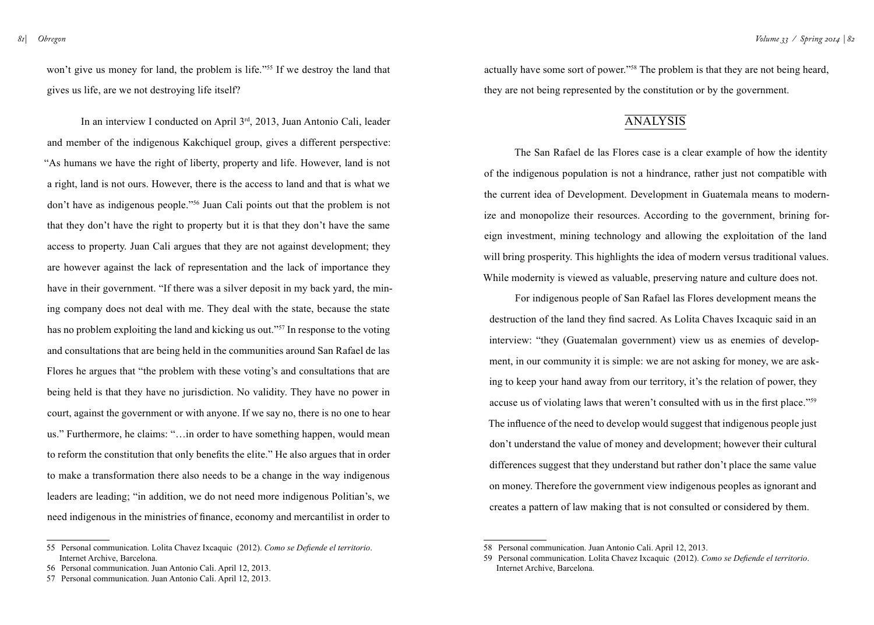won't give us money for land, the problem is life."<sup>55</sup> If we destroy the land that gives us life, are we not destroying life itself?

 In an interview I conducted on April 3rd, 2013, Juan Antonio Cali, leader and member of the indigenous Kakchiquel group, gives a different perspective: "As humans we have the right of liberty, property and life. However, land is not a right, land is not ours. However, there is the access to land and that is what we don't have as indigenous people."56 Juan Cali points out that the problem is not that they don't have the right to property but it is that they don't have the same access to property. Juan Cali argues that they are not against development; they are however against the lack of representation and the lack of importance they have in their government. "If there was a silver deposit in my back yard, the mining company does not deal with me. They deal with the state, because the state has no problem exploiting the land and kicking us out."<sup>57</sup> In response to the voting and consultations that are being held in the communities around San Rafael de las Flores he argues that "the problem with these voting's and consultations that are being held is that they have no jurisdiction. No validity. They have no power in court, against the government or with anyone. If we say no, there is no one to hear us." Furthermore, he claims: "…in order to have something happen, would mean to reform the constitution that only benefits the elite." He also argues that in order to make a transformation there also needs to be a change in the way indigenous leaders are leading; "in addition, we do not need more indigenous Politian's, we need indigenous in the ministries of finance, economy and mercantilist in order to

actually have some sort of power."58 The problem is that they are not being heard, they are not being represented by the constitution or by the government.

### **ANALYSIS**

The San Rafael de las Flores case is a clear example of how the identity of the indigenous population is not a hindrance, rather just not compatible with the current idea of Development. Development in Guatemala means to modernize and monopolize their resources. According to the government, brining foreign investment, mining technology and allowing the exploitation of the land will bring prosperity. This highlights the idea of modern versus traditional values. While modernity is viewed as valuable, preserving nature and culture does not.

For indigenous people of San Rafael las Flores development means the destruction of the land they find sacred. As Lolita Chaves Ixcaquic said in an interview: "they (Guatemalan government) view us as enemies of development, in our community it is simple: we are not asking for money, we are asking to keep your hand away from our territory, it's the relation of power, they accuse us of violating laws that weren't consulted with us in the first place."<sup>59</sup> The influence of the need to develop would suggest that indigenous people just don't understand the value of money and development; however their cultural differences suggest that they understand but rather don't place the same value on money. Therefore the government view indigenous peoples as ignorant and creates a pattern of law making that is not consulted or considered by them.

<sup>55</sup> Personal communication. Lolita Chavez Ixcaquic (2012). *Como se Defiende el territorio*. Internet Archive, Barcelona.

<sup>56</sup> Personal communication. Juan Antonio Cali. April 12, 2013.

<sup>57</sup> Personal communication. Juan Antonio Cali. April 12, 2013.

<sup>58</sup> Personal communication. Juan Antonio Cali. April 12, 2013.

<sup>59</sup> Personal communication. Lolita Chavez Ixcaquic (2012). *Como se Defiende el territorio*. Internet Archive, Barcelona.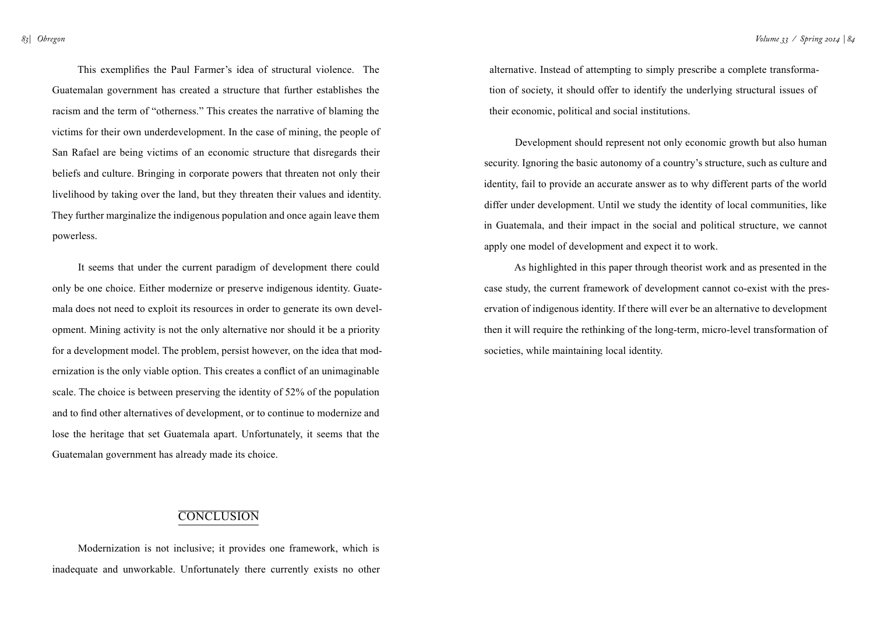*83| Obregon*

This exemplifies the Paul Farmer's idea of structural violence. The Guatemalan government has created a structure that further establishes the racism and the term of "otherness." This creates the narrative of blaming the victims for their own underdevelopment. In the case of mining, the people of San Rafael are being victims of an economic structure that disregards their beliefs and culture. Bringing in corporate powers that threaten not only their livelihood by taking over the land, but they threaten their values and identity. They further marginalize the indigenous population and once again leave them powerless.

It seems that under the current paradigm of development there could only be one choice. Either modernize or preserve indigenous identity. Guatemala does not need to exploit its resources in order to generate its own development. Mining activity is not the only alternative nor should it be a priority for a development model. The problem, persist however, on the idea that modernization is the only viable option. This creates a conflict of an unimaginable scale. The choice is between preserving the identity of 52% of the population and to find other alternatives of development, or to continue to modernize and lose the heritage that set Guatemala apart. Unfortunately, it seems that the Guatemalan government has already made its choice.

alternative. Instead of attempting to simply prescribe a complete transformation of society, it should offer to identify the underlying structural issues of their economic, political and social institutions.

Development should represent not only economic growth but also human security. Ignoring the basic autonomy of a country's structure, such as culture and identity, fail to provide an accurate answer as to why different parts of the world differ under development. Until we study the identity of local communities, like in Guatemala, and their impact in the social and political structure, we cannot apply one model of development and expect it to work.

As highlighted in this paper through theorist work and as presented in the case study, the current framework of development cannot co-exist with the preservation of indigenous identity. If there will ever be an alternative to development then it will require the rethinking of the long-term, micro-level transformation of societies, while maintaining local identity.

### **CONCLUSION**

Modernization is not inclusive; it provides one framework, which is inadequate and unworkable. Unfortunately there currently exists no other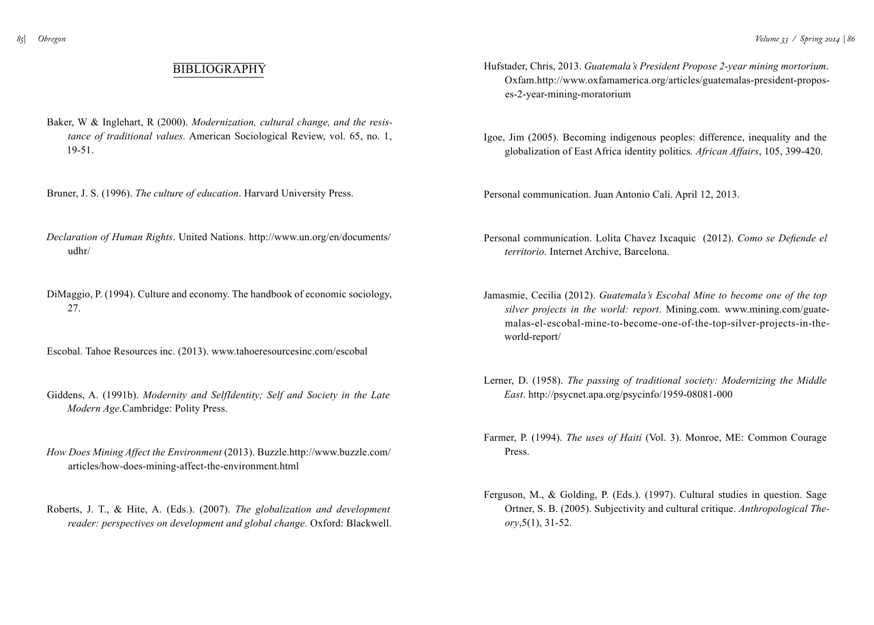## **BIBLIOGRAPHY**

- Baker, W & Inglehart, R (2000). *Modernization, cultural change, and the resistance of traditional values.* American Sociological Review, vol. 65, no. 1, 19-51.
- Bruner, J. S. (1996). *The culture of education*. Harvard University Press.
- *Declaration of Human Rights*. United Nations. [http://www.un.org/en/documents/](http://www.un.org/en/documents/udhr/) [udhr/](http://www.un.org/en/documents/udhr/)
- DiMaggio, P. (1994). Culture and economy. The handbook of economic sociology, 27.
- Escobal. Tahoe Resources inc. (2013). [www.tahoeresourcesinc.com/escobal](http://www.tahoeresourcesinc.com/escobal)
- Giddens, A. (1991b). *Modernity and SelfIdentity; Self and Society in the Late Modern Age*.Cambridge: Polity Press.
- *How Does Mining Affect the Environment* (2013). Buzzle.[http://www.buzzle.com/](http://www.buzzle.com/articles/how-does-mining-affect-the-environment.html) [articles/how-does-mining-affect-the-environment.html](http://www.buzzle.com/articles/how-does-mining-affect-the-environment.html)
- Roberts, J. T., & Hite, A. (Eds.). (2007). *The globalization and development reader: perspectives on development and global change*. Oxford: Blackwell.
- Hufstader, Chris, 2013. *Guatemala's President Propose 2-year mining mortorium*. Oxfam[.http://www.oxfamamerica.org/articles/guatemalas-president-propos](http://www.oxfamamerica.org/articles/guatemalas-president-proposes-2-year-mining-moratorium)[es-2-year-mining-moratorium](http://www.oxfamamerica.org/articles/guatemalas-president-proposes-2-year-mining-moratorium)
- Igoe, Jim (2005). Becoming indigenous peoples: difference, inequality and the globalization of East Africa identity politics*. African Affairs*, 105, 399-420.
- Personal communication. Juan Antonio Cali. April 12, 2013.
- Personal communication. Lolita Chavez Ixcaquic (2012). *Como se Defiende el territorio*. Internet Archive, Barcelona.
- Jamasmie, Cecilia (2012). *Guatemala's Escobal Mine to become one of the top silver projects in the world: report*. Mining.com. [www.mining.com/guate](http://www.mining.com/guatemalas-el-escobal-mine-to-become-one-of-the-top-silver-projects-in-the-world-report/)[malas-el-escobal-mine-to-become-one-of-the-top-silver-projects-in-the](http://www.mining.com/guatemalas-el-escobal-mine-to-become-one-of-the-top-silver-projects-in-the-world-report/)[world-report/](http://www.mining.com/guatemalas-el-escobal-mine-to-become-one-of-the-top-silver-projects-in-the-world-report/)
- Lerner, D. (1958). *The passing of traditional society: Modernizing the Middle East*.<http://psycnet.apa.org/psycinfo/1959-08081-000>
- Farmer, P. (1994). *The uses of Haiti* (Vol. 3). Monroe, ME: Common Courage Press.
- Ferguson, M., & Golding, P. (Eds.). (1997). Cultural studies in question. Sage Ortner, S. B. (2005). Subjectivity and cultural critique. *Anthropological Theory*,5(1), 31-52.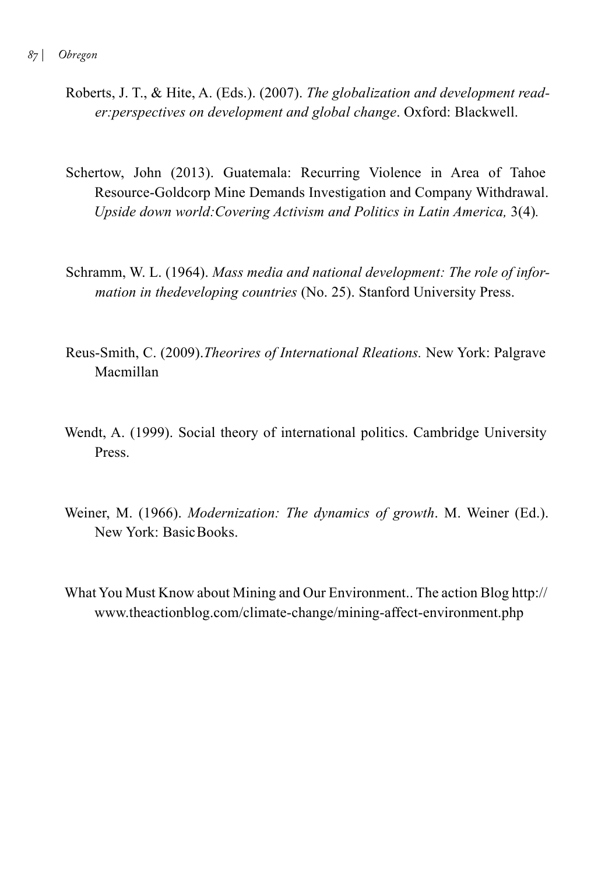- Roberts, J. T., & Hite, A. (Eds.). (2007). *The globalization and development reader:perspectives on development and global change*. Oxford: Blackwell.
- Schertow, John (2013). Guatemala: Recurring Violence in Area of Tahoe Resource-Goldcorp Mine Demands Investigation and Company Withdrawal. *Upside down world:Covering Activism and Politics in Latin America,* 3(4)*.*
- Schramm, W. L. (1964). *Mass media and national development: The role of information in thedeveloping countries* (No. 25). Stanford University Press.
- Reus-Smith, C. (2009).*Theorires of International Rleations.* New York: Palgrave Macmillan
- Wendt, A. (1999). Social theory of international politics. Cambridge University **Press**.
- Weiner, M. (1966). *Modernization: The dynamics of growth*. M. Weiner (Ed.). New York: BasicBooks.
- What You Must Know about Mining and Our Environment.. The action Blog [http://](http://www.theactionblog.com/climate-change/mining-affect-environment.php) [www.theactionblog.com/climate-change/mining-affect-environment.php](http://www.theactionblog.com/climate-change/mining-affect-environment.php)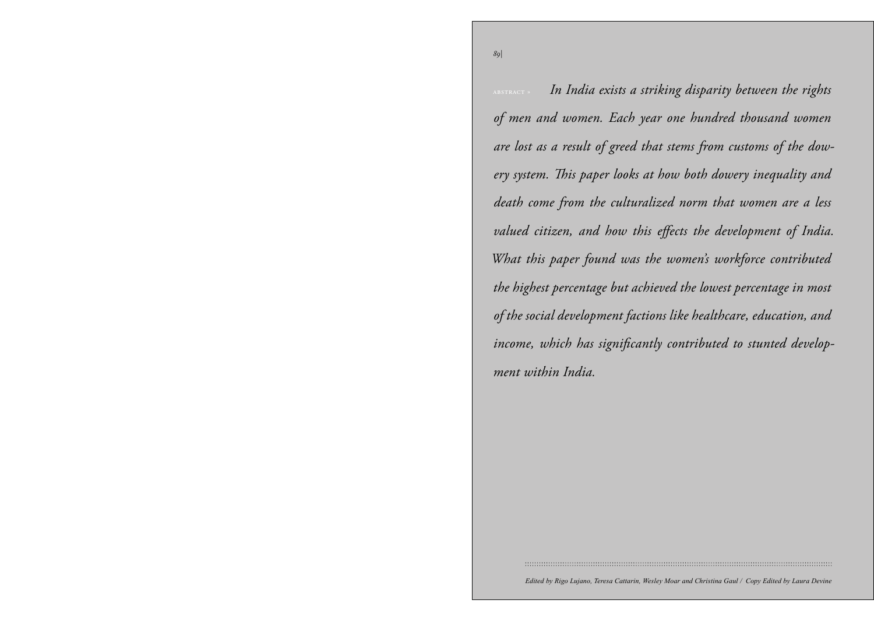*89|*

U.S.–Turkmen *of men and women. Each year one hundred thousand women*  are lost as a result of greed that stems from customs of the dow-Energy Cooperation siene. In is paper tooks at *» by Nina Harris* ighest percentage a Britannich op which has significantly region. Empires have historically dominated  $t \cdot I \cdot T \cdot I$ *ment within India.*  $E_{\text{eq}}$  have the territoric dominant the highest percentage but achieved the lowest percentage in most  $\frac{1}{1}$  in the  $\frac{1}{1}$  in the  $\frac{1}{1}$ of the social development factions like healthcare, education, and Empires have historically dominated abstract » *In India exists a striking disparity between the rights ery system. This paper looks at how both dowery inequality and death come from the culturalized norm that women are a less valued citizen, and how this effects the development of India. What this paper found was the women's workforce contributed income, which has significantly contributed to stunted develop-*

*Edited by Rigo Lujano, Teresa Cattarin, Wesley Moar and Christina Gaul / Copy Edited by Laura Devine*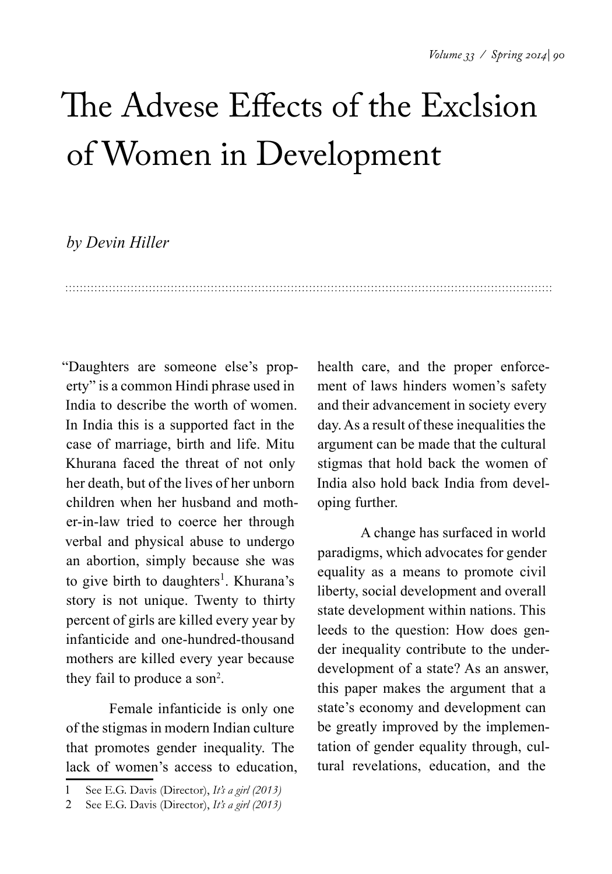## The Advese Effects of the Exclsion of Women in Development

### *by Devin Hiller*

"Daughters are someone else's property" is a common Hindi phrase used in India to describe the worth of women. In India this is a supported fact in the case of marriage, birth and life. Mitu Khurana faced the threat of not only her death, but of the lives of her unborn children when her husband and mother-in-law tried to coerce her through verbal and physical abuse to undergo an abortion, simply because she was to give birth to daughters<sup>1</sup>. Khurana's story is not unique. Twenty to thirty percent of girls are killed every year by infanticide and one-hundred-thousand mothers are killed every year because they fail to produce a son<sup>2</sup>.

Female infanticide is only one of the stigmas in modern Indian culture that promotes gender inequality. The lack of women's access to education,

health care, and the proper enforcement of laws hinders women's safety and their advancement in society every day. As a result of these inequalities the argument can be made that the cultural stigmas that hold back the women of India also hold back India from developing further.

A change has surfaced in world paradigms, which advocates for gender equality as a means to promote civil liberty, social development and overall state development within nations. This leeds to the question: How does gender inequality contribute to the underdevelopment of a state? As an answer, this paper makes the argument that a state's economy and development can be greatly improved by the implementation of gender equality through, cultural revelations, education, and the

<sup>1</sup> See E.G. Davis (Director), *It's a girl (2013)*

<sup>2</sup> See E.G. Davis (Director), *It's a girl (2013)*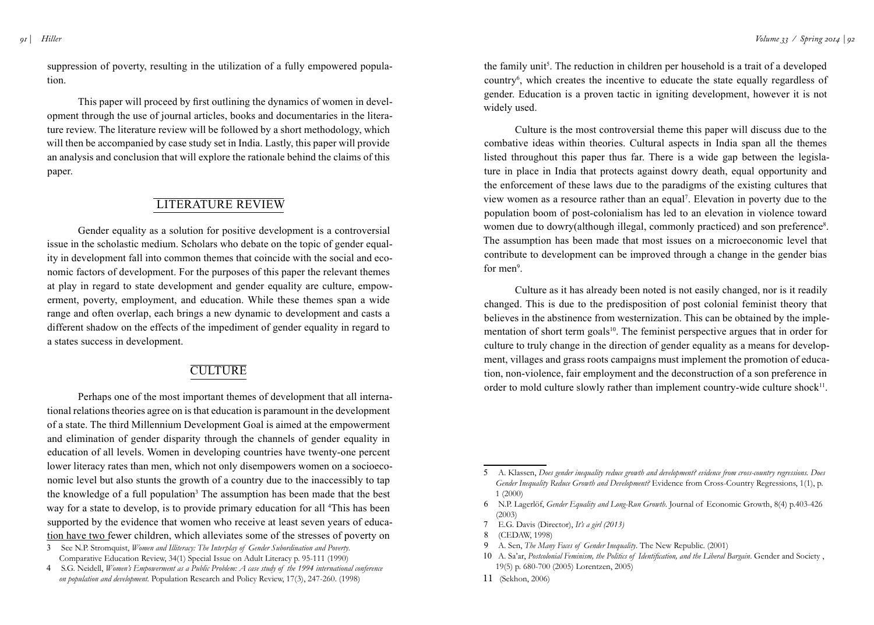*91 | Hiller*

suppression of poverty, resulting in the utilization of a fully empowered population.

 This paper will proceed by first outlining the dynamics of women in development through the use of journal articles, books and documentaries in the literature review. The literature review will be followed by a short methodology, which will then be accompanied by case study set in India. Lastly, this paper will provide an analysis and conclusion that will explore the rationale behind the claims of this paper.

## Literature Review

Gender equality as a solution for positive development is a controversial issue in the scholastic medium. Scholars who debate on the topic of gender equality in development fall into common themes that coincide with the social and economic factors of development. For the purposes of this paper the relevant themes at play in regard to state development and gender equality are culture, empowerment, poverty, employment, and education. While these themes span a wide range and often overlap, each brings a new dynamic to development and casts a different shadow on the effects of the impediment of gender equality in regard to a states success in development.

## **CULTURE**

Perhaps one of the most important themes of development that all international relations theories agree on is that education is paramount in the development of a state. The third Millennium Development Goal is aimed at the empowerment and elimination of gender disparity through the channels of gender equality in education of all levels. Women in developing countries have twenty-one percent lower literacy rates than men, which not only disempowers women on a socioeconomic level but also stunts the growth of a country due to the inaccessibly to tap the knowledge of a full population<sup>3</sup> The assumption has been made that the best way for a state to develop, is to provide primary education for all <sup>4</sup>This has been supported by the evidence that women who receive at least seven years of education have two fewer children, which alleviates some of the stresses of poverty on

- 3 See N.P. Stromquist, *Women and Illiteracy: The Interplay of Gender Subordination and Poverty*. Comparative Education Review, 34(1) Special Issue on Adult Literacy p. 95-111 (1990)
- 4 S.G. Neidell, *Women's Empowerment as a Public Problem: A case study of the 1994 international conference on population and development.* Population Research and Policy Review, 17(3), 247-260. (1998)

the family unit<sup>5</sup>. The reduction in children per household is a trait of a developed country6 , which creates the incentive to educate the state equally regardless of gender. Education is a proven tactic in igniting development, however it is not widely used.

Culture is the most controversial theme this paper will discuss due to the combative ideas within theories. Cultural aspects in India span all the themes listed throughout this paper thus far. There is a wide gap between the legislature in place in India that protects against dowry death, equal opportunity and the enforcement of these laws due to the paradigms of the existing cultures that view women as a resource rather than an equal7 . Elevation in poverty due to the population boom of post-colonialism has led to an elevation in violence toward women due to dowry(although illegal, commonly practiced) and son preference<sup>8</sup>. The assumption has been made that most issues on a microeconomic level that contribute to development can be improved through a change in the gender bias for men<sup>9</sup>.

Culture as it has already been noted is not easily changed, nor is it readily changed. This is due to the predisposition of post colonial feminist theory that believes in the abstinence from westernization. This can be obtained by the implementation of short term goals<sup>10</sup>. The feminist perspective argues that in order for culture to truly change in the direction of gender equality as a means for development, villages and grass roots campaigns must implement the promotion of education, non-violence, fair employment and the deconstruction of a son preference in order to mold culture slowly rather than implement country-wide culture shock $11$ .

- 7 E.G. Davis (Director), *It's a girl (2013)*
- 8 (CEDAW, 1998)
- 9 A. Sen, *The Many Faces of Gender Inequality*. The New Republic. (2001)
- 10 A. Sa'ar, *Postcolonial Feminism, the Politics of Identification, and the Liberal Bargain*. Gender and Society , 19(5) p. 680-700 (2005) Lorentzen, 2005)
- 11 (Sekhon, 2006)

<sup>5</sup> A. Klassen, *Does gender inequality reduce growth and development? evidence from cross-country regressions. Does Gender Inequality Reduce Growth and Development?* Evidence from Cross-Country Regressions, 1(1), p. 1 (2000)

<sup>6</sup> N.P. Lagerlöf, *Gender Equality and Long-Run Growth*. Journal of Economic Growth, 8(4) p.403-426 (2003)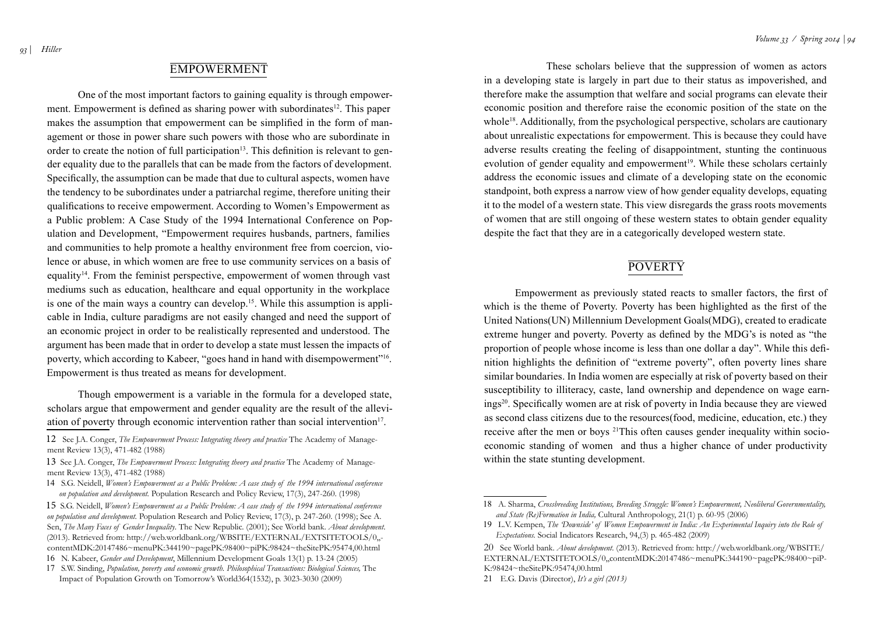## **EMPOWERMENT**

 One of the most important factors to gaining equality is through empowerment. Empowerment is defined as sharing power with subordinates<sup>12</sup>. This paper makes the assumption that empowerment can be simplified in the form of management or those in power share such powers with those who are subordinate in order to create the notion of full participation<sup>13</sup>. This definition is relevant to gender equality due to the parallels that can be made from the factors of development. Specifically, the assumption can be made that due to cultural aspects, women have the tendency to be subordinates under a patriarchal regime, therefore uniting their qualifications to receive empowerment. According to Women's Empowerment as a Public problem: A Case Study of the 1994 International Conference on Population and Development, "Empowerment requires husbands, partners, families and communities to help promote a healthy environment free from coercion, violence or abuse, in which women are free to use community services on a basis of equality14. From the feminist perspective, empowerment of women through vast mediums such as education, healthcare and equal opportunity in the workplace is one of the main ways a country can develop.<sup>15</sup>. While this assumption is applicable in India, culture paradigms are not easily changed and need the support of an economic project in order to be realistically represented and understood. The argument has been made that in order to develop a state must lessen the impacts of poverty, which according to Kabeer, "goes hand in hand with disempowerment"<sup>16</sup>. Empowerment is thus treated as means for development.

Though empowerment is a variable in the formula for a developed state, scholars argue that empowerment and gender equality are the result of the alleviation of poverty through economic intervention rather than social intervention<sup>17</sup>.

 These scholars believe that the suppression of women as actors in a developing state is largely in part due to their status as impoverished, and therefore make the assumption that welfare and social programs can elevate their economic position and therefore raise the economic position of the state on the whole<sup>18</sup>. Additionally, from the psychological perspective, scholars are cautionary about unrealistic expectations for empowerment. This is because they could have adverse results creating the feeling of disappointment, stunting the continuous evolution of gender equality and empowerment<sup>19</sup>. While these scholars certainly address the economic issues and climate of a developing state on the economic standpoint, both express a narrow view of how gender equality develops, equating it to the model of a western state. This view disregards the grass roots movements of women that are still ongoing of these western states to obtain gender equality despite the fact that they are in a categorically developed western state.

### **POVERTY**

 Empowerment as previously stated reacts to smaller factors, the first of which is the theme of Poverty. Poverty has been highlighted as the first of the United Nations(UN) Millennium Development Goals(MDG), created to eradicate extreme hunger and poverty. Poverty as defined by the MDG's is noted as "the proportion of people whose income is less than one dollar a day". While this definition highlights the definition of "extreme poverty", often poverty lines share similar boundaries. In India women are especially at risk of poverty based on their susceptibility to illiteracy, caste, land ownership and dependence on wage earnings20. Specifically women are at risk of poverty in India because they are viewed as second class citizens due to the resources(food, medicine, education, etc.) they receive after the men or boys 21This often causes gender inequality within socioeconomic standing of women and thus a higher chance of under productivity within the state stunting development.

<sup>12</sup> See J.A. Conger, *The Empowerment Process: Integrating theory and practice* The Academy of Management Review 13(3), 471-482 (1988)

<sup>13</sup> See J.A. Conger, *The Empowerment Process: Integrating theory and practice* The Academy of Management Review 13(3), 471-482 (1988)

<sup>14</sup> S.G. Neidell, *Women's Empowerment as a Public Problem: A case study of the 1994 international conference on population and development.* Population Research and Policy Review, 17(3), 247-260. (1998)

<sup>15</sup> S.G. Neidell, *Women's Empowerment as a Public Problem: A case study of the 1994 international conference on population and development.* Population Research and Policy Review, 17(3), p. 247-260. (1998); See A. Sen, *The Many Faces of Gender Inequality*. The New Republic. (2001); See World bank. *About development*. (2013). Retrieved from: [http://web.worldbank.org/WBSITE/EXTERNAL/EXTSITETOOLS/0,,](http://web.worldbank.org/WBSITE/EXTERNAL/EXTSITETOOLS/0,,contentMDK:20147486~menuPK:344190~pagePK:98400~piPK:98424~theSitePK:95474,00.html) [contentMDK:20147486~menuPK:344190~pagePK:98400~piPK:98424~theSitePK:95474,00.html](http://web.worldbank.org/WBSITE/EXTERNAL/EXTSITETOOLS/0,,contentMDK:20147486~menuPK:344190~pagePK:98400~piPK:98424~theSitePK:95474,00.html) 16 N. Kabeer, *Gender and Development*, Millennium Development Goals 13(1) p. 13-24 (2005)

<sup>17</sup> S.W. Sinding, *Population, poverty and economic growth. Philosophical Transactions: Biological Sciences,* The Impact of Population Growth on Tomorrow's World364(1532), p. 3023-3030 (2009)

<sup>18</sup> A. Sharma, *Crossbreeding Institutions, Breeding Struggle: Women's Empowerment, Neoliberal Governmentality, and State (Re)Formation in India,* Cultural Anthropology, 21(1) p. 60-95 (2006)

<sup>19</sup> L.V. Kempen, *The 'Downside' of Women Empowerment in India: An Experimental Inquiry into the Role of Expectations.* Social Indicators Research, 94,(3) p. 465-482 (2009)

<sup>20</sup> See World bank. *About development*. (2013). Retrieved from: [http://web.worldbank.org/WBSITE/](http://web.worldbank.org/WBSITE/EXTERNAL/EXTSITETOOLS/0,,contentMDK:20147486~menuPK:344190~pagePK:98400~piPK:98424~theSitePK:95474,00.html) [EXTERNAL/EXTSITETOOLS/0,,contentMDK:20147486~menuPK:344190~pagePK:98400~piP-](http://web.worldbank.org/WBSITE/EXTERNAL/EXTSITETOOLS/0,,contentMDK:20147486~menuPK:344190~pagePK:98400~piPK:98424~theSitePK:95474,00.html)[K:98424~theSitePK:95474,00.html](http://web.worldbank.org/WBSITE/EXTERNAL/EXTSITETOOLS/0,,contentMDK:20147486~menuPK:344190~pagePK:98400~piPK:98424~theSitePK:95474,00.html)

<sup>21</sup> E.G. Davis (Director), *It's a girl (2013)*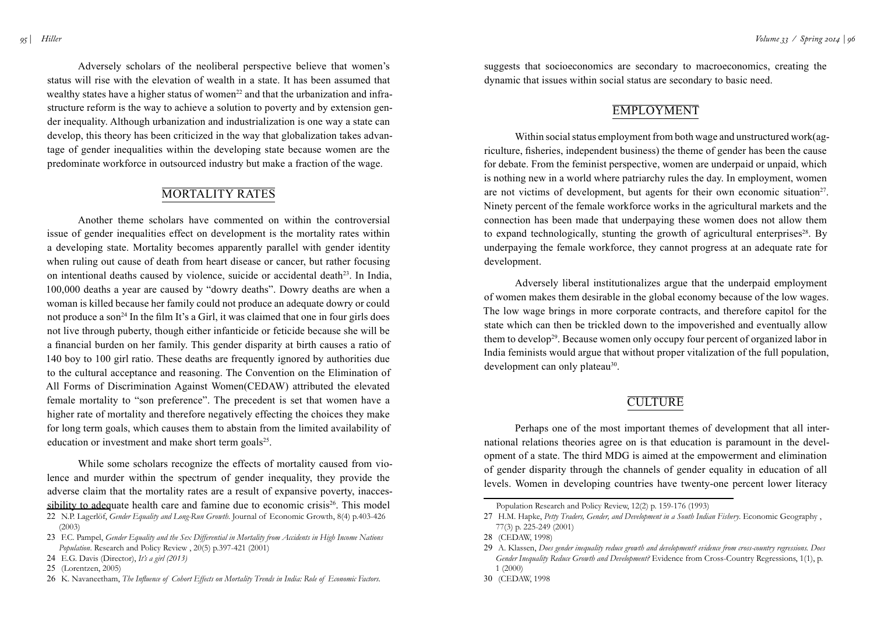Adversely scholars of the neoliberal perspective believe that women's status will rise with the elevation of wealth in a state. It has been assumed that wealthy states have a higher status of women<sup>22</sup> and that the urbanization and infrastructure reform is the way to achieve a solution to poverty and by extension gender inequality. Although urbanization and industrialization is one way a state can develop, this theory has been criticized in the way that globalization takes advantage of gender inequalities within the developing state because women are the predominate workforce in outsourced industry but make a fraction of the wage.

## Mortality Rates

Another theme scholars have commented on within the controversial issue of gender inequalities effect on development is the mortality rates within a developing state. Mortality becomes apparently parallel with gender identity when ruling out cause of death from heart disease or cancer, but rather focusing on intentional deaths caused by violence, suicide or accidental death<sup>23</sup>. In India, 100,000 deaths a year are caused by "dowry deaths". Dowry deaths are when a woman is killed because her family could not produce an adequate dowry or could not produce a son<sup>24</sup> In the film It's a Girl, it was claimed that one in four girls does not live through puberty, though either infanticide or feticide because she will be a financial burden on her family. This gender disparity at birth causes a ratio of 140 boy to 100 girl ratio. These deaths are frequently ignored by authorities due to the cultural acceptance and reasoning. The Convention on the Elimination of All Forms of Discrimination Against Women(CEDAW) attributed the elevated female mortality to "son preference". The precedent is set that women have a higher rate of mortality and therefore negatively effecting the choices they make for long term goals, which causes them to abstain from the limited availability of education or investment and make short term goals $25$ .

 While some scholars recognize the effects of mortality caused from violence and murder within the spectrum of gender inequality, they provide the adverse claim that the mortality rates are a result of expansive poverty, inaccessibility to adequate health care and famine due to economic crisis<sup>26</sup>. This model 22 N.P. Lagerlöf, *Gender Equality and Long-Run Growth*. Journal of Economic Growth, 8(4) p.403-426

suggests that socioeconomics are secondary to macroeconomics, creating the dynamic that issues within social status are secondary to basic need.

## **EMPLOYMENT**

 Within social status employment from both wage and unstructured work(agriculture, fisheries, independent business) the theme of gender has been the cause for debate. From the feminist perspective, women are underpaid or unpaid, which is nothing new in a world where patriarchy rules the day. In employment, women are not victims of development, but agents for their own economic situation<sup>27</sup>. Ninety percent of the female workforce works in the agricultural markets and the connection has been made that underpaying these women does not allow them to expand technologically, stunting the growth of agricultural enterprises<sup>28</sup>. By underpaying the female workforce, they cannot progress at an adequate rate for development.

Adversely liberal institutionalizes argue that the underpaid employment of women makes them desirable in the global economy because of the low wages. The low wage brings in more corporate contracts, and therefore capitol for the state which can then be trickled down to the impoverished and eventually allow them to develop<sup>29</sup>. Because women only occupy four percent of organized labor in India feminists would argue that without proper vitalization of the full population, development can only plateau<sup>30</sup>.

## **CULTURE**

Perhaps one of the most important themes of development that all international relations theories agree on is that education is paramount in the development of a state. The third MDG is aimed at the empowerment and elimination of gender disparity through the channels of gender equality in education of all levels. Women in developing countries have twenty-one percent lower literacy

<sup>(2003)</sup>

<sup>23</sup> F.C. Pampel, *Gender Equality and the Sex Differential in Mortality from Accidents in High Income Nations Population*. Research and Policy Review , 20(5) p.397-421 (2001)

<sup>24</sup> E.G. Davis (Director), *It's a girl (2013)*

<sup>25</sup> (Lorentzen, 2005)

<sup>26</sup> K. Navaneetham, *The Influence of Cohort Effects on Mortality Trends in India: Role of Economic Factors*.

Population Research and Policy Review, 12(2) p. 159-176 (1993)

<sup>27</sup> H.M. Hapke, *Petty Traders, Gender, and Development in a South Indian Fishery*. Economic Geography , 77(3) p. 225-249 (2001)

<sup>28</sup> (CEDAW, 1998)

<sup>29</sup> A. Klassen, *Does gender inequality reduce growth and development? evidence from cross-country regressions. Does Gender Inequality Reduce Growth and Development?* Evidence from Cross-Country Regressions, 1(1), p. 1 (2000)

<sup>30</sup> (CEDAW, 1998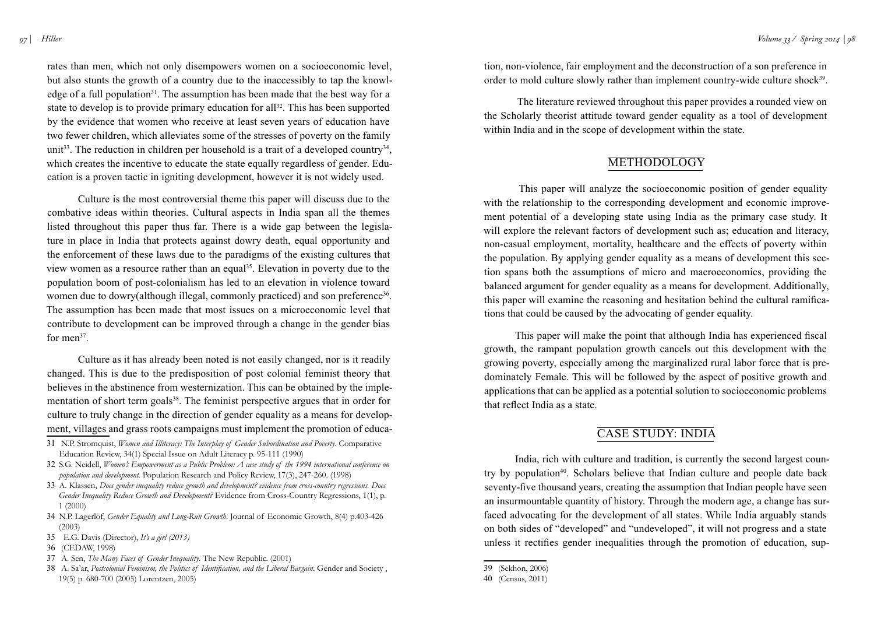rates than men, which not only disempowers women on a socioeconomic level, but also stunts the growth of a country due to the inaccessibly to tap the knowledge of a full population<sup>31</sup>. The assumption has been made that the best way for a state to develop is to provide primary education for all<sup>32</sup>. This has been supported by the evidence that women who receive at least seven years of education have two fewer children, which alleviates some of the stresses of poverty on the family unit<sup>33</sup>. The reduction in children per household is a trait of a developed country<sup>34</sup>, which creates the incentive to educate the state equally regardless of gender. Education is a proven tactic in igniting development, however it is not widely used.

Culture is the most controversial theme this paper will discuss due to the combative ideas within theories. Cultural aspects in India span all the themes listed throughout this paper thus far. There is a wide gap between the legislature in place in India that protects against dowry death, equal opportunity and the enforcement of these laws due to the paradigms of the existing cultures that view women as a resource rather than an equal<sup>35</sup>. Elevation in poverty due to the population boom of post-colonialism has led to an elevation in violence toward women due to dowry(although illegal, commonly practiced) and son preference<sup>36</sup>. The assumption has been made that most issues on a microeconomic level that contribute to development can be improved through a change in the gender bias for men $37$ .

Culture as it has already been noted is not easily changed, nor is it readily changed. This is due to the predisposition of post colonial feminist theory that believes in the abstinence from westernization. This can be obtained by the implementation of short term goals<sup>38</sup>. The feminist perspective argues that in order for culture to truly change in the direction of gender equality as a means for development, villages and grass roots campaigns must implement the promotion of educa-

- 31 N.P. Stromquist, *Women and Illiteracy: The Interplay of Gender Subordination and Poverty*. Comparative Education Review, 34(1) Special Issue on Adult Literacy p. 95-111 (1990)
- 32 S.G. Neidell, *Women's Empowerment as a Public Problem: A case study of the 1994 international conference on population and development.* Population Research and Policy Review, 17(3), 247-260. (1998)
- 33 A. Klassen, *Does gender inequality reduce growth and development? evidence from cross-country regressions. Does Gender Inequality Reduce Growth and Development?* Evidence from Cross-Country Regressions, 1(1), p. 1 (2000)
- 34 N.P. Lagerlöf, *Gender Equality and Long-Run Growth*. Journal of Economic Growth, 8(4) p.403-426 (2003)
- 35 E.G. Davis (Director), *It's a girl (2013)*
- 36 (CEDAW, 1998)
- 37 A. Sen, *The Many Faces of Gender Inequality*. The New Republic. (2001)
- 38 A. Sa'ar, *Postcolonial Feminism, the Politics of Identification, and the Liberal Bargain*. Gender and Society , 19(5) p. 680-700 (2005) Lorentzen, 2005)

tion, non-violence, fair employment and the deconstruction of a son preference in order to mold culture slowly rather than implement country-wide culture shock<sup>39</sup>.

 The literature reviewed throughout this paper provides a rounded view on the Scholarly theorist attitude toward gender equality as a tool of development within India and in the scope of development within the state.

## **METHODOLOGY**

 This paper will analyze the socioeconomic position of gender equality with the relationship to the corresponding development and economic improvement potential of a developing state using India as the primary case study. It will explore the relevant factors of development such as; education and literacy, non-casual employment, mortality, healthcare and the effects of poverty within the population. By applying gender equality as a means of development this section spans both the assumptions of micro and macroeconomics, providing the balanced argument for gender equality as a means for development. Additionally, this paper will examine the reasoning and hesitation behind the cultural ramifications that could be caused by the advocating of gender equality.

 This paper will make the point that although India has experienced fiscal growth, the rampant population growth cancels out this development with the growing poverty, especially among the marginalized rural labor force that is predominately Female. This will be followed by the aspect of positive growth and applications that can be applied as a potential solution to socioeconomic problems that reflect India as a state.

## Case Study: India

India, rich with culture and tradition, is currently the second largest country by population<sup>40</sup>. Scholars believe that Indian culture and people date back seventy-five thousand years, creating the assumption that Indian people have seen an insurmountable quantity of history. Through the modern age, a change has surfaced advocating for the development of all states. While India arguably stands on both sides of "developed" and "undeveloped", it will not progress and a state unless it rectifies gender inequalities through the promotion of education, sup-

<sup>39</sup> (Sekhon, 2006)

<sup>40</sup> (Census, 2011)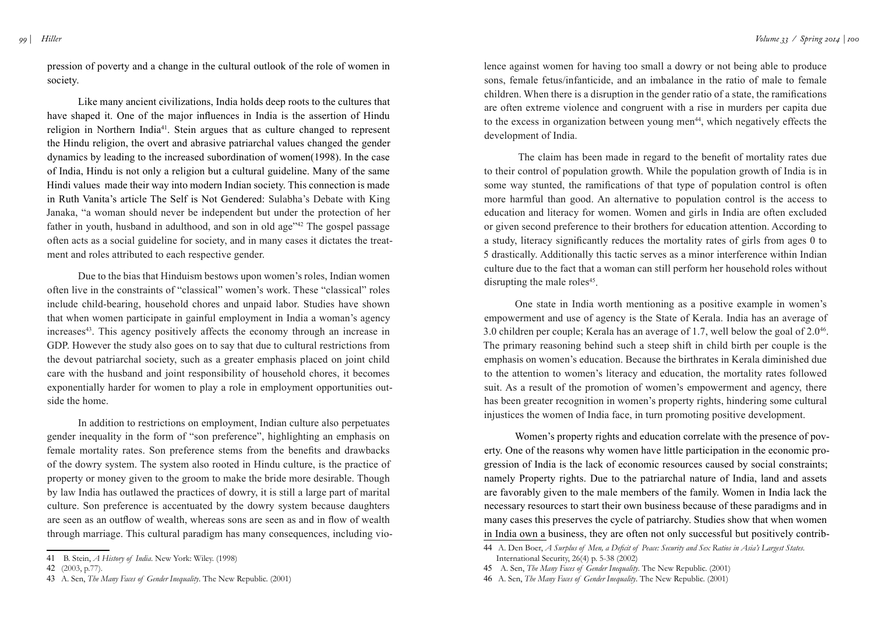pression of poverty and a change in the cultural outlook of the role of women in society.

Like many ancient civilizations, India holds deep roots to the cultures that have shaped it. One of the major influences in India is the assertion of Hindu religion in Northern India41. Stein argues that as culture changed to represent the Hindu religion, the overt and abrasive patriarchal values changed the gender dynamics by leading to the increased subordination of women(1998). In the case of India, Hindu is not only a religion but a cultural guideline. Many of the same Hindi values made their way into modern Indian society. This connection is made in Ruth Vanita's article The Self is Not Gendered: Sulabha's Debate with King Janaka, "a woman should never be independent but under the protection of her father in youth, husband in adulthood, and son in old age"42 The gospel passage often acts as a social guideline for society, and in many cases it dictates the treatment and roles attributed to each respective gender.

Due to the bias that Hinduism bestows upon women's roles, Indian women often live in the constraints of "classical" women's work. These "classical" roles include child-bearing, household chores and unpaid labor. Studies have shown that when women participate in gainful employment in India a woman's agency increases<sup>43</sup>. This agency positively affects the economy through an increase in GDP. However the study also goes on to say that due to cultural restrictions from the devout patriarchal society, such as a greater emphasis placed on joint child care with the husband and joint responsibility of household chores, it becomes exponentially harder for women to play a role in employment opportunities outside the home.

In addition to restrictions on employment, Indian culture also perpetuates gender inequality in the form of "son preference", highlighting an emphasis on female mortality rates. Son preference stems from the benefits and drawbacks of the dowry system. The system also rooted in Hindu culture, is the practice of property or money given to the groom to make the bride more desirable. Though by law India has outlawed the practices of dowry, it is still a large part of marital culture. Son preference is accentuated by the dowry system because daughters are seen as an outflow of wealth, whereas sons are seen as and in flow of wealth through marriage. This cultural paradigm has many consequences, including vio-

lence against women for having too small a dowry or not being able to produce sons, female fetus/infanticide, and an imbalance in the ratio of male to female children. When there is a disruption in the gender ratio of a state, the ramifications are often extreme violence and congruent with a rise in murders per capita due to the excess in organization between young men<sup>44</sup>, which negatively effects the development of India.

The claim has been made in regard to the benefit of mortality rates due to their control of population growth. While the population growth of India is in some way stunted, the ramifications of that type of population control is often more harmful than good. An alternative to population control is the access to education and literacy for women. Women and girls in India are often excluded or given second preference to their brothers for education attention. According to a study, literacy significantly reduces the mortality rates of girls from ages 0 to 5 drastically. Additionally this tactic serves as a minor interference within Indian culture due to the fact that a woman can still perform her household roles without disrupting the male roles<sup>45</sup>.

 One state in India worth mentioning as a positive example in women's empowerment and use of agency is the State of Kerala. India has an average of 3.0 children per couple; Kerala has an average of 1.7, well below the goal of 2.046. The primary reasoning behind such a steep shift in child birth per couple is the emphasis on women's education. Because the birthrates in Kerala diminished due to the attention to women's literacy and education, the mortality rates followed suit. As a result of the promotion of women's empowerment and agency, there has been greater recognition in women's property rights, hindering some cultural injustices the women of India face, in turn promoting positive development.

 Women's property rights and education correlate with the presence of poverty. One of the reasons why women have little participation in the economic progression of India is the lack of economic resources caused by social constraints; namely Property rights. Due to the patriarchal nature of India, land and assets are favorably given to the male members of the family. Women in India lack the necessary resources to start their own business because of these paradigms and in many cases this preserves the cycle of patriarchy. Studies show that when women in India own a business, they are often not only successful but positively contrib-

<sup>41</sup> B. Stein, *A History of India*. New York: Wiley. (1998)

<sup>42</sup> (2003, p.77).

<sup>43</sup> A. Sen, *The Many Faces of Gender Inequality*. The New Republic. (2001)

<sup>44</sup> A. Den Boer, *A Surplus of Men, a Deficit of Peace: Security and Sex Ratios in Asia's Largest States*. International Security, 26(4) p. 5-38 (2002)

<sup>45</sup> A. Sen, *The Many Faces of Gender Inequality*. The New Republic. (2001)

<sup>46</sup> A. Sen, *The Many Faces of Gender Inequality*. The New Republic. (2001)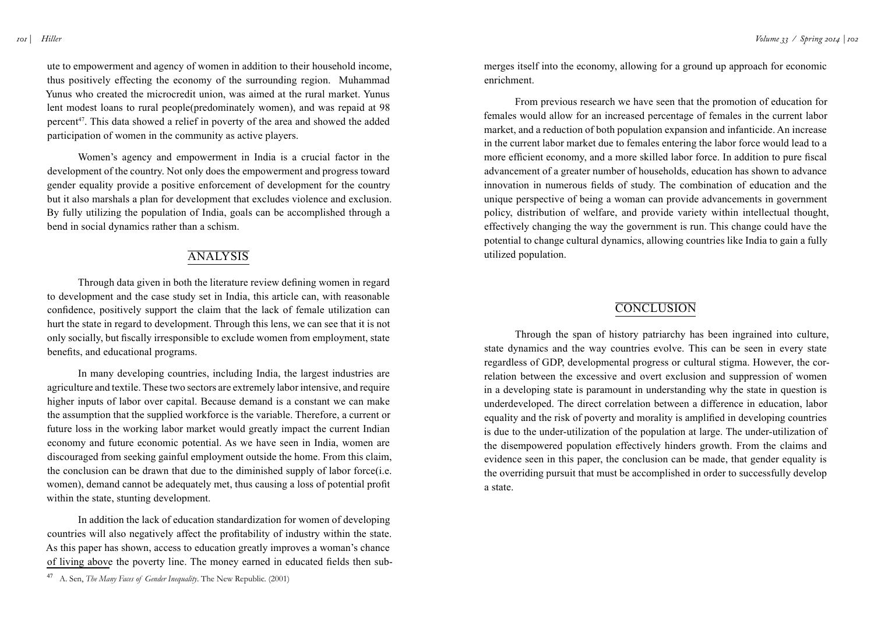*101 | Hiller*

ute to empowerment and agency of women in addition to their household income, thus positively effecting the economy of the surrounding region. Muhammad Yunus who created the microcredit union, was aimed at the rural market. Yunus lent modest loans to rural people(predominately women), and was repaid at 98 percent47. This data showed a relief in poverty of the area and showed the added participation of women in the community as active players.

 Women's agency and empowerment in India is a crucial factor in the development of the country. Not only does the empowerment and progress toward gender equality provide a positive enforcement of development for the country but it also marshals a plan for development that excludes violence and exclusion. By fully utilizing the population of India, goals can be accomplished through a bend in social dynamics rather than a schism.

## **ANALYSIS**

 Through data given in both the literature review defining women in regard to development and the case study set in India, this article can, with reasonable confidence, positively support the claim that the lack of female utilization can hurt the state in regard to development. Through this lens, we can see that it is not only socially, but fiscally irresponsible to exclude women from employment, state benefits, and educational programs.

In many developing countries, including India, the largest industries are agriculture and textile. These two sectors are extremely labor intensive, and require higher inputs of labor over capital. Because demand is a constant we can make the assumption that the supplied workforce is the variable. Therefore, a current or future loss in the working labor market would greatly impact the current Indian economy and future economic potential. As we have seen in India, women are discouraged from seeking gainful employment outside the home. From this claim, the conclusion can be drawn that due to the diminished supply of labor force(i.e. women), demand cannot be adequately met, thus causing a loss of potential profit within the state, stunting development.

In addition the lack of education standardization for women of developing countries will also negatively affect the profitability of industry within the state. As this paper has shown, access to education greatly improves a woman's chance of living above the poverty line. The money earned in educated fields then submerges itself into the economy, allowing for a ground up approach for economic enrichment.

From previous research we have seen that the promotion of education for females would allow for an increased percentage of females in the current labor market, and a reduction of both population expansion and infanticide. An increase in the current labor market due to females entering the labor force would lead to a more efficient economy, and a more skilled labor force. In addition to pure fiscal advancement of a greater number of households, education has shown to advance innovation in numerous fields of study. The combination of education and the unique perspective of being a woman can provide advancements in government policy, distribution of welfare, and provide variety within intellectual thought, effectively changing the way the government is run. This change could have the potential to change cultural dynamics, allowing countries like India to gain a fully utilized population.

## **CONCLUSION**

Through the span of history patriarchy has been ingrained into culture, state dynamics and the way countries evolve. This can be seen in every state regardless of GDP, developmental progress or cultural stigma. However, the correlation between the excessive and overt exclusion and suppression of women in a developing state is paramount in understanding why the state in question is underdeveloped. The direct correlation between a difference in education, labor equality and the risk of poverty and morality is amplified in developing countries is due to the under-utilization of the population at large. The under-utilization of the disempowered population effectively hinders growth. From the claims and evidence seen in this paper, the conclusion can be made, that gender equality is the overriding pursuit that must be accomplished in order to successfully develop a state.

<sup>47</sup> A. Sen, *The Many Faces of Gender Inequality*. The New Republic. (2001)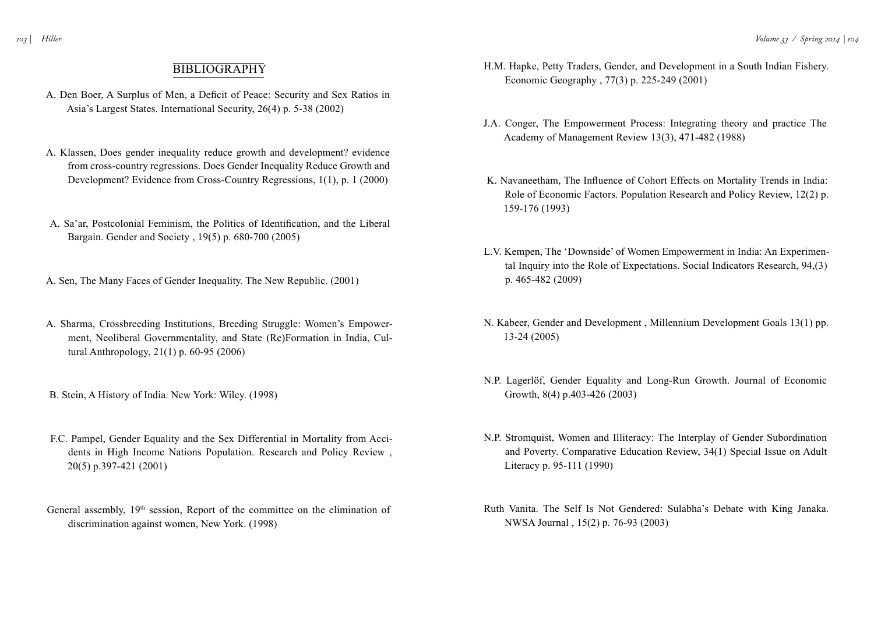## **BIBLIOGRAPHY**

- A. Den Boer, A Surplus of Men, a Deficit of Peace: Security and Sex Ratios in Asia's Largest States. International Security, 26(4) p. 5-38 (2002)
- A. Klassen, Does gender inequality reduce growth and development? evidence from cross-country regressions. Does Gender Inequality Reduce Growth and Development? Evidence from Cross-Country Regressions, 1(1), p. 1 (2000)
- A. Sa'ar, Postcolonial Feminism, the Politics of Identification, and the Liberal Bargain. Gender and Society , 19(5) p. 680-700 (2005)
- A. Sen, The Many Faces of Gender Inequality. The New Republic. (2001)
- A. Sharma, Crossbreeding Institutions, Breeding Struggle: Women's Empowerment, Neoliberal Governmentality, and State (Re)Formation in India, Cultural Anthropology, 21(1) p. 60-95 (2006)
- B. Stein, A History of India. New York: Wiley. (1998)
- F.C. Pampel, Gender Equality and the Sex Differential in Mortality from Accidents in High Income Nations Population. Research and Policy Review , 20(5) p.397-421 (2001)
- General assembly, 19<sup>th</sup> session, Report of the committee on the elimination of discrimination against women, New York. (1998)
- H.M. Hapke, Petty Traders, Gender, and Development in a South Indian Fishery. Economic Geography , 77(3) p. 225-249 (2001)
- J.A. Conger, The Empowerment Process: Integrating theory and practice The Academy of Management Review 13(3), 471-482 (1988)
- K. Navaneetham, The Influence of Cohort Effects on Mortality Trends in India: Role of Economic Factors. Population Research and Policy Review, 12(2) p. 159-176 (1993)
- L.V. Kempen, The 'Downside' of Women Empowerment in India: An Experimental Inquiry into the Role of Expectations. Social Indicators Research, 94,(3) p. 465-482 (2009)
- N. Kabeer, Gender and Development , Millennium Development Goals 13(1) pp. 13-24 (2005)
- N.P. Lagerlöf, Gender Equality and Long-Run Growth. Journal of Economic Growth, 8(4) p.403-426 (2003)
- N.P. Stromquist, Women and Illiteracy: The Interplay of Gender Subordination and Poverty. Comparative Education Review, 34(1) Special Issue on Adult Literacy p. 95-111 (1990)
- Ruth Vanita. The Self Is Not Gendered: Sulabha's Debate with King Janaka. NWSA Journal , 15(2) p. 76-93 (2003)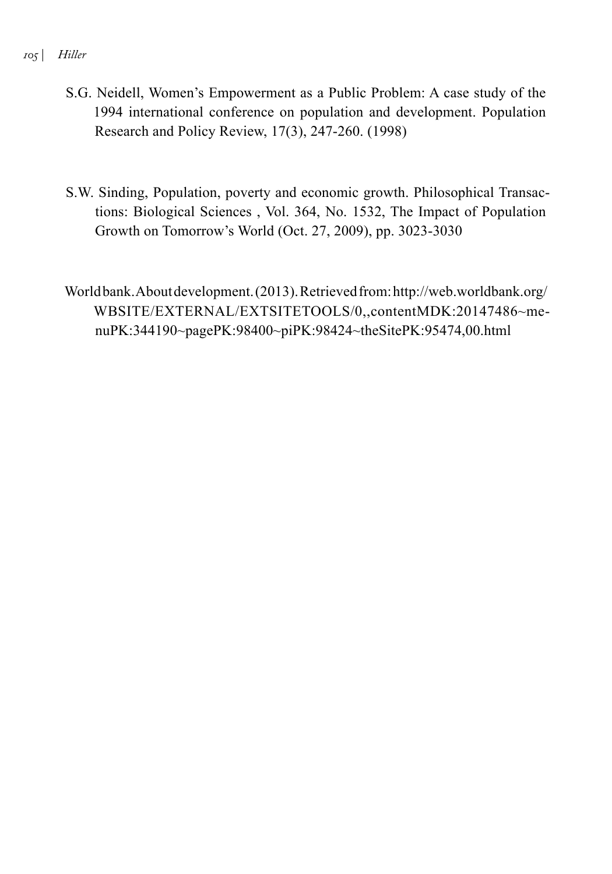#### *105 | Hiller*

- S.G. Neidell, Women's Empowerment as a Public Problem: A case study of the 1994 international conference on population and development. Population Research and Policy Review, 17(3), 247-260. (1998)
- S.W. Sinding, Population, poverty and economic growth. Philosophical Transactions: Biological Sciences , Vol. 364, No. 1532, The Impact of Population Growth on Tomorrow's World (Oct. 27, 2009), pp. 3023-3030

World bank. About development. (2013). Retrieved from: http://web.worldbank.org/ WBSITE/EXTERNAL/EXTSITETOOLS/0,,contentMDK:20147486~menuPK:344190~pagePK:98400~piPK:98424~theSitePK:95474,00.html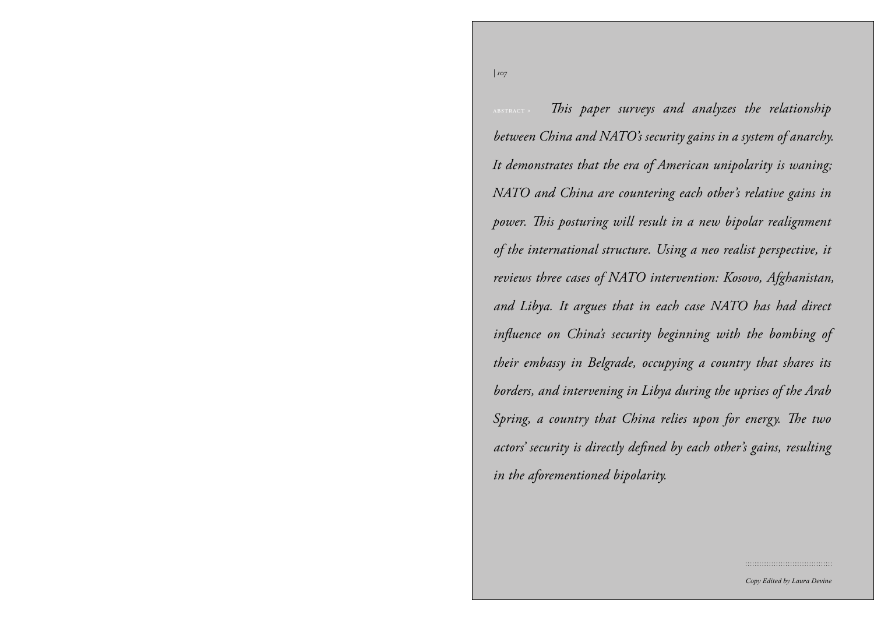*| 107*

 $\tau_{\rm w}$  – This paper surveys and an between China and NATO's security gains in a system of anarchy.<br> It demonstrates that the era of American unipolarity is waning; in the Post-Niyazov Era *» by Nina Harris* ws three cases of  $\overline{A}$  and  $\overline{A}$  and  $\overline{A}$  and  $\overline{A}$  and  $\overline{A}$  and  $\overline{A}$  and  $\overline{A}$  and  $\overline{A}$  and  $\overline{A}$  and  $\overline{A}$  and  $\overline{A}$  and  $\overline{A}$  and  $\overline{A}$  and  $\overline{A}$  and  $\overline{A}$  and  $\overline{A}$  and  $\overline{A}$  and  $\overline{CI}$  is one of  $\overline{I}$ Society of Christian Security of region. Empires have historically dominated embassy in Beigraae, occup rs, and intervening in Libya g d country that China re menistan, beginning with its conquest in the  $\overline{\mathcal{A}}$  and  $\overline{\mathcal{A}}$  are Alexander the  $\overline{\mathcal{A}}$  $\frac{1}{2}$  second by as conceiver are forced have  $\frac{1}{2}$ ically dominated the territory of modern-day in the aforementioned bipolarity.  $\frac{1}{2}$  the Central Asian region. *reviews three cases of NATO intervention: Kosovo, Afghanistan,* and Libya. It argues that in each case NATO has had direct influence on China's security beginning with the bombing of  $E = \frac{1}{2}$ their embassy in Belgrade, occupying a country that shares its istan, beginning with its conquest in borders, and intervening in Libya during the uprises of the Arab Spring, a country that China relies upon for energy. The two the territory of modern-day Turkmeneach other's gains resulting actors' security is directly defined by each other's gains, resulting abstract » *This paper surveys and analyzes the relationship NATO and China are countering each other's relative gains in power. This posturing will result in a new bipolar realignment of the international structure. Using a neo realist perspective, it* 

::::::::::::::::::::::::::::::::::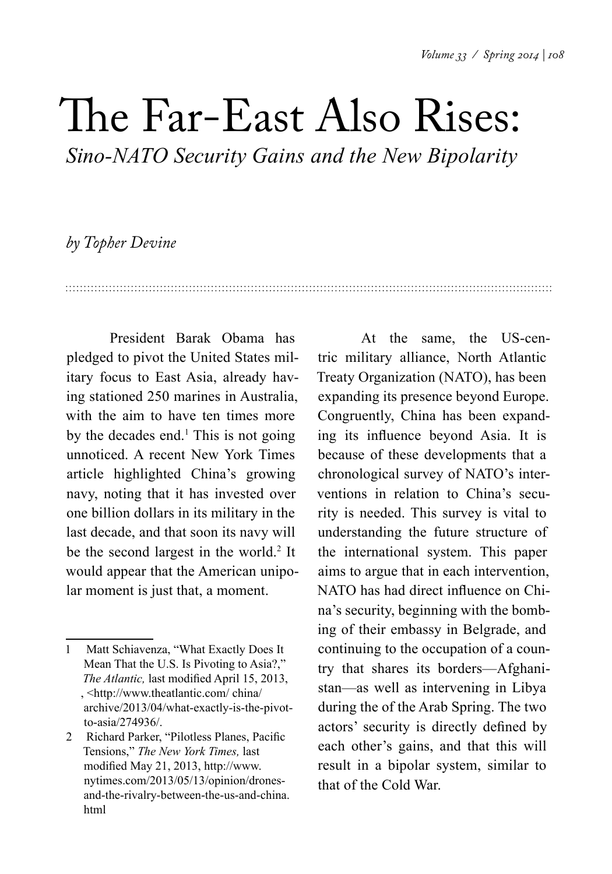# The Far-East Also Rises:

*Sino-NATO Security Gains and the New Bipolarity* 

## *by Topher Devine*

President Barak Obama has pledged to pivot the United States military focus to East Asia, already having stationed 250 marines in Australia, with the aim to have ten times more by the decades end. $<sup>1</sup>$  This is not going</sup> unnoticed. A recent New York Times article highlighted China's growing navy, noting that it has invested over one billion dollars in its military in the last decade, and that soon its navy will be the second largest in the world.<sup>2</sup> It would appear that the American unipolar moment is just that, a moment.

At the same, the US-centric military alliance, North Atlantic Treaty Organization (NATO), has been expanding its presence beyond Europe. Congruently, China has been expanding its influence beyond Asia. It is because of these developments that a chronological survey of NATO's interventions in relation to China's security is needed. This survey is vital to understanding the future structure of the international system. This paper aims to argue that in each intervention, NATO has had direct influence on China's security, beginning with the bombing of their embassy in Belgrade, and continuing to the occupation of a country that shares its borders—Afghanistan—as well as intervening in Libya during the of the Arab Spring. The two actors' security is directly defined by each other's gains, and that this will result in a bipolar system, similar to that of the Cold War.

<sup>1</sup> Matt Schiavenza, "What Exactly Does It Mean That the U.S. Is Pivoting to Asia?," *The Atlantic,* last modified April 15, 2013, , <http://www.theatlantic.com/ china/ archive/2013/04/what-exactly-is-the-pivotto-asia/274936/.

<sup>2</sup> Richard Parker, "Pilotless Planes, Pacific Tensions," *The New York Times,* last modified May 21, 2013, http://www. nytimes.com/2013/05/13/opinion/dronesand-the-rivalry-between-the-us-and-china. html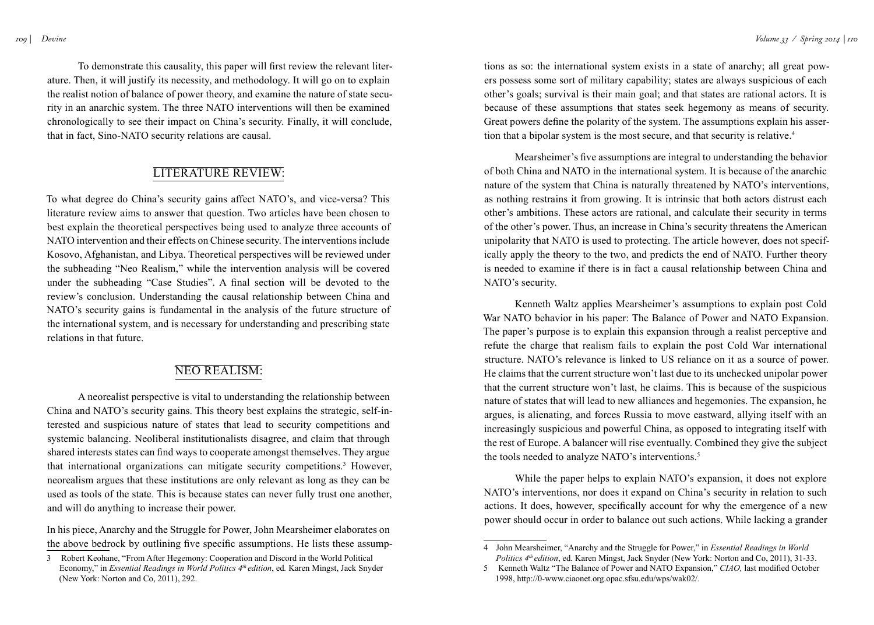To demonstrate this causality, this paper will first review the relevant literature. Then, it will justify its necessity, and methodology. It will go on to explain the realist notion of balance of power theory, and examine the nature of state security in an anarchic system. The three NATO interventions will then be examined chronologically to see their impact on China's security. Finally, it will conclude, that in fact, Sino-NATO security relations are causal.

## LITERATURE REVIEW:

To what degree do China's security gains affect NATO's, and vice-versa? This literature review aims to answer that question. Two articles have been chosen to best explain the theoretical perspectives being used to analyze three accounts of NATO intervention and their effects on Chinese security. The interventions include Kosovo, Afghanistan, and Libya. Theoretical perspectives will be reviewed under the subheading "Neo Realism," while the intervention analysis will be covered under the subheading "Case Studies". A final section will be devoted to the review's conclusion. Understanding the causal relationship between China and NATO's security gains is fundamental in the analysis of the future structure of the international system, and is necessary for understanding and prescribing state relations in that future.

## Neo Realism:

A neorealist perspective is vital to understanding the relationship between China and NATO's security gains. This theory best explains the strategic, self-interested and suspicious nature of states that lead to security competitions and systemic balancing. Neoliberal institutionalists disagree, and claim that through shared interests states can find ways to cooperate amongst themselves. They argue that international organizations can mitigate security competitions.<sup>3</sup> However, neorealism argues that these institutions are only relevant as long as they can be used as tools of the state. This is because states can never fully trust one another, and will do anything to increase their power.

In his piece, Anarchy and the Struggle for Power, John Mearsheimer elaborates on the above bedrock by outlining five specific assumptions. He lists these assump-

tions as so: the international system exists in a state of anarchy; all great powers possess some sort of military capability; states are always suspicious of each other's goals; survival is their main goal; and that states are rational actors. It is because of these assumptions that states seek hegemony as means of security. Great powers define the polarity of the system. The assumptions explain his assertion that a bipolar system is the most secure, and that security is relative.<sup>4</sup>

Mearsheimer's five assumptions are integral to understanding the behavior of both China and NATO in the international system. It is because of the anarchic nature of the system that China is naturally threatened by NATO's interventions, as nothing restrains it from growing. It is intrinsic that both actors distrust each other's ambitions. These actors are rational, and calculate their security in terms of the other's power. Thus, an increase in China's security threatens the American unipolarity that NATO is used to protecting. The article however, does not specifically apply the theory to the two, and predicts the end of NATO. Further theory is needed to examine if there is in fact a causal relationship between China and NATO's security.

Kenneth Waltz applies Mearsheimer's assumptions to explain post Cold War NATO behavior in his paper: The Balance of Power and NATO Expansion. The paper's purpose is to explain this expansion through a realist perceptive and refute the charge that realism fails to explain the post Cold War international structure. NATO's relevance is linked to US reliance on it as a source of power. He claims that the current structure won't last due to its unchecked unipolar power that the current structure won't last, he claims. This is because of the suspicious nature of states that will lead to new alliances and hegemonies. The expansion, he argues, is alienating, and forces Russia to move eastward, allying itself with an increasingly suspicious and powerful China, as opposed to integrating itself with the rest of Europe. A balancer will rise eventually. Combined they give the subject the tools needed to analyze NATO's interventions.<sup>5</sup>

While the paper helps to explain NATO's expansion, it does not explore NATO's interventions, nor does it expand on China's security in relation to such actions. It does, however, specifically account for why the emergence of a new power should occur in order to balance out such actions. While lacking a grander

<sup>3</sup> Robert Keohane, "From After Hegemony: Cooperation and Discord in the World Political Economy," in *Essential Readings in World Politics 4th edition*, ed*.* Karen Mingst, Jack Snyder (New York: Norton and Co, 2011), 292.

<sup>4</sup> John Mearsheimer, "Anarchy and the Struggle for Power," in *Essential Readings in World Politics 4<sup>th</sup> edition*, ed. Karen Mingst, Jack Snyder (New York: Norton and Co, 2011), 31-33.

<sup>5</sup> Kenneth Waltz "The Balance of Power and NATO Expansion," *CIAO,* last modified October 1998, http://0-www.ciaonet.org.opac.sfsu.edu/wps/wak02/.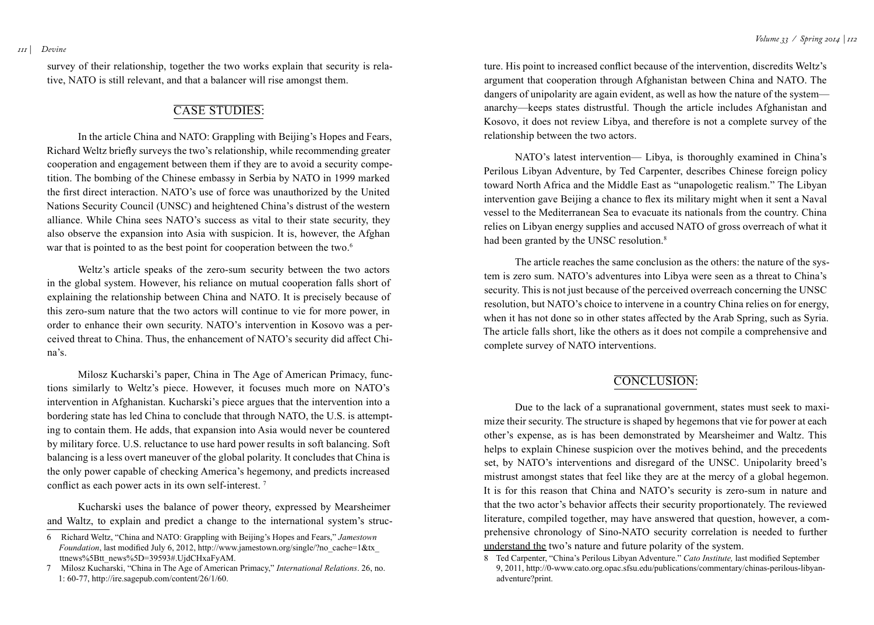survey of their relationship, together the two works explain that security is relative, NATO is still relevant, and that a balancer will rise amongst them.

## CASE STUDIES:

In the article China and NATO: Grappling with Beijing's Hopes and Fears, Richard Weltz briefly surveys the two's relationship, while recommending greater cooperation and engagement between them if they are to avoid a security competition. The bombing of the Chinese embassy in Serbia by NATO in 1999 marked the first direct interaction. NATO's use of force was unauthorized by the United Nations Security Council (UNSC) and heightened China's distrust of the western alliance. While China sees NATO's success as vital to their state security, they also observe the expansion into Asia with suspicion. It is, however, the Afghan war that is pointed to as the best point for cooperation between the two.<sup>6</sup>

Weltz's article speaks of the zero-sum security between the two actors in the global system. However, his reliance on mutual cooperation falls short of explaining the relationship between China and NATO. It is precisely because of this zero-sum nature that the two actors will continue to vie for more power, in order to enhance their own security. NATO's intervention in Kosovo was a perceived threat to China. Thus, the enhancement of NATO's security did affect China's.

Milosz Kucharski's paper, China in The Age of American Primacy, functions similarly to Weltz's piece. However, it focuses much more on NATO's intervention in Afghanistan. Kucharski's piece argues that the intervention into a bordering state has led China to conclude that through NATO, the U.S. is attempting to contain them. He adds, that expansion into Asia would never be countered by military force. U.S. reluctance to use hard power results in soft balancing. Soft balancing is a less overt maneuver of the global polarity. It concludes that China is the only power capable of checking America's hegemony, and predicts increased conflict as each power acts in its own self-interest. <sup>7</sup>

Kucharski uses the balance of power theory, expressed by Mearsheimer and Waltz, to explain and predict a change to the international system's struc-

ture. His point to increased conflict because of the intervention, discredits Weltz's argument that cooperation through Afghanistan between China and NATO. The dangers of unipolarity are again evident, as well as how the nature of the system anarchy—keeps states distrustful. Though the article includes Afghanistan and Kosovo, it does not review Libya, and therefore is not a complete survey of the relationship between the two actors.

NATO's latest intervention— Libya, is thoroughly examined in China's Perilous Libyan Adventure, by Ted Carpenter, describes Chinese foreign policy toward North Africa and the Middle East as "unapologetic realism." The Libyan intervention gave Beijing a chance to flex its military might when it sent a Naval vessel to the Mediterranean Sea to evacuate its nationals from the country. China relies on Libyan energy supplies and accused NATO of gross overreach of what it had been granted by the UNSC resolution.<sup>8</sup>

The article reaches the same conclusion as the others: the nature of the system is zero sum. NATO's adventures into Libya were seen as a threat to China's security. This is not just because of the perceived overreach concerning the UNSC resolution, but NATO's choice to intervene in a country China relies on for energy, when it has not done so in other states affected by the Arab Spring, such as Syria. The article falls short, like the others as it does not compile a comprehensive and complete survey of NATO interventions.

## CONCLUSION:

Due to the lack of a supranational government, states must seek to maximize their security. The structure is shaped by hegemons that vie for power at each other's expense, as is has been demonstrated by Mearsheimer and Waltz. This helps to explain Chinese suspicion over the motives behind, and the precedents set, by NATO's interventions and disregard of the UNSC. Unipolarity breed's mistrust amongst states that feel like they are at the mercy of a global hegemon. It is for this reason that China and NATO's security is zero-sum in nature and that the two actor's behavior affects their security proportionately. The reviewed literature, compiled together, may have answered that question, however, a comprehensive chronology of Sino-NATO security correlation is needed to further understand the two's nature and future polarity of the system.

<sup>6</sup> Richard Weltz, "China and NATO: Grappling with Beijing's Hopes and Fears," *Jamestown Foundation*, last modified July 6, 2012, http://www.jamestown.org/single/?no\_cache=1&tx\_ ttnews%5Btt\_news%5D=39593#.UjdCHxaFyAM.

<sup>7</sup> Milosz Kucharski, "China in The Age of American Primacy," *International Relations*. 26, no. 1: 60-77, http://ire.sagepub.com/content/26/1/60.

<sup>8</sup> Ted Carpenter, "China's Perilous Libyan Adventure." *Cato Institute,* last modified September 9, 2011, http://0-www.cato.org.opac.sfsu.edu/publications/commentary/chinas-perilous-libyanadventure?print.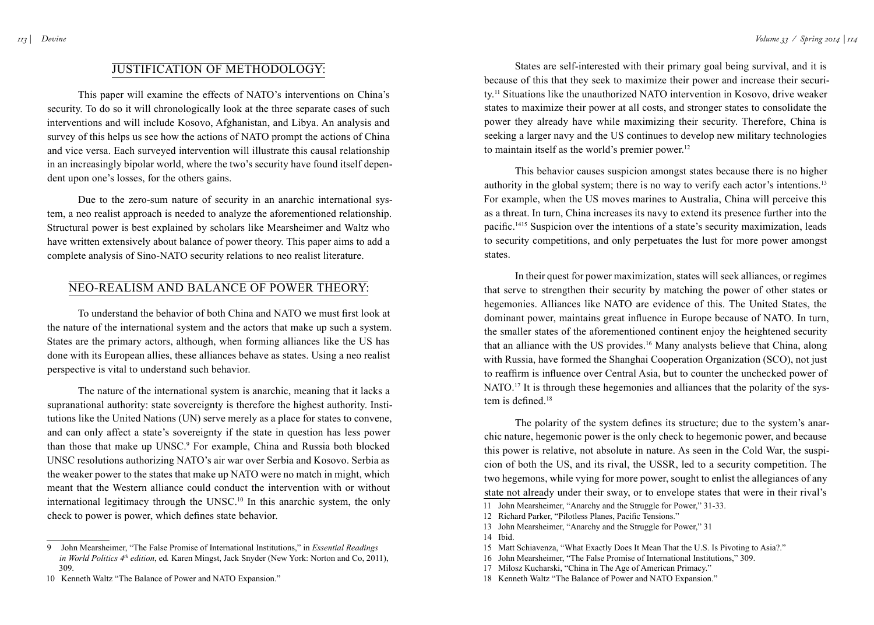## Justification of Methodology:

This paper will examine the effects of NATO's interventions on China's security. To do so it will chronologically look at the three separate cases of such interventions and will include Kosovo, Afghanistan, and Libya. An analysis and survey of this helps us see how the actions of NATO prompt the actions of China and vice versa. Each surveyed intervention will illustrate this causal relationship in an increasingly bipolar world, where the two's security have found itself dependent upon one's losses, for the others gains.

Due to the zero-sum nature of security in an anarchic international system, a neo realist approach is needed to analyze the aforementioned relationship. Structural power is best explained by scholars like Mearsheimer and Waltz who have written extensively about balance of power theory. This paper aims to add a complete analysis of Sino-NATO security relations to neo realist literature.

### Neo-Realism and Balance of Power Theory:

To understand the behavior of both China and NATO we must first look at the nature of the international system and the actors that make up such a system. States are the primary actors, although, when forming alliances like the US has done with its European allies, these alliances behave as states. Using a neo realist perspective is vital to understand such behavior.

The nature of the international system is anarchic, meaning that it lacks a supranational authority: state sovereignty is therefore the highest authority. Institutions like the United Nations (UN) serve merely as a place for states to convene, and can only affect a state's sovereignty if the state in question has less power than those that make up UNSC. 9 For example, China and Russia both blocked UNSC resolutions authorizing NATO's air war over Serbia and Kosovo. Serbia as the weaker power to the states that make up NATO were no match in might, which meant that the Western alliance could conduct the intervention with or without international legitimacy through the UNSC. 10 In this anarchic system, the only check to power is power, which defines state behavior.

States are self-interested with their primary goal being survival, and it is because of this that they seek to maximize their power and increase their security.11 Situations like the unauthorized NATO intervention in Kosovo, drive weaker states to maximize their power at all costs, and stronger states to consolidate the power they already have while maximizing their security. Therefore, China is seeking a larger navy and the US continues to develop new military technologies to maintain itself as the world's premier power.<sup>12</sup>

This behavior causes suspicion amongst states because there is no higher authority in the global system; there is no way to verify each actor's intentions.<sup>13</sup> For example, when the US moves marines to Australia, China will perceive this as a threat. In turn, China increases its navy to extend its presence further into the pacific.1415 Suspicion over the intentions of a state's security maximization, leads to security competitions, and only perpetuates the lust for more power amongst states.

In their quest for power maximization, states will seek alliances, or regimes that serve to strengthen their security by matching the power of other states or hegemonies. Alliances like NATO are evidence of this. The United States, the dominant power, maintains great influence in Europe because of NATO. In turn, the smaller states of the aforementioned continent enjoy the heightened security that an alliance with the US provides.<sup>16</sup> Many analysts believe that China, along with Russia, have formed the Shanghai Cooperation Organization (SCO), not just to reaffirm is influence over Central Asia, but to counter the unchecked power of NATO.<sup>17</sup> It is through these hegemonies and alliances that the polarity of the system is defined.<sup>18</sup>

The polarity of the system defines its structure; due to the system's anarchic nature, hegemonic power is the only check to hegemonic power, and because this power is relative, not absolute in nature. As seen in the Cold War, the suspicion of both the US, and its rival, the USSR, led to a security competition. The two hegemons, while vying for more power, sought to enlist the allegiances of any state not already under their sway, or to envelope states that were in their rival's

12 Richard Parker, "Pilotless Planes, Pacific Tensions."

17 Milosz Kucharski, "China in The Age of American Primacy."

<sup>9</sup> John Mearsheimer, "The False Promise of International Institutions," in *Essential Readings in World Politics 4<sup>th</sup> edition*, ed. Karen Mingst, Jack Snyder (New York: Norton and Co, 2011), 309.

<sup>10</sup> Kenneth Waltz "The Balance of Power and NATO Expansion."

<sup>11</sup> John Mearsheimer, "Anarchy and the Struggle for Power," 31-33.

<sup>13</sup> John Mearsheimer, "Anarchy and the Struggle for Power," 31

<sup>14</sup> Ibid.

<sup>15</sup> Matt Schiavenza, "What Exactly Does It Mean That the U.S. Is Pivoting to Asia?."

<sup>16</sup> John Mearsheimer, "The False Promise of International Institutions," 309.

<sup>18</sup> Kenneth Waltz "The Balance of Power and NATO Expansion."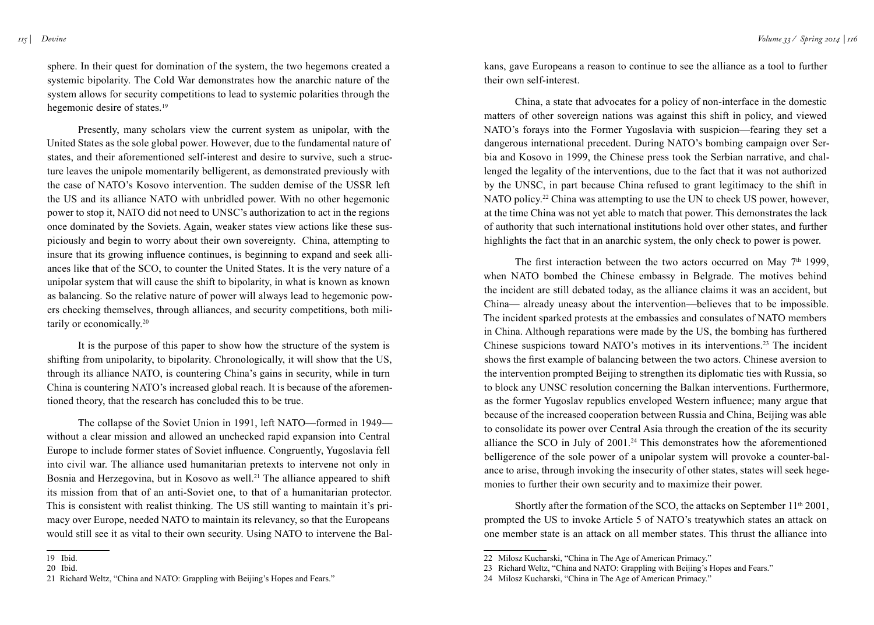sphere. In their quest for domination of the system, the two hegemons created a systemic bipolarity. The Cold War demonstrates how the anarchic nature of the system allows for security competitions to lead to systemic polarities through the hegemonic desire of states.<sup>19</sup>

Presently, many scholars view the current system as unipolar, with the United States as the sole global power. However, due to the fundamental nature of states, and their aforementioned self-interest and desire to survive, such a structure leaves the unipole momentarily belligerent, as demonstrated previously with the case of NATO's Kosovo intervention. The sudden demise of the USSR left the US and its alliance NATO with unbridled power. With no other hegemonic power to stop it, NATO did not need to UNSC's authorization to act in the regions once dominated by the Soviets. Again, weaker states view actions like these suspiciously and begin to worry about their own sovereignty. China, attempting to insure that its growing influence continues, is beginning to expand and seek alliances like that of the SCO, to counter the United States. It is the very nature of a unipolar system that will cause the shift to bipolarity, in what is known as known as balancing. So the relative nature of power will always lead to hegemonic powers checking themselves, through alliances, and security competitions, both militarily or economically.20

It is the purpose of this paper to show how the structure of the system is shifting from unipolarity, to bipolarity. Chronologically, it will show that the US, through its alliance NATO, is countering China's gains in security, while in turn China is countering NATO's increased global reach. It is because of the aforementioned theory, that the research has concluded this to be true.

The collapse of the Soviet Union in 1991, left NATO—formed in 1949 without a clear mission and allowed an unchecked rapid expansion into Central Europe to include former states of Soviet influence. Congruently, Yugoslavia fell into civil war. The alliance used humanitarian pretexts to intervene not only in Bosnia and Herzegovina, but in Kosovo as well.<sup>21</sup> The alliance appeared to shift its mission from that of an anti-Soviet one, to that of a humanitarian protector. This is consistent with realist thinking. The US still wanting to maintain it's primacy over Europe, needed NATO to maintain its relevancy, so that the Europeans would still see it as vital to their own security. Using NATO to intervene the Balkans, gave Europeans a reason to continue to see the alliance as a tool to further their own self-interest.

China, a state that advocates for a policy of non-interface in the domestic matters of other sovereign nations was against this shift in policy, and viewed NATO's forays into the Former Yugoslavia with suspicion—fearing they set a dangerous international precedent. During NATO's bombing campaign over Serbia and Kosovo in 1999, the Chinese press took the Serbian narrative, and challenged the legality of the interventions, due to the fact that it was not authorized by the UNSC, in part because China refused to grant legitimacy to the shift in NATO policy.22 China was attempting to use the UN to check US power, however, at the time China was not yet able to match that power. This demonstrates the lack of authority that such international institutions hold over other states, and further highlights the fact that in an anarchic system, the only check to power is power.

The first interaction between the two actors occurred on May  $7<sup>th</sup>$  1999, when NATO bombed the Chinese embassy in Belgrade. The motives behind the incident are still debated today, as the alliance claims it was an accident, but China— already uneasy about the intervention—believes that to be impossible. The incident sparked protests at the embassies and consulates of NATO members in China. Although reparations were made by the US, the bombing has furthered Chinese suspicions toward NATO's motives in its interventions.<sup>23</sup> The incident shows the first example of balancing between the two actors. Chinese aversion to the intervention prompted Beijing to strengthen its diplomatic ties with Russia, so to block any UNSC resolution concerning the Balkan interventions. Furthermore, as the former Yugoslav republics enveloped Western influence; many argue that because of the increased cooperation between Russia and China, Beijing was able to consolidate its power over Central Asia through the creation of the its security alliance the SCO in July of 2001.24 This demonstrates how the aforementioned belligerence of the sole power of a unipolar system will provoke a counter-balance to arise, through invoking the insecurity of other states, states will seek hegemonies to further their own security and to maximize their power.

Shortly after the formation of the SCO, the attacks on September 11<sup>th</sup> 2001, prompted the US to invoke Article 5 of NATO's treatywhich states an attack on one member state is an attack on all member states. This thrust the alliance into

<sup>19</sup> Ibid.

<sup>20</sup> Ibid.

<sup>21</sup> Richard Weltz, "China and NATO: Grappling with Beijing's Hopes and Fears."

<sup>22</sup> Milosz Kucharski, "China in The Age of American Primacy."

<sup>23</sup> Richard Weltz, "China and NATO: Grappling with Beijing's Hopes and Fears."

<sup>24</sup> Milosz Kucharski, "China in The Age of American Primacy."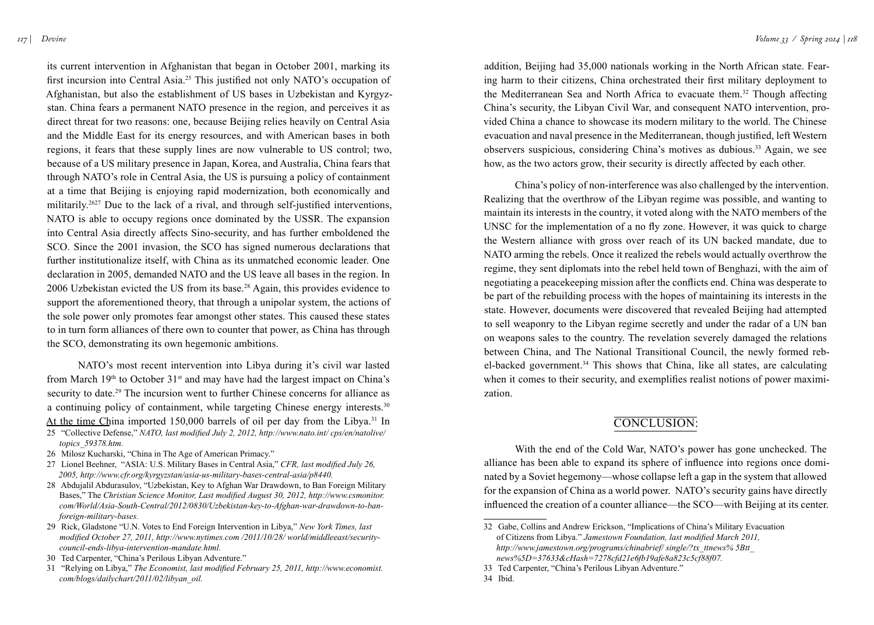its current intervention in Afghanistan that began in October 2001, marking its first incursion into Central Asia.<sup>25</sup> This justified not only NATO's occupation of Afghanistan, but also the establishment of US bases in Uzbekistan and Kyrgyzstan. China fears a permanent NATO presence in the region, and perceives it as direct threat for two reasons: one, because Beijing relies heavily on Central Asia and the Middle East for its energy resources, and with American bases in both regions, it fears that these supply lines are now vulnerable to US control; two, because of a US military presence in Japan, Korea, and Australia, China fears that through NATO's role in Central Asia, the US is pursuing a policy of containment at a time that Beijing is enjoying rapid modernization, both economically and militarily.2627 Due to the lack of a rival, and through self-justified interventions, NATO is able to occupy regions once dominated by the USSR. The expansion into Central Asia directly affects Sino-security, and has further emboldened the SCO. Since the 2001 invasion, the SCO has signed numerous declarations that further institutionalize itself, with China as its unmatched economic leader. One declaration in 2005, demanded NATO and the US leave all bases in the region. In 2006 Uzbekistan evicted the US from its base.<sup>28</sup> Again, this provides evidence to support the aforementioned theory, that through a unipolar system, the actions of the sole power only promotes fear amongst other states. This caused these states to in turn form alliances of there own to counter that power, as China has through the SCO, demonstrating its own hegemonic ambitions.

NATO's most recent intervention into Libya during it's civil war lasted from March  $19<sup>th</sup>$  to October  $31<sup>st</sup>$  and may have had the largest impact on China's security to date.<sup>29</sup> The incursion went to further Chinese concerns for alliance as a continuing policy of containment, while targeting Chinese energy interests.<sup>30</sup> At the time China imported 150,000 barrels of oil per day from the Libya.<sup>31</sup> In

- 25 "Collective Defense," *NATO, last modified July 2, 2012, http://www.nato.int/ cps/en/natolive/ topics\_59378.htm.*
- 26 Milosz Kucharski, "China in The Age of American Primacy."
- 27 Lionel Beehner, "ASIA: U.S. Military Bases in Central Asia," *CFR, last modified July 26, 2005, http://www.cfr.org/kyrgyzstan/asia-us-military-bases-central-asia/p8440.*
- 28 Abdujalil Abdurasulov, "Uzbekistan, Key to Afghan War Drawdown, to Ban Foreign Military Bases," The *Christian Science Monitor, Last modified August 30, 2012, http://www.csmonitor. com/World/Asia-South-Central/2012/0830/Uzbekistan-key-to-Afghan-war-drawdown-to-banforeign-military-bases.*
- 29 Rick, Gladstone "U.N. Votes to End Foreign Intervention in Libya," *New York Times, last modified October 27, 2011, http://www.nytimes.com /2011/10/28/ world/middleeast/securitycouncil-ends-libya-intervention-mandate.html.*
- 30 Ted Carpenter, "China's Perilous Libyan Adventure."
- 31 "Relying on Libya," *The Economist, last modified February 25, 2011, http://www.economist. com/blogs/dailychart/2011/02/libyan\_oil.*

addition, Beijing had 35,000 nationals working in the North African state. Fearing harm to their citizens, China orchestrated their first military deployment to the Mediterranean Sea and North Africa to evacuate them.<sup>32</sup> Though affecting China's security, the Libyan Civil War, and consequent NATO intervention, provided China a chance to showcase its modern military to the world. The Chinese evacuation and naval presence in the Mediterranean, though justified, left Western observers suspicious, considering China's motives as dubious.<sup>33</sup> Again, we see how, as the two actors grow, their security is directly affected by each other.

China's policy of non-interference was also challenged by the intervention. Realizing that the overthrow of the Libyan regime was possible, and wanting to maintain its interests in the country, it voted along with the NATO members of the UNSC for the implementation of a no fly zone. However, it was quick to charge the Western alliance with gross over reach of its UN backed mandate, due to NATO arming the rebels. Once it realized the rebels would actually overthrow the regime, they sent diplomats into the rebel held town of Benghazi, with the aim of negotiating a peacekeeping mission after the conflicts end. China was desperate to be part of the rebuilding process with the hopes of maintaining its interests in the state. However, documents were discovered that revealed Beijing had attempted to sell weaponry to the Libyan regime secretly and under the radar of a UN ban on weapons sales to the country. The revelation severely damaged the relations between China, and The National Transitional Council, the newly formed rebel-backed government.<sup>34</sup> This shows that China, like all states, are calculating when it comes to their security, and exemplifies realist notions of power maximization.

## CONCLUSION:

With the end of the Cold War, NATO's power has gone unchecked. The alliance has been able to expand its sphere of influence into regions once dominated by a Soviet hegemony—whose collapse left a gap in the system that allowed for the expansion of China as a world power. NATO's security gains have directly influenced the creation of a counter alliance—the SCO—with Beijing at its center.

- 33 Ted Carpenter, "China's Perilous Libyan Adventure."
- 34 Ibid.

<sup>32</sup> Gabe, Collins and Andrew Erickson, "Implications of China's Military Evacuation of Citizens from Libya." *Jamestown Foundation, last modified March 2011, http://www.jamestown.org/programs/chinabrief/ single/?tx\_ttnews% 5Btt\_ news%5D=37633&cHash=7278cfd21e6fb19afe8a823c5cf88f07.*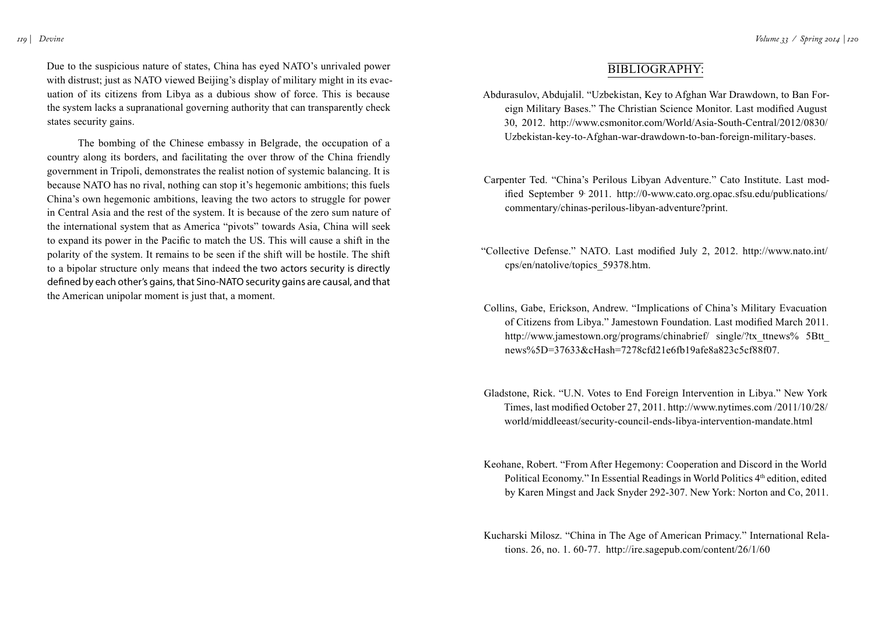Due to the suspicious nature of states, China has eyed NATO's unrivaled power with distrust; just as NATO viewed Beijing's display of military might in its evacuation of its citizens from Libya as a dubious show of force. This is because the system lacks a supranational governing authority that can transparently check states security gains.

The bombing of the Chinese embassy in Belgrade, the occupation of a country along its borders, and facilitating the over throw of the China friendly government in Tripoli, demonstrates the realist notion of systemic balancing. It is because NATO has no rival, nothing can stop it's hegemonic ambitions; this fuels China's own hegemonic ambitions, leaving the two actors to struggle for power in Central Asia and the rest of the system. It is because of the zero sum nature of the international system that as America "pivots" towards Asia, China will seek to expand its power in the Pacific to match the US. This will cause a shift in the polarity of the system. It remains to be seen if the shift will be hostile. The shift to a bipolar structure only means that indeed the two actors security is directly defined by each other's gains, that Sino-NATO security gains are causal, and that the American unipolar moment is just that, a moment.

## Bibliography:

- Abdurasulov, Abdujalil. "Uzbekistan, Key to Afghan War Drawdown, to Ban Foreign Military Bases." The Christian Science Monitor. Last modified August 30, 2012. http://www.csmonitor.com/World/Asia-South-Central/2012/0830/ Uzbekistan-key-to-Afghan-war-drawdown-to-ban-foreign-military-bases.
- Carpenter Ted. "China's Perilous Libyan Adventure." Cato Institute. Last modified September 9, 2011. http://0-www.cato.org.opac.sfsu.edu/publications/ commentary/chinas-perilous-libyan-adventure?print.
- "Collective Defense." NATO. Last modified July 2, 2012. http://www.nato.int/ cps/en/natolive/topics\_59378.htm.
- Collins, Gabe, Erickson, Andrew. "Implications of China's Military Evacuation of Citizens from Libya." Jamestown Foundation. Last modified March 2011. http://www.jamestown.org/programs/chinabrief/ single/?tx\_ttnews% 5Btt\_ news%5D=37633&cHash=7278cfd21e6fb19afe8a823c5cf88f07.
- Gladstone, Rick. "U.N. Votes to End Foreign Intervention in Libya." New York Times, last modified October 27, 2011. http://www.nytimes.com /2011/10/28/ world/middleeast/security-council-ends-libya-intervention-mandate.html
- Keohane, Robert. "From After Hegemony: Cooperation and Discord in the World Political Economy." In Essential Readings in World Politics 4<sup>th</sup> edition, edited by Karen Mingst and Jack Snyder 292-307. New York: Norton and Co, 2011.
- Kucharski Milosz. "China in The Age of American Primacy." International Relations. 26, no. 1. 60-77. http://ire.sagepub.com/content/26/1/60